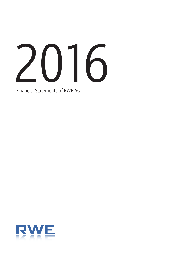

Financial Statements of RWE AG

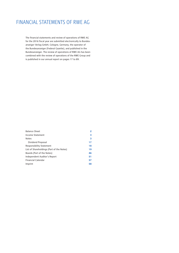# FINANCIAL STATEMENTS OF RWE AG

The financial statements and review of operations of RWE AG for the 2016 fiscal year are submitted electronically to Bundesanzeiger Verlag GmbH, Cologne, Germany, the operator of the Bundesanzeiger (Federal Gazette), and published in the Bundesanzeiger. The review of operations of RWE AG has been combined with the review of operations of the RWE Group and is published in our annual report on pages 17 to 89.

| <b>Balance Sheet</b>                      | 2  |
|-------------------------------------------|----|
| Income Statement                          | 3  |
| <b>Notes</b>                              | 3  |
| Dividend Proposal                         | 17 |
| <b>Responsibility Statement</b>           | 18 |
| List of Shareholdings (Part of the Notes) | 19 |
| Boards (Part of the Notes)                | 46 |
| Independent Auditor's Report              | 51 |
| <b>Financial Calendar</b>                 | 57 |
| Imprint                                   | 58 |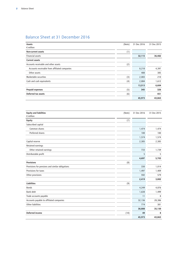# Balance Sheet at 31 December 2016

| Assets                                        | (Note) | 31 Dec 2016 | 31 Dec 2015 |
|-----------------------------------------------|--------|-------------|-------------|
| $\epsilon$ million                            |        |             |             |
| Non-current assets                            | (1)    |             |             |
| Financial assets                              |        | 32,115      | 36,482      |
| <b>Current assets</b>                         |        |             |             |
| Accounts receivable and other assets          | (2)    |             |             |
| Accounts receivable from affiliated companies |        | 8,218       | 4,397       |
| Other assets                                  |        | 408         | 385         |
| Marketable securities                         | (3)    | 2,003       | 210         |
| Cash and cash equivalents                     | (4)    | 2,884       | 1,612       |
|                                               |        | 13,513      | 6,604       |
| <b>Prepaid expenses</b>                       | (5)    | 345         | 326         |
| Deferred tax assets                           | (6)    |             | 451         |
|                                               |        | 45,973      | 43,863      |

| <b>Equity and liabilities</b><br>$\epsilon$ million | (Note) | 31 Dec 2016 | 31 Dec 2015 |
|-----------------------------------------------------|--------|-------------|-------------|
| <b>Equity</b>                                       | (7)    |             |             |
| Subscribed capital                                  |        |             |             |
| Common shares                                       |        | 1,474       | 1,474       |
| Preferred shares                                    |        | 100         | 100         |
|                                                     |        | 1,574       | 1,574       |
| Capital reserve                                     |        | 2,385       | 2,385       |
| Retained earnings                                   |        |             |             |
| Other retained earnings                             |        | 733         | 1,739       |
| Distributable profit                                |        | 5           | 5           |
|                                                     |        | 4,697       | 5,703       |
| <b>Provisions</b>                                   | (8)    |             |             |
| Provisions for pensions and similar obligations     |        | 330         | 1,014       |
| Provisions for taxes                                |        | 1,497       | 1,409       |
| Other provisions                                    |        | 592         | 579         |
|                                                     |        | 2,419       | 3,002       |
| <b>Liabilities</b>                                  | (9)    |             |             |
| <b>Bonds</b>                                        |        | 4,249       | 4,876       |
| <b>Bank debt</b>                                    |        | 1,638       | 1,499       |
| Trade accounts payable                              |        | 11          | 8           |
| Accounts payable to affiliated companies            |        | 32,136      | 28,386      |
| <b>Other liabilities</b>                            |        | 774         | 381         |
|                                                     |        | 38,808      | 35,150      |
| <b>Deferred income</b>                              | (10)   | 49          | 8           |
|                                                     |        | 45,973      | 43,863      |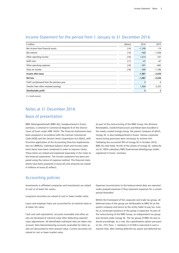| $\epsilon$ million                         | (Notes) | 2016         | 2015         |
|--------------------------------------------|---------|--------------|--------------|
| Net income from financial assets           | (14)    | $-1,240$     | $-74$        |
| Net interest                               | (15)    | $-368$       | $-1,038$     |
| Other operating income                     | (16)    | 1,614        | 237          |
| Staff costs                                | (17)    | $-47$        | $-67$        |
| Other operating expenses                   | (18)    | $-391$       | $-602$       |
| Taxes on income                            | (19)    | $-569$       | $-1,706$     |
| Income after taxes                         |         | $-1,001$     | $-3,250$     |
| Net loss                                   |         | $-1,001$     | $-3,250$     |
| Profit carryforward from the previous year |         | $\mathbf{0}$ | $\mathbf{0}$ |
| Transfer from other retained earnings      |         | 1,006        | 3,255        |
| Distributable profit                       |         | 5            | 5            |

### Income Statement for the period from 1 January to 31 December 2016

0 = Small amount.

# Notes at 31 December 2016

# Basis of presentation

RWE Aktiengesellschaft (RWE AG), headquartered in Essen, Germany, is entered in Commercial Register B of the District Court of Essen under HRB 14525. The financial statements have been prepared in accordance with the German Commercial Code (HGB) and the German Stock Corporation Act (AktG), with first-time application of the Accounting Directive Implementation Act (BilRUG). Individual balance sheet and income statement items have been combined in order to improve clarity. These items are stated and explained separately in the notes to the financial statements. The income statement has been prepared using the nature of expense method. The financial statements have been prepared in euros (€) and amounts are stated in millions of euros (€ million).

As part of the restructuring of the RWE Group, the divisions Renewables, Grid&Infrastructure and Retail were bundled in the newly created innogy Group, the parent company of which, innogy SE, is also headquartered in Essen. Various corporate restructuring processes were necessary to achieve this. Following the successful IPO of innogy SE in October 2016, RWE AG now holds 76.8 % of the shares of innogy SE, indirectly via its 100 % subsidiary RWE Downstream Beteiligungs GmbH, registered in Essen, Germany.

### Accounting policies

Investments in affiliated companies and investments are stated at cost or at lower fair values.

Long-term securities are valued at cost or lower market value.

Loans and employer loans are accounted for at nominal value or at lower fair value.

Cash and cash equivalents, accounts receivable and other assets are disclosed at nominal value after deducting required value adjustments. All identifiable individual risks are taken into account. Non-interest-bearing accounts receivable for other assets are discounted to their present value. Current securities are valued at cost or lower market value.

Expenses incurred prior to the balance-sheet date are reported under prepaid expenses if they represent expenses for a certain period thereafter.

Within the framework of the corporate and trade tax group, all deferred taxes of the group are attributable to RWE AG as the parent company and hence as the entity liable to pay tax, insofar as continued existence of the group is expected. As part of the restructuring of the RWE Group, an independent tax group was formed under innogy SE. The tax group of RWE AG was reduced accordingly. As a rule, the capitalisation option pursuant to Sec. 274, Para. 1, Sentence 2 of HGB is exercised in such a manner that, after netting deferred tax assets and deferred tax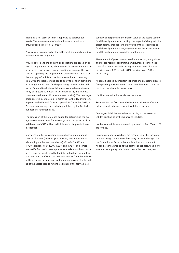liabilities, a net asset position is reported as deferred tax assets. The measurement of deferred taxes is based on a group-specific tax rate of 31.925 %.

Provisions are recognised at the settlement amount dictated by prudent business judgement.

Provisions for pensions and similar obligations are based on actuarial computations using Klaus Heubeck's 2005G reference tables – which take into account generation-dependent life expectancies – applying the projected unit credit method. As part of the Mortgage Credit Directive Implementation Act, starting from 2016 the legislator decided to apply to pension provisions an average interest rate for the preceding 10 years published by the German Bundesbank, taking an assumed remaining maturity of 15 years as a basis. In December 2016, this interest rate amounted to 4.01 % (previous year: 3.89 %). The new regulation entered into force on 17 March 2016, the day after promulgation in the Federal Gazette. Up until 31 December 2015, a 7-year annual average interest rate published by the Deutsche Bundesbank had been used.

The extension of the reference period for determining the average market interest rate from seven years to ten years results in a difference of €313 million, which is subject to prohibition of distribution.

In respect of other calculation assumptions, annual wage increases of 2.35 % (previous year: 2.35 %), pension increases (depending on the pension scheme) of 1.0 %, 1.60 % and 1.75 % (previous year: 1.0 %, 1.60 % and 1.75 %) and company-specific fluctuation assumptions were taken as a basis. Insofar as there are assets used to fund the obligation pursuant to Sec. 246, Para. 2 of HGB, the provision derives from the balance of the actuarial present value of the obligations and the fair value of the assets used to fund the obligation; the fair value essentially corresponds to the market value of the assets used to fund the obligation. After netting, the impact of changes in the discount rate, changes in the fair value of the assets used to fund the obligation and ongoing returns on the assets used to fund the obligation are reported in net interest.

Measurement of provisions for service anniversary obligations and for pre-retirement part-time employment occurs on the basis of actuarial principles, using an interest rate of 3.24 % (previous year: 3.89 %) and 1.81 % (previous year: 2.16 %), respectively.

All identifiable risks, uncertain liabilities and anticipated losses from pending business transactions are taken into account in the assessment of other provisions.

Liabilities are valued at settlement amounts.

Revenues for the fiscal year which comprise income after the balance-sheet date are reported as deferred income.

Contingent liabilities are valued according to the extent of liability existing as of the balance-sheet date.

Insofar as possible, valuation units pursuant to Sec. 254 of HGB are formed.

Foreign currency transactions are recognised at the exchange rate prevailing at the time of first entry or – when hedged – at the forward rate. Receivables and liabilities which are not hedged are measured as at the balance-sheet date, taking into account the imparity principle for maturities over one year.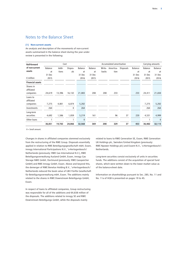### Notes to the Balance Sheet

#### **(1) Non-current assets**

An analysis and description of the movements of non-current assets summarised in the balance sheet during the year under review is presented in the following:

| <b>Roll-forward</b>     |         |        | Cost    |              | Accumulated amortisation<br>Carrying amounts<br>Balance<br>Balance<br>Balance<br><b>Disposals</b><br>Write-<br>Amortisa-<br>backs<br>tion<br>at<br>at<br>at<br>31 Dec<br>31 Dec<br>31 Dec<br>2015<br>2016<br>2015 |     |     |    |     |        |                |  |
|-------------------------|---------|--------|---------|--------------|-------------------------------------------------------------------------------------------------------------------------------------------------------------------------------------------------------------------|-----|-----|----|-----|--------|----------------|--|
| of non-current          | Balance | Addi-  | Dispos- | Balance      |                                                                                                                                                                                                                   |     |     |    |     |        | <b>Balance</b> |  |
| assets                  | at      | tions  | als     | at           |                                                                                                                                                                                                                   |     |     |    |     |        | at             |  |
|                         | 31 Dec  |        |         | 31 Dec       |                                                                                                                                                                                                                   |     |     |    |     |        | 31 Dec         |  |
| $\epsilon$ million      | 2015    |        |         | 2016         |                                                                                                                                                                                                                   |     |     |    |     |        | 2016           |  |
| <b>Financial assets</b> |         |        |         |              |                                                                                                                                                                                                                   |     |     |    |     |        |                |  |
| Shares in<br>affiliated |         |        |         |              |                                                                                                                                                                                                                   |     |     |    |     |        |                |  |
| companies               | 24,619  | 13,396 | 16,132  | 21,883       | 208                                                                                                                                                                                                               | 208 | 233 |    | 233 | 24,411 | 21,650         |  |
| Loans to<br>affiliated  |         |        |         |              |                                                                                                                                                                                                                   |     |     |    |     |        |                |  |
| companies               | 7,275   | 4,801  | 6,874   | 5,202        |                                                                                                                                                                                                                   |     |     |    |     | 7,275  | 5,202          |  |
| Investments             | 264     |        | 0       | 264          |                                                                                                                                                                                                                   |     |     |    |     | 264    | 264            |  |
| Long-term               |         |        |         |              |                                                                                                                                                                                                                   |     |     |    |     |        |                |  |
| securities              | 4,692   | 1,586  | 1,059   | 5,219        | 161                                                                                                                                                                                                               |     | 96  | 37 | 220 | 4,531  | 4,999          |  |
| Other loans             | 1       |        |         | $\mathbf{0}$ |                                                                                                                                                                                                                   |     |     |    |     |        | $\mathbf{0}$   |  |
|                         | 36,851  | 19,783 | 24,066  | 32,568       | 369                                                                                                                                                                                                               | 208 | 329 | 37 | 453 | 36,482 | 32,115         |  |

0 = Small amount.

Changes in shares in affiliated companies stemmed exclusively from the restructuring of the RWE Group. Disposals essentially applied in relation to RWE Beteiligungsgesellschaft mbH, Essen, innogy International Participations N.V., 's-Hertogenbosch/ Netherlands (previously: RWE Gas International N.V.), RWE Beteiligungsverwaltung Ausland GmbH, Essen, innogy Gas Storage NWE GmbH, Dortmund (previously: RWE Gasspeicher GmbH) and RWE Innogy GmbH, Essen. Above and beyond this, the demerger of RWE Benelux Holding B.V., 's-Hertogenbosch/ Netherlands reduced the book value of GBV Fünfte Gesellschaft für Beteiligungsverwaltung mbH, Essen. The additions mainly related to the shares in RWE Downstream Beteiligungs GmbH, Essen.

In respect of loans to affiliated companies, Group restructuring was responsible for all of the additions and €4,838 million of the disposals. The additions related to innogy SE and RWE Downstream Beteiligungs GmbH, while the disposals mainly

related to loans to RWE Generation SE, Essen, RWE Generation UK Holdings plc, Swindon/United Kingdom (previously: RWE Npower Holdings plc) and Essent N.V., 's-Hertogenbosch/ Netherlands.

Long-term securities consist exclusively of units in securities funds. The additions consist of the acquisition of special fund shares, which were written down to the lower market value as of the balance-sheet date.

Information on shareholdings pursuant to Sec. 285, No. 11 and No. 11a of HGB is presented on pages 19 to 45.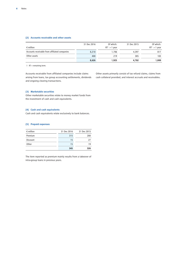#### **(2) Accounts receivable and other assets**

|                                               | 31 Dec 2016 | Of which:       | 31 Dec 2015 | Of which:       |
|-----------------------------------------------|-------------|-----------------|-------------|-----------------|
| $\epsilon$ million                            |             | $RT^1 > 1$ year |             | $RT^1 > 1$ year |
| Accounts receivable from affiliated companies | 8,218       | 1.706           | 4.397       | 817             |
| Other assets                                  | 408         | 219             | 385         | 183             |
|                                               | 8,626       | 1.925           | 4,782       | 1,000           |

1 RT = remaining term.

Accounts receivable from affiliated companies include claims arising from loans, tax group accounting settlements, dividends and ongoing clearing transactions.

Other assets primarily consist of tax refund claims, claims from cash collateral provided, and interest accruals and receivables.

#### **(3) Marketable securities**

Other marketable securities relate to money market funds from the investment of cash and cash equivalents.

#### **(4) Cash and cash equivalents**

Cash and cash equivalents relate exclusively to bank balances.

#### **(5) Prepaid expenses**

| $\epsilon$ million | 31 Dec 2016 | 31 Dec 2015 |
|--------------------|-------------|-------------|
| Premium            | 315         | 280         |
| Discount           | 15          | 27          |
| Other              | 15          | 19          |
|                    | 345         | 326         |

The item reported as premium mainly results from a takeover of intra-group loans in previous years.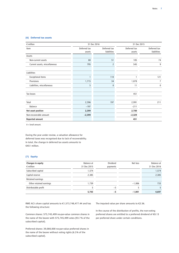#### **(6) Deferred tax assets**

| $\epsilon$ million            |                        | 31 Dec 2016                 | 31 Dec 2015            |                             |
|-------------------------------|------------------------|-----------------------------|------------------------|-----------------------------|
| Item                          | Deferred tax<br>assets | Deferred tax<br>liabilities | Deferred tax<br>assets | Deferred tax<br>liabilities |
| Assets                        |                        |                             |                        |                             |
| Non-current assets            | 80                     | 51                          | 105                    | 74                          |
| Current assets, miscellaneous | 795                    | 2                           | 545                    | 9                           |
| Liabilities                   |                        |                             |                        |                             |
| <b>Exceptional items</b>      | $\mathbf{1}$           | 110                         | 1                      | 121                         |
| Provisions                    | 1,715                  | 34                          | 1,878                  | 7                           |
| Liabilities, miscellaneous    | 5                      | 0                           | 11                     | 0                           |
| Tax losses                    |                        |                             | 451                    |                             |
| Total                         | 2,596                  | 197                         | 2,991                  | 211                         |
| Balance                       | $-197$                 |                             | $-211$                 |                             |
| Net asset position            | 2,399                  |                             | 2,780                  |                             |
| Non-recoverable amount        | $-2,399$               |                             | $-2,329$               |                             |
| Reported amount               |                        |                             | 451                    |                             |

0 = Small amount.

During the year under review, a valuation allowance for deferred taxes was recognised due to lack of recoverability. In total, the change in deferred tax assets amounts to €451 million.

#### **(7) Equity**

| Changes in equity<br>$\epsilon$ million | Balance at<br>31 Dec 2015 | Dividend<br>payments | Net loss | Balance at<br>31 Dec 2016 |
|-----------------------------------------|---------------------------|----------------------|----------|---------------------------|
| Subscribed capital                      | 1,574                     |                      |          | 1,574                     |
| Capital reserve                         | 2,385                     |                      |          | 2,385                     |
| Retained earnings                       |                           |                      |          |                           |
| Other retained earnings                 | 1,739                     |                      | $-1,006$ | 733                       |
| Distributable profit                    |                           | $-5$                 |          | 5                         |
|                                         | 5,703                     | -5                   | $-1,001$ | 4,697                     |

RWE AG's share capital amounts to €1,573,748,477.44 and has the following structure:

Common shares: 575,745,499 no-par-value common shares in the name of the bearer with 575,745,499 votes (93.7 % of the subscribed capital).

Preferred shares: 39,000,000 no-par-value preferred shares in the name of the bearer without voting rights (6.3 % of the subscribed capital).

The imputed value per share amounts to €2.56.

In the course of the distribution of profits, the non-voting preferred shares are entitled to a preferred dividend of €0.13 per preferred share under certain conditions.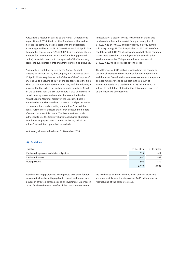Pursuant to a resolution passed by the Annual General Meeting on 16 April 2014, the Executive Board was authorised to increase the company's capital stock with the Supervisory Board's approval by up to €314,749,693.44 until 15 April 2019 through the issue of up to 122,949,099 bearer common shares in return for contributions in cash and/or in kind (approved capital). In certain cases, with the approval of the Supervisory Board, the subscription rights of shareholders can be excluded.

Pursuant to a resolution passed by the Annual General Meeting on 16 April 2014, the Company was authorised until 15 April 2019 to acquire any kind of shares of the Company of any kind up to a volume of 10 % of the capital stock at the time when this authorisation becomes effective, or if the following is lower, at the time when this authorisation is exercised. Based on the authorisation, the Executive Board is also authorised to cancel treasury shares without a further resolution by the Annual General Meeting. Moreover, the Executive Board is authorised to transfer or sell such shares to third parties under certain conditions and excluding shareholders' subscription rights. Furthermore, treasury shares may be issued to holders of option or convertible bonds. The Executive Board is also authorised to use the treasury shares to discharge obligations from future employee share schemes; in this regard, shareholders' subscription rights shall be excluded.

No treasury shares are held as of 31 December 2016.

#### **(8) Provisions**

In fiscal 2016, a total of 10,880 RWE common shares was purchased on the capital market for a purchase price of €149,339.26 by RWE AG and its indirectly majority-owned subsidiary innogy SE. This is equivalent to €27,852.80 of the capital stock (0.00177 % of subscribed capital). These common shares were passed on to employees of the subsidiary for service anniversaries. This generated total proceeds of €149,339.26, which corresponds to the cost.

The difference of €313 million resulting from the change in the annual average interest rate used for pension provisions and the result from the fair value measurement of the specialpurpose funds over and above cost in the amount of €30 million results in a total sum of €343 million, which is subject to prohibition of distribution; this amount is covered by the freely available reserves.

| $\epsilon$ million                              | 31 Dec 2016 | 31 Dec 2015 |
|-------------------------------------------------|-------------|-------------|
| Provisions for pensions and similar obligations | 330         | 1.014       |
| <b>Provisions for taxes</b>                     | 1.497       | 1,409       |
| Other provisions                                | 592         | 579         |
|                                                 | 2.419       | 3,002       |

Based on existing guarantees, the reported provisions for pensions also include benefits payable to current and former employees of affiliated companies and an investment. Expenses incurred for the retirement benefits of the companies concerned

are reimbursed by them. The decline in pension provisions stemmed mainly from the disposals of €493 million, due to restructuring of the corporate group.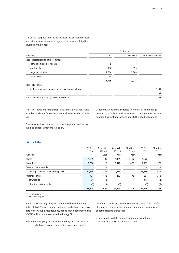The special-purpose funds used to cover the obligations measured at fair value were netted against the pension obligations covered by the funds:

|                                                        |       | 31 Dec 16  |                   |  |  |
|--------------------------------------------------------|-------|------------|-------------------|--|--|
| $\epsilon$ million                                     | Cost  | Fair value | Settlement amount |  |  |
| Netted assets (special-purpose funds)                  |       |            |                   |  |  |
| Shares in affiliated companies                         | 5     | 4          |                   |  |  |
| Investments                                            | 186   | 196        |                   |  |  |
| Long-term securities                                   | 1,766 | 1,800      |                   |  |  |
| Other assets                                           | 18    | 18         |                   |  |  |
|                                                        | 1,975 | 2,018      |                   |  |  |
| <b>Netted liabilities</b>                              |       |            |                   |  |  |
| Settlement amount for pensions and similar obligations |       |            | 2,101             |  |  |
|                                                        |       |            | 2,101             |  |  |
| Balance of netting assets (pension provisions)         |       |            | 83                |  |  |

The item 'Provisions for pensions and similar obligations' also includes provisions for concessionary allowances of €247 million.

Other provisions primarily relate to interest payment obligations, risks associated with investments, contingent losses from pending financial transactions and staff-related obligations.

Provisions for taxes concern the reporting year as well as tax auditing periods which are still open.

#### **(9) Liabilities**

|                                          | 31 Dec | Of which:     | Of which:  | Of which:  | 31 Dec | Of which:     |
|------------------------------------------|--------|---------------|------------|------------|--------|---------------|
|                                          | 2016   | $RT^1 \leq 1$ | $RT^1 > 1$ | $RT^1 > 5$ | 2015   | $RT^1 \leq 1$ |
| $\epsilon$ million                       |        | year          | year       | year       |        | year          |
| <b>Bonds</b>                             | 4,249  | 100           | 4,149      | 4,149      | 4,876  |               |
| Bank debt                                | 1,638  | 516           | 1,122      | 477        | 1,499  | 377           |
| Trade accounts payable                   | 11     | 11            |            |            | 8      | 8             |
| Accounts payable to affiliated companies | 32,136 | 22,351        | 9,785      |            | 28,386 | 18,089        |
| Other liabilities                        | 774    | 672           | 102        | 102        | 381    | 278           |
| of which: tax                            | (3)    | (3)           |            |            | (34)   | (34)          |
| of which: social security                | (1)    | (0)           | (1)        |            | (1)    | (0)           |
|                                          | 38,808 | 23,650        | 15,158     | 4,728      | 35,150 | 18,752        |

0 = Small amount.

1 RT = remaining term.

Bonds consist mainly of hybrid bonds and the medium-term notes of RWE AG with varying maturities and interest rates. As part of the Group's restructuring, bonds with a nominal volume of €627 million were transferred to innogy SE.

Bank debt principally relates to bank loans, cash collateral received and interest accruals for existing swap agreements.

Accounts payable to affiliated companies concern the transfer of financial resources, tax group accounting settlements and ongoing clearing transactions.

Other liabilities relate primarily to money market paper (commercial paper) and interest accruals.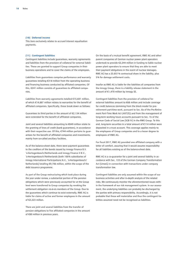#### **(10) Deferred income**

This item exclusively relates to accrued interest equalisation payments.

#### **(11) Contingent liabilities**

Contingent liabilities include guarantees, warranty agreements and liabilities from the provision of collateral for external liabilities. These are granted to support Group companies in their business operations and to cover the claims of the employees.

Liabilities from guarantees comprise performance and warranty guarantees totalling €318 million from the operating business and financing business conducted by affiliated companies. Of this, €241 million consists of guarantees to affiliated companies.

Liabilities from warranty agreements totalled €15,601 million, of which €14,887 million relates to warranties for the benefit of affiliated companies. Specifically, these break down as follows:

Guarantees to third parties in the amount of €2,134 million were extended for the benefit of affiliated companies.

Joint and several liabilities amounting to €849 million relate to the granting of lines of credit (bank guarantees), in accordance with their respective use. Of this, €744 million pertains to quarantees for the benefit of affiliated companies and investments, mainly from so-called ancillary facilities.

As of the balance-sheet date, there were payment guarantees to the creditors of the bonds issued by innogy Finance B.V. 's-Hertogenbosch/Netherlands and innogy Finance II B.V., 's-Hertogenbosch/Netherlands (both 100 % subsidiaries of innogy International Participations N.V., 's-Hertogenbosch/ Netherlands) totalling €9,706 million, within the scope of the debt issuance programme.

As part of the Group restructuring which took place during the year under review, a substantial portion of the pension obligations which were previously accounted for at the Group level were transferred to Group companies by revoking the settlement obligation vis-à-vis members of the Group. Due to the guarantees which continue to exist externally, RWE AG is liable for claims of active and former employees in the amount of €2,223 million.

There are joint and several liabilities from the transfer of pension obligations to five affiliated companies in the amount of €80 million in previous years.

On the basis of a mutual benefit agreement, RWE AG and other parent companies of German nuclear power plant operators undertook to provide €2,244 million in funding to liable nuclear power plant operators to ensure that they are able to meet their payment obligations in the event of nuclear damages. RWE AG has a 25.851 % contractual share in the liability, plus 5 % for damage settlement costs.

Insofar as RWE AG is liable for the liabilities of companies from the innogy Group, there is a liability release statement in the amount of €1,470 million by innogy SE.

Contingent liabilities from the provision of collateral for external liabilities amount to €68 million and include coverage for credit balances stemming from the block model for preretirement part-time work, pursuant to Sec. 8a of the Pre-Retirement Part-Time Work Act (AltTZG) and from the management of long-term working hours accounts pursuant to Sec. 7e of the German Code of Social Law (SGB IV) in the RWE Group. To this end, long-term securities in a total amount of €114 million were deposited in a trust account. This coverage applies mainly to the employees of Group companies and to a lesser degree to employees of RWE AG.

For fiscal 2017, RWE AG provided one affiliated company with a letter of comfort, assuring that it would assume responsibility for all liabilities existing as of the balance-sheet date.

RWE AG is a co-guarantor for a joint and several liability in accordance with Sec. 133 of the German Company Transformation Act (UmwG) in connection with transactions under company transformation law.

Contingent liabilities are only assumed within the scope of our business activities and after in-depth analysis of the related risks. We continuously monitor the aforementioned issues within the framework of our risk management system. In our assessment, the underlying liabilities can probably be discharged by the parties with primary responsibility. Accordingly, it is not probable that these will materialise and thus the contingent liabilities assumed need not be recognised as liabilities.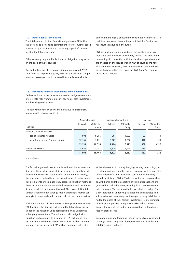#### **(12) Other financial obligations**

The total amount of other financial obligations is €75 million: this pertains to a financing commitment to effect further contributions of up to €75 million to the equity capital of an investment in the following years.

Other currently unquantifiable financial obligations may arise on the basis of the following:

Due to the transfer of certain pension obligations to RWE Pensionsfonds AG in previous years, RWE AG, the affiliated companies and investments which entered into the Pensionsfonds

agreement are legally obligated to contribute further capital in their function as employer in the event that the Pensionsfonds has insufficient funds in the future.

RWE AG and some of its subsidiaries are involved in official, regulatory and anti-trust procedures, lawsuits and arbitration proceedings in connection with their business operations and are affected by the results of such. Out-of-court claims have also been filed. However, RWE does not expect such to have any material negative effects on the RWE Group's economic or financial situation.

#### **(13) Derivative financial instruments and valuation units**

Derivative financial instruments are used to hedge currency and interest rate risks from foreign currency items, cash investments and financing transactions.

The following overview shows the derivative financial instruments as of 31 December 2016:

|                                       | Nominal volume |                     | Remaining term $> 1$ year |                     | Fair value |                     |
|---------------------------------------|----------------|---------------------|---------------------------|---------------------|------------|---------------------|
| $\epsilon$ million                    | External       | Within the<br>Group | External                  | Within the<br>Group | External   | Within the<br>Group |
| Foreign currency derivatives          |                |                     |                           |                     |            |                     |
| Foreign exchange forwards             | 992            | 9,285               | 307                       | 1,833               | $-23$      | $-4$                |
| Interest rate currency/currency swaps | 12,166         | 3,031               | 1,889                     | 1,292               | 410        | $-314$              |
|                                       | 13,158         | 12,316              | 2,196                     | 3,125               | 387        | $-318$              |
| Interest rate swaps                   | 4,650          | 3,152               | 3,926                     | 2,428               | 180        | $\mathbf{0}$        |
|                                       | 17,808         | 15,468              | 6,122                     | 5,553               | 567        | $-318$              |

 $0 -$ Small amount

The fair value generally corresponds to the market value of the derivative financial instrument, if such value can be reliably determined. If the market value cannot be determined reliably, the fair value is derived from the market value of similar financial instruments or using generally accepted valuation methods; these include the discounted cash flow method and the Black-Scholes model, if options are involved. This occurs taking into consideration current exchange rate relationships, market-conform yield curves and credit default risks of the counterparties.

With the exception of two interest rate swaps (nominal volume: €400 million), the derivatives listed in the table above are included in the valuation units described below as underlying or hedging transactions. The volume of risks hedged with valuation units amounts to a total of €1,428 million; of this, €828 million is related to currency risks, €551 million to interest rate and currency risks, and €49 million to interest rate risks.

Within the scope of currency hedging, among other things, interest rate and interest rate currency swaps as well as matching off-setting transactions have been concluded with whollyowned subsidiaries. RWE AG's derivative transactions concluded with banks and the respective offsetting transactions are grouped into valuation units, resulting in no re-measurement gains or losses. This occurs with the use of micro hedges (i.e. clear allocation of underlying transactions and hedges). The subsidiaries use these swaps and foreign currency liabilities to hedge the prices of their foreign investments. On termination of a swap, the positive or negative market value is offset against the cost of the underlying transactions without an effect on profit or loss.

Currency swaps and foreign exchange forwards are concluded to hedge Group companies' foreign-currency receivables and liabilities (micro hedges).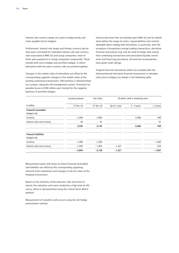Interest rate currency swaps are used to hedge bonds and notes payable (micro hedges).

Furthermore, interest rate swaps and foreign currency derivatives were concluded for individual interest rate and currency risks associated at RWE AG and Group companies; most of these were passed on to Group companies congruently. These include both micro hedges and portfolio hedges, in which derivatives with the same currency risks are pooled together.

Changes in the market value of derivatives are offset by the corresponding opposite changes in the market value of the existing underlying transactions. Effectiveness is demonstrated via a proper, adequate risk management system. Provisions for possible losses of €90 million were formed for the negative balances of portfolio hedges.

Internal directives that are binding upon RWE AG and its subsidiaries define the range of action, responsibilities and controls allowable when trading with derivatives. In particular, with the exception of proprietary energy trading transactions, derivative financial instruments may only be used to hedge risks arising from underlying transactions and associated liquidity investment and financing procedures. All external counterparties have good credit ratings.

Original financial instruments which are included with the aforementioned derivative financial instruments in valuation units (micro hedges) are shown in the following table:

|                                              | Carrying amount | Fair value | Of which: with a remaining term |               |             |  |
|----------------------------------------------|-----------------|------------|---------------------------------|---------------|-------------|--|
| $\epsilon$ million                           | 31 Dec 16       | 31 Dec 16  | Up to 1 year                    | $2 - 5$ years | $> 5$ years |  |
| <b>Financial receivables</b><br>Hedged risk: |                 |            |                                 |               |             |  |
| Currency                                     | 3,304           | 3,095      |                                 | 2,686         | 409         |  |
| Interest rates and currency                  | 39              | 47         |                                 |               | 47          |  |
|                                              | 3,343           | 3,142      |                                 | 2,686         | 456         |  |
| <b>Financial liabilities</b><br>Hedged risk: |                 |            |                                 |               |             |  |
| Currency                                     | $-1,499$        | $-1,285$   |                                 |               | $-1,285$    |  |
| Interest rates and currency                  | $-1,595$        | $-1,843$   | $-1,321$                        |               | $-522$      |  |
|                                              | $-3,094$        | $-3,128$   | $-1,321$                        |               | $-1,807$    |  |

Measurement gains and losses on these financial receivables and liabilities are offset by the corresponding opposing amounts from realisations and changes in the fair value of the hedging transactions.

Based on the similarity of the amounts, risks and terms involved, the valuation units were marked by a high level of efficiency, which is demonstrated using the Critical Terms Match method.

Measurement of valuation units occurs using the net hedge presentation method.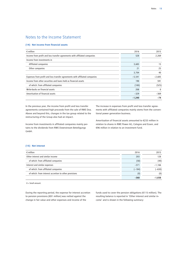### Notes to the Income Statement

#### **(14) Net income from financial assets**

| $\epsilon$ million                                                          | 2016     | 2015         |
|-----------------------------------------------------------------------------|----------|--------------|
| Income from profit and loss transfer agreements with affiliated companies   | 528      | 2,269        |
| Income from investments in                                                  |          |              |
| Affiliated companies                                                        | 3,683    | 15           |
| Other companies                                                             | 21       | 25           |
|                                                                             | 3,704    | 40           |
| Expenses from profit and loss transfer agreements with affiliated companies | $-5,541$ | $-2,605$     |
| Income from other securities and loans held as financial assets             | 190      | 591          |
| of which: from affiliated companies                                         | (100)    | (525)        |
| Write-backs on financial assets                                             | 208      | $\mathbf{0}$ |
| Amortisation of financial assets                                            | $-329$   | $-369$       |
|                                                                             | $-1,240$ | -74          |

In the previous year, the income from profit and loss transfer agreements contained high proceeds from the sale of RWE Dea. Above and beyond this, changes in the tax group related to the restructuring of the Group also had an impact.

Income from investments in affiliated companies mainly pertains to the dividends from RWE Downstream Beteiligungs GmbH.

The increase in expenses from profit and loss transfer agreements with affiliated companies mainly stems from the conventional power generation business.

Amortisation of financial assets amounted to €233 million in relation to shares in RWE Power AG, Cologne and Essen, and €96 million in relation to an investment fund.

#### **(15) Net interest**

| $\epsilon$ million                                    | 2016     | 2015     |
|-------------------------------------------------------|----------|----------|
| Other interest and similar income                     | 203      | 128      |
| of which: from affiliated companies                   | (58)     | (40)     |
| Interest and similar expenses                         | $-571$   | $-1,166$ |
| of which: from affiliated companies                   | $(-184)$ | $(-630)$ |
| of which: from interest accretion to other provisions | (0)      | (0)      |
|                                                       | $-368$   | $-1,038$ |

0 = Small amount.

During the reporting period, the expense for interest accretion to pension provisions (€81 million) was netted against the change in fair value and other expenses and income of the

funds used to cover the pension obligations (€115 million). The resulting balance is reported in 'Other interest and similar income' and is shown in the following summary: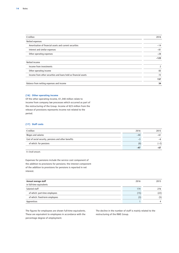| $\epsilon$ million                                              | 2016   |
|-----------------------------------------------------------------|--------|
| Netted expenses                                                 |        |
| Amortisation of financial assets and current securities         | $-14$  |
| Interest and similar expenses                                   | $-81$  |
| Other operating expenses                                        | $-28$  |
|                                                                 | $-123$ |
| Netted income                                                   |        |
| Income from investments                                         | 2      |
| Other operating income                                          | 83     |
| Income from other securities and loans held as financial assets | 72     |
|                                                                 | 157    |
| Balance from netting expenses and income                        | 34     |

#### **(16) Other operating income**

Of the other operating income, €1,340 million relate to income from company law processes which occurred as part of the restructuring of the Group. Income of €23 million from the release of provisions represents income not related to the period.

#### **(17) Staff costs**

| $\epsilon$ million                                   | 2016  | 2015   |
|------------------------------------------------------|-------|--------|
| Wages and salaries                                   | $-44$ | $-61$  |
| Cost of social security, pensions and other benefits | — *   | -6     |
| of which: for pensions                               | (0)   | $(-2)$ |
|                                                      | $-47$ | -67    |

0 = Small amount.

Expenses for pensions include the service cost component of the addition to provisions for pensions; the interest component of the addition to provisions for pensions is reported in net interest.

| Annual average staff           | 2016 | 2015           |
|--------------------------------|------|----------------|
| in full-time equivalents       |      |                |
| Salaried staff                 | 174  | 276            |
| of which: part-time employees  | (15) | (22)           |
| of which: fixed-term employees | (3)  | (5)            |
| Apprentices                    |      | $\overline{4}$ |

The figures for employees are shown full-time equivalents. These are equivalent to employees in accordance with the percentage degree of employment.

The decline in the number of staff is mainly related to the restructuring of the RWE Group.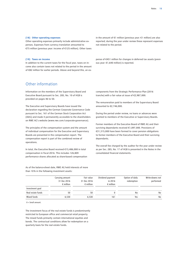#### **(18) Other operating expenses**

Other operating expenses primarily include administrative expenses. Expenses from currency translation amounted to €75 million (previous year: income of €125 million). Other taxes

**(19) Taxes on income**

In addition to the current taxes for the fiscal year, taxes on income also contain taxes not related to the period in the amount of €82 million for earlier periods. Above and beyond this, an ex-

Other information

Information on the members of the Supervisory Board and Executive Board pursuant to Sec. 285, No. 10 of HGB is provided on pages 46 to 50.

The Executive and Supervisory Boards have issued the declaration regarding the German Corporate Governance Code pursuant to Sec. 161 of the German Stock Corporation Act (AktG) and made it permanently accessible to the shareholders on RWE AG's website (www.rwe.com/corporate-governance).

The principles of the compensation system and the amount of individual compensation for the Executive and Supervisory Boards are presented in the compensation report. The compensation report is part of the combined review of operations.

In total, the Executive Board received €15,486,000 in total compensation in fiscal 2016. This includes 126,809 performance shares allocated as share-based compensation in the amount of €1 million (previous year: €1 million) are also reported; during the year under review these represent expenses not related to the period.

pense of €451 million for changes in deferred tax assets (previous year: €1,640 million) is reported.

components from the Strategic Performance Plan (2016 tranche) with a fair value at issue of €2,987,000.

The remuneration paid to members of the Supervisory Board amounted to €2,746,000.

During the period under review, no loans or advances were granted to members of the Executive or Supervisory Boards.

Former members of the Executive Board of RWE AG and their surviving dependants received €1,897,000. Provisions of €31,315,000 have been formed to cover pension obligations to former members of the Executive Board and their surviving dependants.

The overall fee charged by the auditor for the year under review as per Sec. 285, No. 17 of HGB is presented in the Notes in the consolidated financial statements.

|                   | Carrying amount<br>31 Dec 2016<br>$\epsilon$ million | Fair value<br>31 Dec 2016<br>$\epsilon$ million | Dividend payment<br>in 2016<br>$\epsilon$ million | Option of daily<br>redemption | Write-downs not<br>performed |
|-------------------|------------------------------------------------------|-------------------------------------------------|---------------------------------------------------|-------------------------------|------------------------------|
| Investment goal   |                                                      |                                                 |                                                   |                               |                              |
| Real estate funds | 50                                                   | 50                                              |                                                   | No                            | No                           |
| Mixed funds       | 6.530                                                | 6.530                                           | 161                                               | Yes                           | No                           |

As of the balance-sheet date, RWE AG held interests of more than 10 % in the following investment assets:

0 = Small amount.

The investment focus of the real estate funds is predominantly restricted to European office and commercial retail property. The mixed funds primarily contain international equities and bonds. The contractual conditions allow for redemption on a quarterly basis for the real estate funds.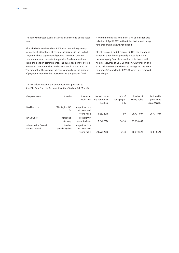The following major events occurred after the end of the fiscal year:

After the balance-sheet date, RWE AG extended a guaranty for payment obligations of certain subsidiaries in the United Kingdom. These payment obligations stem from pension commitments and relate to the pension fund commissioned to settle the pension commitments. The guaranty is limited to an amount of GBP 200 million and is valid until 31 March 2024. The amount of the guaranty declines annually by the amount of payments made by the subsidiaries to the pension fund.

A hybrid bond with a volume of CHF 250 million was called on 4 April 2017, without this instrument being refinanced with a new hybrid bond.

Effective as of 2 and 3 February 2017, the change in issuer for three bonds privately placed by RWE AG became legally final. As a result of this, bonds with nominal volumes of USD 50 million, €100 million and €150 million were transferred to innogy SE. The loans to innogy SE reported by RWE AG were thus removed accordingly.

Company name **Domicile** Reason for notification Date of reaching notification threshold Ratio of voting rights in % Number of voting rights Attributable pursuant to Sec. 22 WpHG BlackRock, Inc. Wilmington, DE, USA Acquisition/sale of shares with voting rights 4 Nov 2016 4.59 26,431,907 26,431,907 RWEB GmbH Dortmund, Germany Redelivery of securities loans 1 Oct 2016 14.18 81,638,660 Atlantic Value General Partner Limited London, United Kingdom Acquisition/sale of shares with voting rights 24 Aug 2016 2.78 16,010,621 16,010,621

The list below presents the announcements pursuant to Sec. 21, Para. 1 of the German Securities Trading Act (WpHG):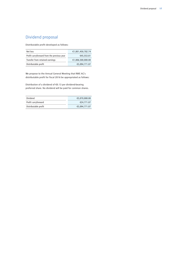## Dividend proposal

Distributable profit developed as follows:

| Net loss                                   | €1,001,450,782.74 |
|--------------------------------------------|-------------------|
| Profit carryforward from the previous year | €45.553.81        |
| Transfer from retained earnings            | €1,006,500,000.00 |
| Distributable profit                       | €5.094.771.07     |

We propose to the Annual General Meeting that RWE AG's distributable profit for fiscal 2016 be appropriated as follows:

Distribution of a dividend of €0.13 per dividend-bearing preferred share. No dividend will be paid for common shares.

| Dividend             | €5.070.000.00 |
|----------------------|---------------|
| Profit carryforward  | €24,771.07    |
| Distributable profit | €5.094.771.07 |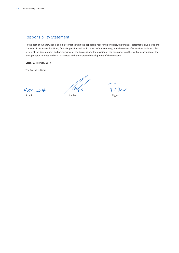## Responsibility Statement

To the best of our knowledge, and in accordance with the applicable reporting principles, the financial statements give a true and fair view of the assets, liabilities, financial position and profit or loss of the company, and the review of operations includes a fair review of the development and performance of the business and the position of the company, together with a description of the principal opportunities and risks associated with the expected development of the company.

Essen, 27 February 2017

The Executive Board

carit

'WU

Schmitz Krebber Tigges

 $V$ lku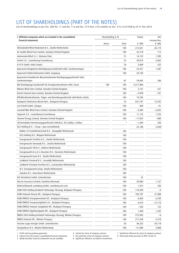# LIST OF SHAREHOLDINGS (PART OF THE NOTES)

List of shareholdings as per Sec. 285 No. 11 and No. 11a and Sec. 313 Para. 2 (in relation to Sec. 315 a I) of HGB as of 31 Dec 2016

| I. Affiliated companies which are included in the consolidated                | Shareholding in % |       | Equity    | Net                   |  |
|-------------------------------------------------------------------------------|-------------------|-------|-----------|-----------------------|--|
| financial statements                                                          |                   | Total | € '000    | income/loss<br>€ '000 |  |
| Aktivabedrijf Wind Nederland B.V., Zwolle/Netherlands                         | Direct            | 100   |           |                       |  |
| An Suidhe Wind Farm Limited, Swindon/United Kingdom                           |                   |       | 212,021   | 26,174                |  |
|                                                                               |                   | 100   | 22,218    | 712                   |  |
| Andromeda Wind S.r.l., Bolzano/Italy                                          |                   | 51    | 14,152    | 1,595                 |  |
| Artelis S.A., Luxembourg/Luxembourg                                           |                   | 53    | 39,074    | 2,663                 |  |
| A/V/E GmbH, Halle (Saale)                                                     |                   | 76    | 2,069     | 522                   |  |
| Bayerische Bergbahnen-Beteiligungs-Gesellschaft mbH, Gundremmingen            |                   | 100   | 25,431    | 1,307                 |  |
| Bayerische Elektrizitätswerke GmbH, Augsburg                                  |                   | 100   | 24,728    |                       |  |
| Bayerische-Schwäbische Wasserkraftwerke Beteiligungsgesellschaft mbH,         |                   |       |           |                       |  |
| Gundremmingen                                                                 |                   | 62    | 54,665    | 266                   |  |
| BGE Beteiligungs-Gesellschaft für Energieunternehmen mbH, Essen               | 100               | 100   | 4,317,964 |                       |  |
| Bilbster Wind Farm Limited, Swindon/United Kingdom                            |                   | 100   | 3,101     | 231                   |  |
| Bristol Channel Zone Limited, Swindon/United Kingdom                          |                   | 100   | $-2,059$  | $-101$                |  |
| BTB-Blockheizkraftwerks, Träger- und Betreibergesellschaft mbH Berlin, Berlin |                   | 100   | 19,783    | 1                     |  |
| Budapesti Elektromos Muvek Nyrt., Budapest/Hungary                            |                   | 55    | 637,797   | 15,555                |  |
| Carl Scholl GmbH, Cologne                                                     |                   | 100   | 609       | -41                   |  |
| Carnedd Wen Wind Farm Limited, Swindon/United Kingdom                         |                   | 100   | -3,484    | $-3,625$              |  |
| Cegecom S.A., Luxembourg/Luxembourg                                           |                   | 100   | 11,125    | 1,225                 |  |
| Channel Energy Limited, Swindon/United Kingdom                                |                   | 100   | $-17.024$ | $-800$                |  |
| CR-Immobilien-Vermietungsgesellschaft mbH & Co. KG Cottbus, Cottbus           |                   | 8     | $-1,284$  | 426                   |  |
| EGG Holding B.V. - Group - (pre-consolidated)                                 |                   |       | 22,188    | 2,030 <sup>2</sup>    |  |
| Bakker CV Installatietechniek B.V., Zwaagdijk/Netherlands                     |                   | 100   |           |                       |  |
| EGG Holding B.V., Meppel/Netherlands                                          |                   | 100   |           |                       |  |
| Energiewacht Facilities B.V., Zwolle/Netherlands                              |                   | 100   |           |                       |  |
| Energiewacht Steenwijk B.V., Zwolle/Netherlands                               |                   | 100   |           |                       |  |
| Energiewacht VKI B.V., Dalfsen/Netherlands                                    |                   | 100   |           |                       |  |
| Energiewacht-A.G.A.S.-Deventer B.V., Deventer/Netherlands                     |                   | 100   |           |                       |  |
| Energiewacht-Gazo B.V., Zwolle/Netherlands                                    |                   | 100   |           |                       |  |
| GasWacht Friesland B.V., Gorredijk/Netherlands                                |                   | 100   |           |                       |  |
| GasWacht Friesland Facilities B.V., Leeuwarden/Netherlands                    |                   | 100   |           |                       |  |
| N.V. Energiewacht-Groep, Zwolle/Netherlands                                   |                   | 100   |           |                       |  |
| Sebukro B.V., Amersfoort/Netherlands                                          |                   | 100   |           |                       |  |
| ELE Verteilnetz GmbH, Gelsenkirchen                                           |                   | 100   | 25        |                       |  |
| Electra Insurance Limited, Hamilton/Bermuda                                   |                   | 100   | 29,060    | 1,157                 |  |
| Elektrizitätswerk Landsberg GmbH, Landsberg am Lech                           |                   | 100   | 1,015     | 426                   |  |
| ELMU DSO Holding Korlátolt Felelosségu Társaság, Budapest/Hungary             |                   | 100   | 716,450   | -6                    |  |
| ELMU Halozati Eloszto Kft., Budapest/Hungary                                  |                   | 100   | 785,797   | 27,088                |  |
| ELMU-ÉMÁSZ Energiakereskedo Kft., Budapest/Hungary                            |                   | 100   | 6,856     | 6,350                 |  |
| ELMU-ÉMÁSZ Energiaszolgáltató Zrt., Budapest/Hungary                          |                   | 100   | 6,010     |                       |  |
| ELMU-ÉMÁSZ Halozati Szolgáltató Kft., Budapest/Hungary                        |                   | 100   | $-220$    | $-13,710$             |  |
|                                                                               |                   |       |           | 122                   |  |
| ELMU-ÉMÁSZ Ügyfélszolgálati Kft., Budapest/Hungary                            |                   | 100   | 1,440     | 1,422                 |  |
| ÉMÁSZ DSO Holding Korlátolt Felelosségu Társaság, Miskolc/Hungary             |                   | 100   | 272,945   | -6                    |  |
| ÉMÁSZ Halozati Kft., Miskolc/Hungary                                          |                   | 100   | 277,250   | 4,278                 |  |
| Emscher Lippe Energie GmbH, Gelsenkirchen                                     |                   | 50    | 46,325    | 29,718                |  |
| Energiedirect B.V., Waalre/Netherlands                                        |                   | 100   | $-51,980$ | 4,800                 |  |

2 Figures from the Group's consolidated financial statements. 5 No control by virtue of company contract.<br>3 Newly founded, financial statements not yet available. 6 Significant influence via indirect investments. 3 Newly founded, financial statements not yet available.

1 Profit and loss-pooling agreement. 4 Control by virtue of company contract. 7 Significant influence by virtue of company contract. 2 Figures from the Group's consolidated financial statements. 5 No control by virtue of c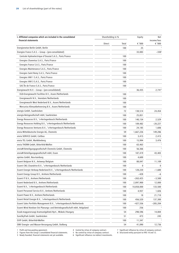| I. Affiliated companies which are included in the consolidated                   | Shareholding in % |       | Equity     | Net<br>income/loss<br>€ $'000$ |
|----------------------------------------------------------------------------------|-------------------|-------|------------|--------------------------------|
| financial statements                                                             | Direct            | Total | € '000     |                                |
| Energienetze Berlin GmbH, Berlin                                                 |                   | 100   | 25         |                                |
| Energies France S.A.S. – Group – (pre-consolidated)                              |                   |       | 33,083     | $-338^{2}$                     |
| Centrale Hydroelectrique d'Oussiat S.A.S., Paris/France                          |                   | 100   |            |                                |
| Energies Charentus S.A.S., Paris/France                                          |                   | 100   |            |                                |
| Energies France S.A.S., Paris/France                                             |                   | 100   |            |                                |
| Energies Maintenance S.A.S., Paris/France                                        |                   | 100   |            |                                |
| Energies Saint Remy S.A.S., Paris/France                                         |                   | 100   |            |                                |
| Energies VAR 1 S.A.S., Paris/France                                              |                   | 100   |            |                                |
| Energies VAR 3 S.A.S., Paris/France                                              |                   | 100   |            |                                |
| SAS Île de France S.A.S., Paris/France                                           |                   | 100   |            |                                |
| Energiewacht N.V. - Group - (pre-consolidated)                                   |                   |       | 36,435     | 2,741 <sup>2</sup>             |
| EGD-Energiewacht Facilities B.V., Assen/Netherlands                              |                   | 100   |            |                                |
| Energiewacht N.V., Veendam/Netherlands                                           |                   | 100   |            |                                |
| Energiewacht West Nederland B.V., Assen/Netherlands                              |                   | 100   |            |                                |
|                                                                                  |                   |       |            |                                |
| Mercurius Klimaatbeheersing B.V., Assen/Netherlands<br>energis GmbH, Saarbrücken |                   | 100   |            |                                |
|                                                                                  |                   | 72    | 138,514    | 24,454                         |
| energis-Netzgesellschaft mbH, Saarbrücken                                        |                   | 100   | 25,851     |                                |
| Energy Resources B.V., 's-Hertogenbosch/Netherlands                              |                   | 100   | 140,154    | 2,529                          |
| Energy Resources Holding B.V., 's-Hertogenbosch/Netherlands                      |                   | 100   | 109,482    | $-20,227$                      |
| Energy Resources Ventures B.V., 's-Hertogenbosch/Netherlands                     |                   | 100   | 24,185     | 1,606                          |
| envia Mitteldeutsche Energie AG, Chemnitz                                        |                   | 59    | 1,667,226  | 149,286                        |
| envia SERVICE GmbH, Cottbus                                                      |                   | 100   | 3,415      | 2,415                          |
| envia TEL GmbH, Markkleeberg                                                     |                   | 100   | 15,994     | 3,476                          |
| envia THERM GmbH, Bitterfeld-Wolfen                                              |                   | 100   | 63,463     |                                |
| enviaM Beteiligungsgesellschaft Chemnitz GmbH, Chemnitz                          |                   | 100   | 56,366     |                                |
| enviaM Beteiligungsgesellschaft mbH, Essen                                       |                   | 100   | 187,419    | 43,403                         |
| eprimo GmbH, Neu-Isenburg                                                        |                   | 100   | 4,600      |                                |
| Essent Belgium N.V., Antwerp/Belgium                                             |                   | 100   | 88,047     | 11,109                         |
| Essent CNG Cleandrive B.V., 's-Hertogenbosch/Netherlands                         |                   | 100   | 0          | 0                              |
| Essent Energie Verkoop Nederland B.V., 's-Hertogenbosch/Netherlands              |                   | 100   | 128,220    | $-1,680$                       |
| Essent Energy Group B.V., Arnhem/Netherlands                                     |                   | 100   | $-428$     | $-6$                           |
| Essent IT B.V., Arnhem/Netherlands                                               |                   | 100   | $-263,425$ | $-3,500$                       |
| Essent Nederland B.V., Arnhem/Netherlands                                        |                   | 100   | 2,897,900  | 12,000                         |
| Essent N.V., 's-Hertogenbosch/Netherlands                                        |                   | 100   | 10,858,000 | 133,500                        |
| Essent Personeel Service B.V., Arnhem/Netherlands                                |                   | 100   | 4,937      | 1,026                          |
| Essent Power B.V., Arnhem/Netherlands                                            |                   | 100   | 18         | 21,710                         |
| Essent Retail Energie B.V., 's-Hertogenbosch/Netherlands                         |                   | 100   | 456,520    | 137,300                        |
| Essent Sales Portfolio Management B.V., 's-Hertogenbosch/Netherlands             |                   | 100   | $-427,556$ | $-285,204$                     |
| Essent Wind Nordsee Ost Planungs- und Betriebsgesellschaft mbH, Helgoland        |                   | 100   | 256        |                                |
| Eszak-magyarorszagi Aramszolgáltató Nyrt., Miskolc/Hungary                       |                   | 54    | 298,596    | 14,004                         |
| EuroSkyPark GmbH, Saarbrücken                                                    |                   | 51    | 473        | 245                            |
| EVIP GmbH, Bitterfeld-Wolfen                                                     |                   | 100   | 11,347     |                                |
| EWV Energie- und Wasser-Versorgung GmbH, Stolberg                                |                   | 54    | 41,090     | 12,736                         |

1 Profit and loss-pooling agreement. 4 Control by virtue of company contract. 7 Significant influence by virtue of company contract.

3 Newly founded, financial statements not yet available. 6 Significant influence via indirect investments.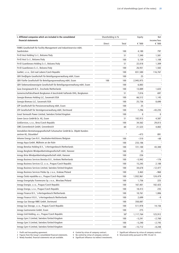| I. Affiliated companies which are included in the consolidated                      | Shareholding in % |                 | Equity    | Net                   |
|-------------------------------------------------------------------------------------|-------------------|-----------------|-----------|-----------------------|
| financial statements                                                                | Direct            | Total           | € '000    | income/loss<br>€ '000 |
| FAMIS Gesellschaft für Facility Management und Industrieservice mbH,<br>Saarbrücken |                   | 100             | 4,180     | 797                   |
| Fri-El Anzi Holding S.r.l., Bolzano/Italy                                           |                   | 51              | 7,340     | 1,581                 |
| Fri-El Anzi S.r.l., Bolzano/Italy                                                   |                   | 100             | 5,159     | 1,108                 |
| Fri-El Guardionara Holding S.r.l., Bolzano/Italy                                    |                   | 51              | 22,018    | 1,309                 |
| Fri-El Guardionara S.r.l., Bolzano/Italy                                            |                   | 100             | 26,931    | 1,502                 |
| GasNet, s.r.o., Ústí nad Labem/Czech Republic                                       |                   | 100             | 831,580   | 116,767               |
| GBV Dreißigste Gesellschaft für Beteiligungsverwaltung mbH, Essen                   |                   | 100             | 25        |                       |
| GBV Fünfte Gesellschaft für Beteiligungsverwaltung mbH, Essen                       | 100               | 100             | 2,945,975 | $\mathbbm{1}$         |
| GBV Siebenundzwanzigste Gesellschaft für Beteiligungsverwaltung mbH, Essen          |                   | 100             | 6,883     |                       |
| Geas Energiewacht B.V., Enschede/Netherlands                                        |                   | 100             | 13,889    | 1,633                 |
| Gemeinschaftskraftwerk Bergkamen A beschränkt haftende OHG, Bergkamen               |                   | 51              | 7,016     | 697                   |
| Georgia Biomass Holding LLC, Savannah/USA                                           |                   | 100             | 66,512    | 1,145                 |
| Georgia Biomass LLC, Savannah/USA                                                   |                   | 100             | 25,736    | 8,690                 |
| GfP Gesellschaft für Pensionsverwaltung mbH, Essen                                  |                   | 100             | 25        |                       |
| GfV Gesellschaft für Vermögensverwaltung mbH, Dortmund                              |                   | 100             | 7,296     | $-43,235$             |
| Great Yarmouth Power Limited, Swindon/United Kingdom                                |                   | 100             | $\Omega$  | $\mathbf 0$           |
| Green Gecco GmbH & Co. KG, Essen                                                    |                   | 51              | 102,913   | 4,587                 |
| GridServices, s.r.o., Brno/Czech Republic                                           |                   | 100             | 34,562    | 29,813                |
| GWG Grevenbroich GmbH, Grevenbroich                                                 |                   | 60              | 21,523    | 4,802                 |
| Immobilien-Vermietungsgesellschaft Schumacher GmbH & Co. Objekt Kunden-             |                   |                 |           |                       |
| zentren KG, Düsseldorf                                                              |                   | 8               | $-473$    | 891                   |
| Inhome Energy Care N.V., Houthalen-Helchteren/Belgium                               |                   | 100             | $-310$    | $-68$                 |
| innogy Aqua GmbH, Mülheim an der Ruhr                                               |                   | 100             | 233,106   |                       |
| innogy Benelux Holding B.V., 's-Hertogenbosch/Netherlands                           |                   | 100             | 721,100   | 43,300                |
| innogy Bergheim Windparkbetriebsgesellschaft mbH, Hanover                           |                   | 100             | 25        |                       |
| innogy Brise Windparkbetriebsgesellschaft mbH, Hanover                              |                   | 100             | 226       |                       |
| innogy Business Services Benelux B.V., Arnhem/Netherlands                           |                   | 100             | $-5,942$  | $-176$                |
| innogy Business Services CZ, s.r.o., Prague/Czech Republic                          |                   | 100             | 15,245    | 2,188                 |
| Innogy Business Services Limited, Swindon/United Kingdom                            |                   | 100             | 34,678    | $-12,477$             |
| innogy Business Services Polska Sp. z o.o., Krakow/Poland                           |                   | 100             | 3,463     | $-960$                |
| innogy Česká republika a.s., Prague/Czech Republic                                  |                   | 100             | 1,932,961 | 124,479               |
| innogy Energetyka Trzemeszno Sp. z o.o., Wrocław/Poland                             |                   | 100             | 1,756     | 225                   |
| innogy Energie, s.r.o., Prague/Czech Republic                                       |                   | 100             | 167,401   | 102,423               |
| innogy Energo, s.r.o., Prague/Czech Republic                                        |                   | 100             | 18,413    | 235                   |
| innogy Finance B.V., 's-Hertogenbosch/Netherlands                                   |                   | 100             | 10,761    | 1,806                 |
| innogy Finance II B.V., 's-Hertogenbosch/Netherlands                                |                   | 100             | 2,699     | -9                    |
| innogy Gas Storage NWE GmbH, Dortmund                                               |                   | 100             | 350,087   |                       |
| innogy Gas Storage, s.r.o., Prague/Czech Republic                                   |                   | 100             | 511,978   | 14,156                |
| innogy Gastronomie GmbH, Essen                                                      |                   | 100             | 275       |                       |
| innogy Grid Holding, a.s., Prague/Czech Republic                                    |                   | 50 <sup>4</sup> | 1,117,764 | 123,912               |
| Innogy Gym 2 Limited, Swindon/United Kingdom                                        |                   | 100             | $-5,241$  | $-2,760$              |
| Innogy Gym 3 Limited, Swindon/United Kingdom                                        |                   | 100             | $-5,240$  | $-2,745$              |
| Innogy Gym 4 Limited, Swindon/United Kingdom                                        |                   | 100             | $-15,712$ | $-8,248$              |

3 Newly founded, financial statements not yet available. 6 Significant influence via indirect investments.

2 Figures from the Group's consolidated financial statements. 5 No control by virtue of company contract. 8 Structured entity pursuant to IFRS 10 and 12.

<sup>1</sup> Profit and loss-pooling agreement. 4 Control by virtue of company contract. 7 Significant influence by virtue of company contract.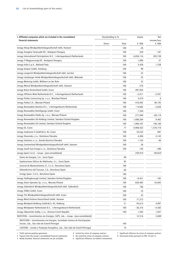| I. Affiliated companies which are included in the consolidated<br>Shareholding in %                                      |        |       | Equity    | Net                     |
|--------------------------------------------------------------------------------------------------------------------------|--------|-------|-----------|-------------------------|
| financial statements                                                                                                     | Direct | Total | € '000    | income/loss<br>€ $'000$ |
| innogy Hörup Windparkbetriebsgesellschaft mbH, Hanover                                                                   |        | 100   | 26        |                         |
| innogy Hungária Tanácsadó Kft., Budapest/Hungary                                                                         |        | 100   | 520       | $-181$                  |
| innogy International Participations N.V., 's-Hertogenbosch/Netherlands                                                   |        | 100   | 6,050,116 | 205,758                 |
| innogy IT Magyarország Kft., Budapest/Hungary                                                                            |        | 100   | 1,090     | 37                      |
| innogy Italia S.p.A., Mailand/Italy                                                                                      |        | 100   | 5,428     | 1,238                   |
| innogy Kaskasi GmbH, Hamburg                                                                                             |        | 100   | 99        |                         |
| innogy Lengerich Windparkbetriebsgesellschaft mbH, Gersten                                                               |        | 100   | 25        |                         |
| innogy Lüneburger Heide Windparkbetriebsgesellschaft mbH, Walsrode                                                       |        | 100   | 25        | 1                       |
| innogy Metering GmbH, Mülheim an der Ruhr                                                                                |        | 100   | 25        |                         |
| innogy Mistral Windparkbetriebsgesellschaft mbH, Hanover                                                                 |        | 100   | 578       |                         |
| innogy Netze Deutschland GmbH, Essen                                                                                     |        | 100   | 497,854   |                         |
| innogy Offshore Wind Netherlands B.V., 's-Hertogenbosch/Netherlands                                                      |        | 100   | $-2,911$  | $-2,931$                |
| innogy Polska Contracting Sp. z o.o., Wrocław/Poland                                                                     |        | 100   | 5,419     | $\Omega$                |
| innogy Polska S.A., Warsaw/Poland                                                                                        |        | 100   | 416,942   | 90,193                  |
| innogy Renewables Benelux B.V., 's-Hertogenbosch/Netherlands                                                             |        | 100   | $-14,682$ | $-3,628$                |
| innogy Renewables Beteiligungs GmbH, Essen                                                                               |        | 100   | 7,350     |                         |
| innogy Renewables Polska Sp. z o.o., Warsaw/Poland                                                                       |        | 100   | 277,049   | $-69,119$               |
| Innogy Renewables UK Holdings Limited, Swindon/United Kingdom                                                            |        | 100   | 1,688,264 | 9,462                   |
| Innogy Renewables UK Limited, Swindon/United Kingdom                                                                     |        | 100   | 1,996,707 | 140,160                 |
| innogy SE, Essen                                                                                                         |        | 77    | 8,908,422 | 1,578,710               |
| innogy Seabreeze II GmbH & Co. KG, Essen                                                                                 |        | 100   | 33,232    | 697                     |
| innogy Slovensko s.r.o., Bratislava/Slovakia                                                                             |        | 100   | 4,494     | 4,143                   |
| innogy Solutions s.r.o., Banská Bystrica/Slovakia                                                                        |        | 100   | 1,103     | 60                      |
| innogy Sommerland Windparkbetriebsgesellschaft mbH, Hanover                                                              |        | 100   | 26        |                         |
| innogy South East Europe s.r.o., Bratislava/Slovakia                                                                     |        | 100   | 720       | $-390$                  |
| innogy Spain S.A.U. - Group - (pre-consolidated)                                                                         |        |       | 259,919   | $-99,823^2$             |
| Danta de Energías, S.A., Soria/Spain                                                                                     |        | 99    |           |                         |
| Explotaciones Eólicas de Aldehuelas, S.L., Soria/Spain                                                                   |        | 95    |           |                         |
| General de Mantenimiento 21, S.L.U., Barcelona/Spain                                                                     |        | 100   |           |                         |
| Hidroeléctrica del Trasvase, S.A., Barcelona/Spain                                                                       |        | 60    |           |                         |
| innogy Spain, S.A.U., Barcelona/Spain                                                                                    |        | 100   |           |                         |
| Innogy Stallingborough Limited, Swindon/United Kingdom                                                                   |        | 100   | $-8,451$  | $-182$                  |
| innogy Stoen Operator Sp. z o.o., Warsaw/Poland                                                                          |        | 100   | 650,485   | 54,845                  |
| innogy Süderdeich Windparkbetriebsgesellschaft mbH, Süderdeich                                                           |        | 100   | 106       |                         |
| innogy TelNet GmbH, Essen                                                                                                |        | 100   | 25        | $\mathbf{1}$            |
| innogy Titz Windparkbetriebsgesellschaft mbH, Essen                                                                      |        | 100   | 25        | 1                       |
| innogy Wind Onshore Deutschland GmbH, Hanover                                                                            |        | 100   | 77,373    |                         |
| innogy Windpark Bedburg GmbH & Co. KG, Bedburg                                                                           |        | 51    | 93,613    | 4,997                   |
| innogy Windpower Netherlands B.V., 's-Hertogenbosch/Netherlands                                                          |        | 100   | -36,316   | -4,582                  |
| innogy Zákaznické služby, s.r.o., Ostrava/Czech Republic                                                                 |        | 100   | 1,445     | 1,037                   |
| INVESTERG – Investimentos em Energias, SGPS, Lda. – Group – (pre-consolidated)                                           |        |       | 12,516    | $3,084^2$               |
| INVESTERG - Investimentos em Energias, Sociedade Gestora de Participações<br>Sociais, Lda., São João do Estoril/Portugal |        | 100   |           |                         |
| LUSITERG - Gestão e Produção Energética, Lda., São João do Estoril/Portugal                                              |        | 74    |           |                         |

1 Profit and loss-pooling agreement. 4 Control by virtue of company contract. 7 Significant influence by virtue of company contract.

3 Newly founded, financial statements not yet available. 6 Significant influence via indirect investments.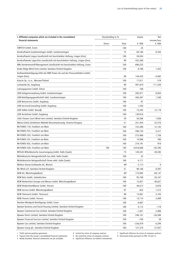| I. Affiliated companies which are included in the consolidated                            | Shareholding in % |                       | Equity         | Net                   |
|-------------------------------------------------------------------------------------------|-------------------|-----------------------|----------------|-----------------------|
| financial statements                                                                      | Direct            | Total                 | € '000         | income/loss<br>€ '000 |
| <b>iSWITCH GmbH, Essen</b>                                                                |                   | 100                   | 25             | 1                     |
| Kernkraftwerk Gundremmingen GmbH, Gundremmingen                                           |                   | 75                    | 84,184         | 8,343                 |
| Kernkraftwerk Lingen Gesellschaft mit beschränkter Haftung, Lingen (Ems)                  |                   | 100                   | 20,034         | $\mathbf{1}$          |
| Kernkraftwerke Lippe-Ems Gesellschaft mit beschränkter Haftung, Lingen (Ems)              |                   | 99                    | 432,269        | 1                     |
| KMG Kernbrennstoff-Management Gesellschaft mit beschränkter Haftung, Essen                |                   | 100                   | 696,225        |                       |
| Knabs Ridge Wind Farm Limited, Swindon/United Kingdom                                     |                   | 100                   | 8,788          | 1,422                 |
| Kraftwerksbeteiligungs-OHG der RWE Power AG und der PreussenElektra GmbH,<br>Lingen (Ems) |                   | 88                    | 144,433        | $-4,082$              |
| Krzecin Sp. z o.o., Warsaw/Poland                                                         |                   | 100                   | 17,011         | 519                   |
| Lechwerke AG, Augsburg                                                                    |                   | 90                    | 491,819        | 111,520               |
| Leitungspartner GmbH, Düren                                                               |                   | 100                   | 100            |                       |
| LEW Anlagenverwaltung GmbH, Gundremmingen                                                 |                   | 100                   | 282,071        | 8,854                 |
| LEW Beteiligungsgesellschaft mbH, Gundremmingen                                           |                   | 100                   | 456,307        | 1,540                 |
| LEW Netzservice GmbH, Augsburg                                                            |                   | 100                   | 87             |                       |
| LEW Service & Consulting GmbH, Augsburg                                                   |                   | 100                   | 1,250          | $\mathbf{1}$          |
| LEW TelNet GmbH, Neusäß                                                                   |                   | 100                   | 13,342         | 12,118                |
| LEW Verteilnetz GmbH, Augsburg                                                            |                   | 100                   | 139,816        |                       |
| Little Cheyne Court Wind Farm Limited, Swindon/United Kingdom                             |                   | 59                    | 50,366         | 7,836                 |
| Mátrai Erömü Zártkörüen Müködö Részvénytársaság, Visonta/Hungary                          |                   | 51                    | 351,434        | 33,370                |
| MI-FONDS 178, Frankfurt am Main                                                           |                   | 100                   | 722,490        | 12,145                |
| MI-FONDS F55, Frankfurt am Main                                                           |                   | 100                   | 596,754        | 5,417                 |
| MI-FONDS G55, Frankfurt am Main                                                           |                   | 100                   | 273,968        | 1,756                 |
| MI-FONDS J55, Frankfurt am Main                                                           |                   | 100                   | 14,996         | 390                   |
| MI-FONDS K55, Frankfurt am Main                                                           |                   | 100                   | 274,191        | 910                   |
| MI-FONDS G50, Frankfurt am Main                                                           | 100               | 100                   | 4,916,606      | -83,395               |
| MITGAS Mitteldeutsche Gasversorgung GmbH, Halle (Saale)                                   |                   | 75                    |                |                       |
| Mitteldeutsche Netzgesellschaft Gas mbH, Halle (Saale)                                    |                   | 100                   | 120,341<br>25  | 28,385                |
| Mitteldeutsche Netzgesellschaft Strom mbH, Halle (Saale)                                  |                   | 100                   |                |                       |
| Mittlere Donau Kraftwerke AG, Munich                                                      |                   | 40 <sup>8</sup>       | 4,171<br>5,113 | 0                     |
|                                                                                           |                   |                       |                |                       |
| ML Wind LLP, Swindon/United Kingdom<br>NEW AG, Mönchengladbach                            |                   | 51<br>40 <sup>4</sup> | 90,166         | 8,597                 |
|                                                                                           |                   |                       | 175,895        | 69,137                |
| NEW Netz GmbH, Geilenkirchen                                                              |                   | 100                   | 95,769         | 20,167                |
| NEW Niederrhein Energie und Wasser GmbH, Mönchengladbach                                  |                   | 100                   | 15,857         | 40,627                |
| NEW NiederrheinWasser GmbH, Viersen                                                       |                   | 100                   | 46,613         | 9,870                 |
| NEW Service GmbH, Mönchengladbach                                                         |                   | 97                    | 825            | 1,512                 |
| NEW Tönisvorst GmbH, Tönisvorst                                                           |                   | 98                    | 13,961         | 3,103                 |
| NEW Viersen GmbH, Viersen                                                                 |                   | 100                   | 13,714         | 2,699                 |
| Nordsee Windpark Beteiligungs GmbH, Essen                                                 |                   | 100                   | 8,087          |                       |
| Npower Business and Social Housing Limited, Swindon/United Kingdom                        |                   | 100                   | 4,112          | -718                  |
| Npower Commercial Gas Limited, Swindon/United Kingdom                                     |                   | 100                   | $-1,851$       | 2,990                 |
| Npower Direct Limited, Swindon/United Kingdom                                             |                   | 100                   | 246,141        | $-26,506$             |
| Npower Financial Services Limited, Swindon/United Kingdom                                 |                   | 100                   | $-194$         | 28                    |
| Npower Gas Limited, Swindon/United Kingdom                                                |                   | 100                   | $-226,879$     | 6,294                 |
| Npower Group plc, Swindon/United Kingdom                                                  |                   | 100                   | 127,310        | 27,957                |

2 Figures from the Group's consolidated financial statements. 5 No control by virtue of company contract. 8 Structured entity pursuant to IFRS 10 and 12.

Figures from the Group's consolidated financial statements.<br>
3 Newly founded, financial statements not yet available.<br>
5 Newly founded, financial statements not yet available.<br>
6 Significant influence via indirect investme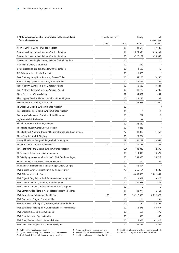| I. Affiliated companies which are included in the consolidated      | Shareholding in % |                 | Equity       | Net                   |
|---------------------------------------------------------------------|-------------------|-----------------|--------------|-----------------------|
| financial statements                                                | Direct            | Total           | € '000       | income/loss<br>€ '000 |
| Npower Limited, Swindon/United Kingdom                              |                   | 100             | 108,622      | $-47,405$             |
| Npower Northern Limited, Swindon/United Kingdom                     |                   | 100             | $-1,074,542$ | $-216,363$            |
| Npower Yorkshire Limited, Swindon/United Kingdom                    |                   | 100             | $-722,161$   | $-34,599$             |
| Npower Yorkshire Supply Limited, Swindon/United Kingdom             |                   | 100             | 0            | 0                     |
| NRW Pellets GmbH, Erndtebrück                                       |                   | 100             | 312          |                       |
| Octopus Electrical Limited, Swindon/United Kingdom                  |                   | 100             | 2,529        | 0                     |
| OIE Aktiengesellschaft, Idar-Oberstein                              |                   | 100             | 11,426       |                       |
| Park Wiatrowy Nowy Staw Sp. z o.o., Warsaw/Poland                   |                   | 100             | 64,183       | 3,140                 |
| Park Wiatrowy Opalenica Sp. z o.o., Warsaw/Poland                   |                   | 100             | 22,291       | 157                   |
| Park Wiatrowy Suwałki Sp. z o.o., Warsaw/Poland                     |                   | 100             | 56,620       | 3,521                 |
| Park Wiatrowy Tychowo Sp. z o.o., Warsaw/Poland                     |                   | 100             | 41,120       | $-6,200$              |
| Piecki Sp. z o.o., Warsaw/Poland                                    |                   |                 |              |                       |
|                                                                     |                   | 51              | 34,451       | -44                   |
| Plus Shipping Services Limited, Swindon/United Kingdom              |                   | 100             | 29,125       | 88                    |
| Powerhouse B.V., Almere/Netherlands                                 |                   | 100             | 42,918       | 11,000                |
| PS Energy UK Limited, Swindon/United Kingdom                        |                   | 100             |              |                       |
| Regenesys Holdings Limited, Swindon/United Kingdom                  |                   | 100             | 0            | 0                     |
| Regenesys Technologies, Swindon/United Kingdom                      |                   | 100             | 732          | 7                     |
| regionetz GmbH, Eschweiler                                          |                   | 100             | 37           | $\overline{1}$        |
| Rheinbraun Brennstoff GmbH, Cologne                                 |                   | 100             | 82,619       | 1                     |
| Rheinische Baustoffwerke GmbH, Bergheim                             |                   | 100             | 9,236        |                       |
| Rheinkraftwerk Albbruck-Dogern Aktiengesellschaft, Waldshut-Tiengen |                   | 77              | 31,080       | 1,757                 |
| Rhein-Sieg Netz GmbH, Siegburg                                      |                   | 100             | 20,774       | $\overline{1}$        |
| rhenag Rheinische Energie Aktiengesellschaft, Cologne               |                   | 67              | 152,182      | 38,059                |
| Rhenas Insurance Limited, Sliema/Malta                              | 100               | 100             | 57,736       | 22                    |
| Rhyl Flats Wind Farm Limited, Swindon/United Kingdom                |                   | 50 <sup>4</sup> | 188,010      | 12,295                |
| RL Besitzgesellschaft mbH, Gundremmingen                            |                   | 100             | 114,033      | 13,629                |
| RL Beteiligungsverwaltung beschr. haft. OHG, Gundremmingen          |                   | 100             | 353,300      | 24,713                |
| RUMM Limited, Ystrad Mynach/United Kingdom                          |                   | 100             | 360          | 47                    |
| RV Rheinbraun Handel und Dienstleistungen GmbH, Cologne             |                   | 100             | 36,694       |                       |
| RWE & Turcas Güney Elektrik Üretim A.S., Ankara/Turkey              |                   | 70              | 265,164      | -18,289               |
| RWE Aktiengesellschaft, Essen                                       |                   |                 | 4,696,888    | $-1,001,451$          |
| RWE Cogen UK (Hythe) Limited, Swindon/United Kingdom                |                   | 100             | 9,989        | $-827$                |
| RWE Cogen UK Limited, Swindon/United Kingdom                        |                   | 100             | 167,988      | 231                   |
| RWE Cogen UK Trading Limited, Swindon/United Kingdom                |                   | 100             | 0            | 0                     |
| RWE Corner Participations B.V., 's-Hertogenbosch/Netherlands        |                   | 100             | 49,222       | 5,153                 |
| RWE Downstream Beteiligungs GmbH, Essen                             | 100               | 100             | 18,117,855   | 8,252,629             |
| RWE East, s.r.o., Prague/Czech Republic                             |                   | 100             | 204          | 167                   |
| RWE Eemshaven Holding B.V., 's-Hertogenbosch/Netherlands            |                   | 100             | 20           | -14,751               |
| RWE Eemshaven Holding II B.V., Geertruidenberg/Netherlands          |                   | 100             | $-54,276$    | $-68,017$             |
| RWE Energie S.R.L., Bucharest/Romania                               |                   | 100             | 556          | $-379$                |
| RWE Energija d.o.o., Zagreb/Croatia                                 |                   | 100             | 695          | $-1,052$              |
| RWE Enerji Toptan Satis A.S., Istanbul/Turkey                       |                   | 100             | 5,858        | $-2,518$              |
| RWE Generation Belgium N.V., Antwerp/Belgium                        |                   | 100             | 163,387      | 5,559                 |

3 Newly founded, financial statements not yet available. 6 Significant influence via indirect investments.

<sup>2</sup> Figures from the Group's consolidated financial statements. 5 No control by virtue of company contract. 8 Structured entity pursuant to IFRS 10 and 12.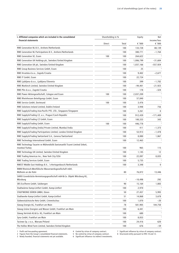| income/loss<br>financial statements<br>€ '000<br>Direct<br>Total<br>€ $'000$<br>RWE Generation NL B.V., Arnhem/Netherlands<br>100<br>133,728<br>88,139<br>RWE Generation NL Participations B.V., Arnhem/Netherlands<br>100<br>380,771<br>$-1,764$<br><b>RWE Generation SE, Essen</b><br>100<br>100<br>264,622<br>RWE Generation UK Holdings plc, Swindon/United Kingdom<br>100<br>1,006,799<br>-31,604<br>RWE Generation UK plc, Swindon/United Kingdom<br>100<br>1,037,166<br>-557,924<br>RWE Group Business Services GmbH, Essen<br>100<br>25<br>RWE Hrvatska d.o.o., Zagreb/Croatia<br>100<br>9,402<br>$-2,677$ | Net          |
|--------------------------------------------------------------------------------------------------------------------------------------------------------------------------------------------------------------------------------------------------------------------------------------------------------------------------------------------------------------------------------------------------------------------------------------------------------------------------------------------------------------------------------------------------------------------------------------------------------------------|--------------|
|                                                                                                                                                                                                                                                                                                                                                                                                                                                                                                                                                                                                                    |              |
|                                                                                                                                                                                                                                                                                                                                                                                                                                                                                                                                                                                                                    |              |
|                                                                                                                                                                                                                                                                                                                                                                                                                                                                                                                                                                                                                    |              |
|                                                                                                                                                                                                                                                                                                                                                                                                                                                                                                                                                                                                                    |              |
|                                                                                                                                                                                                                                                                                                                                                                                                                                                                                                                                                                                                                    |              |
|                                                                                                                                                                                                                                                                                                                                                                                                                                                                                                                                                                                                                    |              |
|                                                                                                                                                                                                                                                                                                                                                                                                                                                                                                                                                                                                                    |              |
|                                                                                                                                                                                                                                                                                                                                                                                                                                                                                                                                                                                                                    |              |
|                                                                                                                                                                                                                                                                                                                                                                                                                                                                                                                                                                                                                    |              |
| RWE IT GmbH, Essen<br>100<br>22,724                                                                                                                                                                                                                                                                                                                                                                                                                                                                                                                                                                                |              |
| RWE Ljubljana d.o.o., Ljubljana/Slovenia<br>399<br>100<br>$-1,702$                                                                                                                                                                                                                                                                                                                                                                                                                                                                                                                                                 |              |
| RWE Markinch Limited, Swindon/United Kingdom<br>100<br>$-94,401$<br>-21,923                                                                                                                                                                                                                                                                                                                                                                                                                                                                                                                                        |              |
| RWE Plin d.o.o., Zagreb/Croatia<br>100<br>178                                                                                                                                                                                                                                                                                                                                                                                                                                                                                                                                                                      | -324         |
| RWE Power Aktiengesellschaft, Cologne and Essen<br>100<br>100<br>2,037,209                                                                                                                                                                                                                                                                                                                                                                                                                                                                                                                                         |              |
| RWE Rheinhessen Beteiligungs GmbH, Essen<br>100<br>57,840                                                                                                                                                                                                                                                                                                                                                                                                                                                                                                                                                          | $\mathbf{1}$ |
| RWE Service GmbH, Dortmund<br>100<br>100<br>3,476                                                                                                                                                                                                                                                                                                                                                                                                                                                                                                                                                                  |              |
| RWE Solutions Ireland Limited, Dublin/Ireland<br>100<br>3,948                                                                                                                                                                                                                                                                                                                                                                                                                                                                                                                                                      | 756          |
| RWE Supply & Trading Asia-Pacific PTE. LTD., Singapore/Singapore<br>100<br>3,261                                                                                                                                                                                                                                                                                                                                                                                                                                                                                                                                   | 0            |
| RWE Supply & Trading CZ, a.s., Prague/Czech Republic<br>100<br>912,439<br>$-171,409$                                                                                                                                                                                                                                                                                                                                                                                                                                                                                                                               |              |
| RWE Supply & Trading CZ GmbH, Essen<br>100<br>100,333                                                                                                                                                                                                                                                                                                                                                                                                                                                                                                                                                              | 343          |
| RWE Supply & Trading GmbH, Essen<br>100<br>100<br>446,778                                                                                                                                                                                                                                                                                                                                                                                                                                                                                                                                                          |              |
| RWE Supply & Trading (India) Private Limited, Mumbai/India<br>100<br>411<br>$-1,373$                                                                                                                                                                                                                                                                                                                                                                                                                                                                                                                               |              |
| RWE Supply & Trading Participations Limited, London/United Kingdom<br>100<br>53,913<br>$-1,478$                                                                                                                                                                                                                                                                                                                                                                                                                                                                                                                    |              |
| RWE Supply & Trading Switzerland S.A., Geneva/Switzerland<br>100<br>8,880                                                                                                                                                                                                                                                                                                                                                                                                                                                                                                                                          | 1,867        |
| RWE Technology International GmbH, Essen<br>100<br>12,463                                                                                                                                                                                                                                                                                                                                                                                                                                                                                                                                                          | 1            |
| RWE Technology Tasarim ve Mühendislik Danismanlik Ticaret Limited Sirketi,<br>Istanbul/Turkey<br>100<br>965                                                                                                                                                                                                                                                                                                                                                                                                                                                                                                        | 115          |
| RWE Technology UK Limited, Swindon/United Kingdom<br>100<br>1,145                                                                                                                                                                                                                                                                                                                                                                                                                                                                                                                                                  | 12           |
| RWE Trading Americas Inc., New York City/USA<br>100                                                                                                                                                                                                                                                                                                                                                                                                                                                                                                                                                                |              |
| 22,097<br>RWE Trading Services GmbH, Essen                                                                                                                                                                                                                                                                                                                                                                                                                                                                                                                                                                         | 8,835        |
| 100<br>5,735                                                                                                                                                                                                                                                                                                                                                                                                                                                                                                                                                                                                       |              |
| RWEST Middle East Holdings B.V., 's-Hertogenbosch/Netherlands<br>3,348<br>100                                                                                                                                                                                                                                                                                                                                                                                                                                                                                                                                      | 0            |
| RWW Rheinisch-Westfälische Wasserwerksgesellschaft mbH,<br>Mülheim an der Ruhr<br>80<br>76,872<br>13,446                                                                                                                                                                                                                                                                                                                                                                                                                                                                                                           |              |
| SARIO Grundstücks-Vermietungsgesellschaft mbH & Co. Objekt Würzburg KG,<br>8<br>Würzburg<br>$-10,498$                                                                                                                                                                                                                                                                                                                                                                                                                                                                                                              | 292          |
| SRS EcoTherm GmbH, Salzbergen<br>90<br>15,164                                                                                                                                                                                                                                                                                                                                                                                                                                                                                                                                                                      | 1,883        |
| Stadtwärme Kamp-Lintfort GmbH, Kamp-Lintfort<br>100<br>2,970                                                                                                                                                                                                                                                                                                                                                                                                                                                                                                                                                       |              |
| STADTWERKE DÜREN GMBH, Düren<br>50<br>27,457                                                                                                                                                                                                                                                                                                                                                                                                                                                                                                                                                                       | 5,993        |
| Stadtwerke Kamp-Lintfort GmbH, Kamp-Lintfort<br>51<br>14,868                                                                                                                                                                                                                                                                                                                                                                                                                                                                                                                                                       | 3,678        |
| Südwestsächsische Netz GmbH, Crimmitschau<br>100<br>1,070                                                                                                                                                                                                                                                                                                                                                                                                                                                                                                                                                          | $-20$        |
| Süwag Energie AG, Frankfurt am Main<br>78<br>104,750<br>581,905                                                                                                                                                                                                                                                                                                                                                                                                                                                                                                                                                    |              |
| Süwag Grüne Energien und Wasser GmbH, Frankfurt am Main<br>100<br>6,441                                                                                                                                                                                                                                                                                                                                                                                                                                                                                                                                            |              |
| Süwag Vertrieb AG & Co. KG, Frankfurt am Main<br>100<br>680                                                                                                                                                                                                                                                                                                                                                                                                                                                                                                                                                        | $\mathbf{1}$ |
| Syna GmbH, Frankfurt am Main<br>100<br>8,053                                                                                                                                                                                                                                                                                                                                                                                                                                                                                                                                                                       | $\mathbf{I}$ |
| Taciewo Sp. z o.o., Warsaw/Poland<br>100<br>24,416                                                                                                                                                                                                                                                                                                                                                                                                                                                                                                                                                                 | 620          |
| The Hollies Wind Farm Limited, Swindon/United Kingdom<br>100<br>676                                                                                                                                                                                                                                                                                                                                                                                                                                                                                                                                                | -59          |

2 Figures from the Group's consolidated financial statements. 5 No control by virtue of company contract. 8 Structured entity pursuant to IFRS 10 and 12.

3 Newly founded, financial statements not yet available. 6 Significant influence via indirect investments.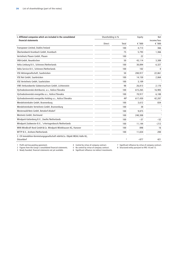| I. Affiliated companies which are included in the consolidated<br>financial statements |               | Shareholding in % |         | <b>Net</b><br>income/loss |
|----------------------------------------------------------------------------------------|---------------|-------------------|---------|---------------------------|
|                                                                                        | <b>Direct</b> | Total             | € '000  | € '000                    |
| Transpower Limited, Dublin/Ireland                                                     |               | 100               | 4.713   | 366                       |
| Überlandwerk Krumbach GmbH, Krumbach                                                   |               | 75                | 5,793   | 1,366                     |
| Verteilnetz Plauen GmbH, Plauen                                                        |               | 100               | 22      |                           |
| VKB-GmbH, Neunkirchen                                                                  |               | 50                | 43,114  | 3,389                     |
| Volta Limburg B.V., Schinnen/Netherlands                                               |               | 100               | 30,894  | 6,327                     |
| Volta Service B.V., Schinnen/Netherlands                                               |               | 100               | 102     | $\mathbf{0}$              |
| VSE Aktiengesellschaft, Saarbrücken                                                    |               | 50                | 200,917 | 22,861                    |
| VSE Net GmbH, Saarbrücken                                                              |               | 100               | 14,150  | 2,064                     |
| VSE Verteilnetz GmbH, Saarbrücken                                                      |               | 100               | 3,109   |                           |
| VWS Verbundwerke Südwestsachsen GmbH, Lichtenstein                                     |               | 98                | 26,813  | 2,170                     |
| Východoslovenská distribucná, a.s., Košice/Slovakia                                    |               | 100               | 615,265 | 16,905                    |
| Východoslovenská energetika a.s., Košice/Slovakia                                      |               | 100               | 70,917  | 6,188                     |
| Východoslovenská energetika Holding a.s., Košice/Slovakia                              |               | 494               | 617,430 | 42,207                    |
| Wendelsteinbahn GmbH, Brannenburg                                                      |               | 100               | 3,612   | 834                       |
| Wendelsteinbahn Verteilnetz GmbH, Brannenburg                                          |               | 100               | 38      | ı                         |
| Westerwald-Netz GmbH, Betzdorf-Alsdorf                                                 |               | 100               | 9,875   | ı                         |
| Westnetz GmbH, Dortmund                                                                |               | 100               | 240,308 | $\overline{1}$            |
| Windpark Kattenberg B.V., Zwolle/Netherlands                                           |               | 100               | $-37$   | $-52$                     |
| Windpark Zuidwester B.V., 's-Hertogenbosch/Netherlands                                 |               | 100               | 11,144  | $-212$                    |
| WKN Windkraft Nord GmbH & Co. Windpark Wönkhausen KG, Hanover                          |               | 100               | 898     | 16                        |
| WTTP B.V., Arnhem/Netherlands                                                          |               | 100               | 11,654  | 200                       |
| 2. CR Immobilien-Vermietungsgesellschaft mbH & Co. Objekt MEAG Halle KG,<br>Düsseldorf |               | 8                 | $-877$  | 421                       |

2 Figures from the Group's consolidated financial statements. 5 No control by virtue of company contract. 8 Structured entity pursuant to IFRS 10 and 12.

3 Newly founded, financial statements not yet available. 6 Significant influence via indirect investments.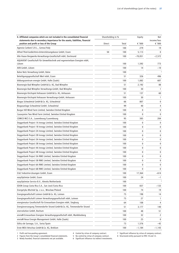| II. Affiliated companies which are not included in the consolidated financial                                             | Shareholding in % |       | Equity    | Net                     |  |
|---------------------------------------------------------------------------------------------------------------------------|-------------------|-------|-----------|-------------------------|--|
| statements due to secondary importance for the assets, liabilities, financial<br>position and profit or loss of the Group | Direct            | Total | € '000    | income/loss<br>€ $'000$ |  |
| Agenzia Carboni S.R.L., Genoa/Italy                                                                                       |                   | 100   | 279       | 19                      |  |
| Alfred Thiel-Gedächtnis-Unterstützungskasse GmbH, Essen                                                                   | 50                | 100   | 5,113     | $\mathbf{0}$            |  |
| Alte Haase Bergwerks-Verwaltungs-Gesellschaft mbH, Dortmund                                                               |                   | 100   | $-70,051$ | $-2,572$                |  |
| AQUAVENT Gesellschaft für Umwelttechnik und regenerierbare Energien mbH,<br>Lützen                                        |                   | 100   | 1,592     | 773                     |  |
| AVB GmbH, Lützen                                                                                                          |                   | 100   | 14        | $-10$                   |  |
| Balve Netz Verwaltung GmbH, Balve                                                                                         |                   | 100   |           | 3                       |  |
| Beteiligungsgesellschaft Werl mbH, Essen                                                                                  |                   | 51    | 326       | 496                     |  |
| bildungszentrum energie GmbH, Halle (Saale)                                                                               |                   | 100   | 1,082     | 607                     |  |
| Bioenergie Bad Wimpfen GmbH & Co. KG, Bad Wimpfen                                                                         |                   | 51    | 2,192     | 88                      |  |
| Bioenergie Bad Wimpfen Verwaltungs-GmbH, Bad Wimpfen                                                                      |                   | 100   | 30        | 1                       |  |
| Bioenergie Kirchspiel Anhausen GmbH & Co. KG, Anhausen                                                                    |                   | 51    | 137       | 60                      |  |
| Bioenergie Kirchspiel Anhausen Verwaltungs-GmbH, Anhausen                                                                 |                   | 100   | 30        | 1                       |  |
| Biogas Schwalmtal GmbH & Co. KG, Schwalmtal                                                                               |                   | 66    | 807       | 0                       |  |
| Biogasanlage Schwalmtal GmbH, Schwalmtal                                                                                  |                   | 99    | 40        | 4                       |  |
| Burgar Hill Wind Farm Limited, Swindon/United Kingdom                                                                     |                   | 100   | 0         | 0                       |  |
| Causeymire Two Wind Farm Limited, Swindon/United Kingdom                                                                  |                   | 100   | 0         | 0                       |  |
| COMCO MCS S.A., Luxembourg/Luxembourg                                                                                     |                   | 95    | 385       | 204                     |  |
| Doggerbank Project 1A Innogy Limited, Swindon/United Kingdom                                                              |                   | 100   | 0         | 0                       |  |
| Doggerbank Project 1B Innogy Limited, Swindon/United Kingdom                                                              |                   | 100   | 0         | 0                       |  |
| Doggerbank Project 2A Innogy Limited, Swindon/United Kingdom                                                              |                   | 100   | 0         | 0                       |  |
| Doggerbank Project 2B Innogy Limited, Swindon/United Kingdom                                                              |                   | 100   | 0         | 0                       |  |
| Doggerbank Project 3A Innogy Limited, Swindon/United Kingdom                                                              |                   | 100   | 0         | 0                       |  |
| Doggerbank Project 3B Innogy Limited, Swindon/United Kingdom                                                              |                   | 100   | 0         | 0                       |  |
| Doggerbank Project 4A Innogy Limited, Swindon/United Kingdom                                                              |                   | 100   | 0         | 0                       |  |
| Doggerbank Project 4B Innogy Limited, Swindon/United Kingdom                                                              |                   | 100   | 0         | 0                       |  |
| Doggerbank Project 5A RWE Limited, Swindon/United Kingdom                                                                 |                   | 100   | 0         | 0                       |  |
| Doggerbank Project 5B RWE Limited, Swindon/United Kingdom                                                                 |                   | 100   | 0         | 0                       |  |
| Doggerbank Project 6A RWE Limited, Swindon/United Kingdom                                                                 |                   | 100   | 0         | 0                       |  |
| Doggerbank Project 6B RWE Limited, Swindon/United Kingdom                                                                 |                   | 100   | 0         | 0                       |  |
| E & Z Industrie-Lösungen GmbH, Essen                                                                                      |                   | 100   | 17,364    | $-614$                  |  |
| easyOptimize GmbH, Essen                                                                                                  |                   | 100   | 24        | $-1$                    |  |
| easyOptimize Service B.V., Almelo/Netherlands                                                                             |                   | 100   |           |                         |  |
| EDON Group Costa Rica S.A., San José/Costa Rica                                                                           |                   | 100   | 837       | $-133$                  |  |
| Energetyka Wschód Sp. z o.o., Wrocław/Poland                                                                              |                   | 100   | 74        | 19                      |  |
| Energiegesellschaft Leimen GmbH & Co. KG, Leimen                                                                          |                   | 75    | 198       | 14                      |  |
| Energiegesellschaft Leimen Verwaltungsgesellschaft mbH, Leimen                                                            |                   | 75    | 27        | 1                       |  |
| energienatur Gesellschaft für Erneuerbare Energien mbH, Siegburg                                                          |                   | 64    | 108       | 4                       |  |
| Energieversorgung Timmendorfer Strand GmbH & Co. KG, Timmendorfer Strand                                                  |                   | 51    | 3,177     | 140                     |  |
| enervolution GmbH, Bochum                                                                                                 |                   | 100   | 48        | 51                      |  |
| enviaM Erneuerbare Energien Verwaltungsgesellschaft mbH, Markkleeberg                                                     |                   | 100   | 32        | 2                       |  |
| enviaM Neue Energie Management GmbH, Halle (Saale)                                                                        |                   | 100   | 25        | 0                       |  |
| Eólica de Sarnago, S.A., Soria/Spain                                                                                      |                   | 73    | 1,576     | -42                     |  |
| Erste WEA Vetschau GmbH & Co. KG, Breklum                                                                                 |                   | 100   | -1,184    | $-1,143$                |  |

3 Newly founded, financial statements not yet available. 6 Significant influence via indirect investments.

2 Figures from the Group's consolidated financial statements. 5 No control by virtue of company contract. 8 Structured entity pursuant to IFRS 10 and 12.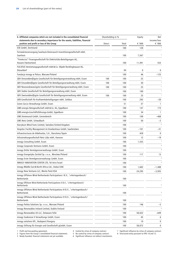| statements due to secondary importance for the assets, liabilities, financial<br>income/loss<br>€ '000<br>€ '000<br>position and profit or loss of the Group<br>Direct<br>Total<br>ESK GmbH, Dortmund<br>100<br>128<br>Fernwärmeversorgung Saarlouis-Steinrausch Investitionsgesellschaft mbH,<br><b>Saarlouis</b><br>100<br>7,567<br>"Finelectra" Finanzgesellschaft für Elektrizitäts-Beteiligungen AG,<br>Hausen/Switzerland<br>100<br>11,491<br>553<br>FUCATUS Vermietungsgesellschaft mbH & Co. Objekt Recklinghausen KG,<br>Düsseldorf<br>94<br>0<br>0<br>Fundacja innogy w Polsce, Warsaw/Poland<br>100<br>46<br>$-125$ |
|--------------------------------------------------------------------------------------------------------------------------------------------------------------------------------------------------------------------------------------------------------------------------------------------------------------------------------------------------------------------------------------------------------------------------------------------------------------------------------------------------------------------------------------------------------------------------------------------------------------------------------|
|                                                                                                                                                                                                                                                                                                                                                                                                                                                                                                                                                                                                                                |
|                                                                                                                                                                                                                                                                                                                                                                                                                                                                                                                                                                                                                                |
|                                                                                                                                                                                                                                                                                                                                                                                                                                                                                                                                                                                                                                |
|                                                                                                                                                                                                                                                                                                                                                                                                                                                                                                                                                                                                                                |
|                                                                                                                                                                                                                                                                                                                                                                                                                                                                                                                                                                                                                                |
|                                                                                                                                                                                                                                                                                                                                                                                                                                                                                                                                                                                                                                |
|                                                                                                                                                                                                                                                                                                                                                                                                                                                                                                                                                                                                                                |
| GBV Dreiunddreißigste Gesellschaft für Beteiligungsverwaltung mbH, Essen<br>100<br>100<br>25                                                                                                                                                                                                                                                                                                                                                                                                                                                                                                                                   |
| $\mathbf{1}$<br>GBV Einunddreißigste Gesellschaft für Beteiligungsverwaltung mbH, Essen<br>100<br>100<br>30                                                                                                                                                                                                                                                                                                                                                                                                                                                                                                                    |
| GBV Neunundzwanzigste Gesellschaft für Beteiligungsverwaltung mbH, Essen<br>1<br>100<br>100<br>25                                                                                                                                                                                                                                                                                                                                                                                                                                                                                                                              |
| GBV Siebte Gesellschaft für Beteiligungsverwaltung mbH, Essen<br>100<br>1<br>100                                                                                                                                                                                                                                                                                                                                                                                                                                                                                                                                               |
| $\overline{1}$<br>GBV Zweiunddreißigste Gesellschaft für Beteiligungsverwaltung mbH, Essen<br>100<br>100<br>25                                                                                                                                                                                                                                                                                                                                                                                                                                                                                                                 |
| GKB Gesellschaft für Kraftwerksbeteiligungen mbH, Cottbus<br>100<br>292<br>$-20$                                                                                                                                                                                                                                                                                                                                                                                                                                                                                                                                               |
| Green Gecco Verwaltungs GmbH, Essen<br>51<br>37<br>$\mathbf{1}$                                                                                                                                                                                                                                                                                                                                                                                                                                                                                                                                                                |
| GWE-energis Netzgesellschaft mbH & Co. KG, Eppelborn<br>100<br>147<br>173                                                                                                                                                                                                                                                                                                                                                                                                                                                                                                                                                      |
| GWE-energis-Geschäftsführungs-GmbH, Eppelborn<br>100<br>34<br>-1                                                                                                                                                                                                                                                                                                                                                                                                                                                                                                                                                               |
| GWG Kommunal GmbH, Grevenbroich<br>100<br>100<br>-468                                                                                                                                                                                                                                                                                                                                                                                                                                                                                                                                                                          |
| GWS Netz GmbH, Schwalbach<br>100<br>$-2$<br>50                                                                                                                                                                                                                                                                                                                                                                                                                                                                                                                                                                                 |
| $\overline{\mathbf{3}}$<br>Harryburn Wind Farm Limited, Swindon/United Kingdom<br>100                                                                                                                                                                                                                                                                                                                                                                                                                                                                                                                                          |
| 100<br>$-101$<br>Hospitec Facility Management im Krankenhaus GmbH, Saarbrücken<br>-31                                                                                                                                                                                                                                                                                                                                                                                                                                                                                                                                          |
| Infraestructuras de Aldehuelas, S.A., Barcelona/Spain<br>100<br>428<br>0                                                                                                                                                                                                                                                                                                                                                                                                                                                                                                                                                       |
| Infrastrukturgesellschaft Netz Lübz mbH, Hanover<br>100<br>-19<br>12                                                                                                                                                                                                                                                                                                                                                                                                                                                                                                                                                           |
| 100<br>innogy Consulting GmbH, Essen<br>1,555                                                                                                                                                                                                                                                                                                                                                                                                                                                                                                                                                                                  |
| $\overline{\mathbf{3}}$<br>innogy Corporate Ventures GmbH, Essen<br>100                                                                                                                                                                                                                                                                                                                                                                                                                                                                                                                                                        |
| $\overline{\mathbf{3}}$<br>innogy Dritte Vermögensverwaltungs GmbH, Essen<br>100                                                                                                                                                                                                                                                                                                                                                                                                                                                                                                                                               |
| innogy Energetyka Zachód Sp. z o.o., Wrocław/Poland<br>100<br>13<br>117                                                                                                                                                                                                                                                                                                                                                                                                                                                                                                                                                        |
| 3<br>innogy Erste Vermögensverwaltungs GmbH, Essen<br>100                                                                                                                                                                                                                                                                                                                                                                                                                                                                                                                                                                      |
| INNOGY INNOVATION CENTER LTD, Tel Aviv/Israel<br>3<br>100                                                                                                                                                                                                                                                                                                                                                                                                                                                                                                                                                                      |
| 1,602<br>innogy Middle East & North Africa Ltd., Dubai/UAE<br>100<br>$-1,488$                                                                                                                                                                                                                                                                                                                                                                                                                                                                                                                                                  |
| innogy New Ventures LLC, Menlo Park/USA<br>100<br>24,295<br>$-3,935$                                                                                                                                                                                                                                                                                                                                                                                                                                                                                                                                                           |
| innogy Offshore Wind Netherlands Participations I B.V., 's-Hertogenbosch/<br>3<br>Netherlands<br>100                                                                                                                                                                                                                                                                                                                                                                                                                                                                                                                           |
| innogy Offshore Wind Netherlands Participations II B.V., 's-Hertogenbosch/<br>$\overline{\mathbf{3}}$<br>100<br>Netherlands                                                                                                                                                                                                                                                                                                                                                                                                                                                                                                    |
| innogy Offshore Wind Netherlands Participations III B.V., 's-Hertogenbosch/<br>3<br>Netherlands<br>100                                                                                                                                                                                                                                                                                                                                                                                                                                                                                                                         |
| innogy Offshore Wind Netherlands Participations IV B.V., 's-Hertogenbosch/<br>3<br>100<br>Netherlands                                                                                                                                                                                                                                                                                                                                                                                                                                                                                                                          |
| innogy Polska Solutions Sp. z o.o., Warsaw/Poland<br>100<br>146<br>$-5$                                                                                                                                                                                                                                                                                                                                                                                                                                                                                                                                                        |
| $\overline{3}$<br>Innogy Renewables Ireland Limited, Dublin/Ireland<br>100                                                                                                                                                                                                                                                                                                                                                                                                                                                                                                                                                     |
| Innogy Renewables US LLC, Delaware/USA<br>100<br>58,022<br>-649                                                                                                                                                                                                                                                                                                                                                                                                                                                                                                                                                                |
| innogy Seabreeze II Verwaltungs GmbH, Essen<br>100<br>45<br>6                                                                                                                                                                                                                                                                                                                                                                                                                                                                                                                                                                  |
| innogy solutions Kft., Budapest/Hungary<br>10<br>100<br>0                                                                                                                                                                                                                                                                                                                                                                                                                                                                                                                                                                      |
| innogy Stiftung für Energie und Gesellschaft gGmbH, Essen<br>100<br>0<br>58,072                                                                                                                                                                                                                                                                                                                                                                                                                                                                                                                                                |

3 Newly founded, financial statements not yet available. 6 Significant influence via indirect investments.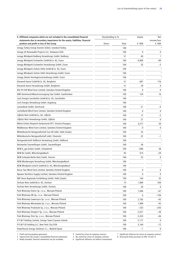| II. Affiliated companies which are not included in the consolidated financial                                             |        | Shareholding in %<br>Equity |        | Net                     |  |
|---------------------------------------------------------------------------------------------------------------------------|--------|-----------------------------|--------|-------------------------|--|
| statements due to secondary importance for the assets, liabilities, financial<br>position and profit or loss of the Group | Direct | Total                       | € '000 | income/loss<br>€ '000   |  |
| innogy Turkey Energi Anonim Sirketi, Istanbul/Turkey                                                                      |        | 100                         |        | $\overline{\mathbf{3}}$ |  |
| Innogy US Renewable Projects LLC, Delaware/USA                                                                            |        | 100                         | 0      | 0                       |  |
| innogy Windpark Bedburg Verwaltungs GmbH, Bedburg                                                                         |        | 51                          | 40     | $\mathbf{1}$            |  |
| innogy Windpark Eschweiler GmbH & Co. KG, Essen                                                                           |        | 100                         | 9,800  | $-89$                   |  |
| innogy Windpark Eschweiler Verwaltungs GmbH, Essen                                                                        |        | 100                         | 35     | $-3$                    |  |
| innogy Windpark Jüchen A44n GmbH & Co. KG, Essen                                                                          |        | 100                         |        | $\overline{\mathbf{3}}$ |  |
| Innogy Windpark Jüchen A44n Verwaltungs GmbH, Essen                                                                       |        | 100                         |        | 3                       |  |
| innogy Zweite Vermögensverwaltungs GmbH, Essen                                                                            |        | 100                         |        | $\overline{\mathbf{3}}$ |  |
| Kieswerk Kaarst GmbH & Co. KG, Bergheim                                                                                   |        | 51                          | 607    | 176                     |  |
| Kieswerk Kaarst Verwaltungs GmbH, Bergheim                                                                                |        | 51                          | 29     | 0                       |  |
| Kiln Pit Hill Wind Farm Limited, Swindon/United Kingdom                                                                   |        | 100                         | 0      | 0                       |  |
| KWS Kommunal-Wasserversorgung Saar GmbH, Saarbrücken                                                                      |        | 100                         | 134    | 16                      |  |
| Lech Energie Gersthofen GmbH & Co. KG, Gersthofen                                                                         |        | 100                         |        | $\overline{\mathbf{3}}$ |  |
| Lech Energie Verwaltung GmbH, Augsburg                                                                                    |        | 100                         |        | $\overline{\mathbf{3}}$ |  |
| Lemonbeat GmbH, Dortmund                                                                                                  |        | 100                         | 21     | $-4$                    |  |
| Lochelbank Wind Farm Limited, Swindon/United Kingdom                                                                      |        | 100                         | 0      | 0                       |  |
| Lößnitz Netz GmbH & Co. KG, Lößnitz                                                                                       |        | 100                         | 12     | $-3$                    |  |
| Lößnitz Netz Verwaltungs GmbH, Lößnitz                                                                                    |        | 100                         | 27     | 0                       |  |
| Mátrai Erömü Központi Karbantartó KFT, Visonta/Hungary                                                                    |        | 100                         | 3,277  | 50                      |  |
| Middlemoor Wind Farm Limited, Swindon/United Kingdom                                                                      |        | 100                         | 0      | 0                       |  |
| Mitteldeutsche Netzgesellschaft Gas HD mbH, Halle (Saale)                                                                 |        | 100                         | 25     |                         |  |
| Mitteldeutsche Netzgesellschaft mbH, Chemnitz                                                                             |        | 100                         | 22     | $-1$                    |  |
| Netzgesellschaft Hüllhorst Verwaltung GmbH, Hüllhorst                                                                     |        | 100                         |        | $\overline{\mathbf{3}}$ |  |
| Netzwerke Saarwellingen GmbH, Saarwellingen                                                                               |        | 100                         | 50     |                         |  |
| NEW b gas Eicken GmbH, Schwalmtal                                                                                         |        | 100                         | $-890$ | 38                      |  |
| NEW Re GmbH, Mönchengladbach                                                                                              |        | 95                          | 414    | $-29$                   |  |
| NEW Schwalm-Nette Netz GmbH, Viersen                                                                                      |        | 100                         | 25     | 0                       |  |
| NEW Windenergie Verwaltung GmbH, Mönchengladbach                                                                          |        | 100                         |        | $\overline{\mathbf{3}}$ |  |
| NEW Windpark Linnich GmbH & Co. KG, Mönchengladbach                                                                       |        | 100                         |        | $\overline{\mathbf{3}}$ |  |
| Novar Two Wind Farm Limited, Swindon/United Kingdom                                                                       |        | 100                         | 0      | 0                       |  |
| Npower Northern Supply Limited, Swindon/United Kingdom                                                                    |        | 100                         | 0      | 0                       |  |
| NRF Neue Regionale Fortbildung GmbH, Halle (Saale)                                                                        |        | 100                         | 164    | 32                      |  |
| Oschatz Netz GmbH & Co. KG, Oschatz                                                                                       |        | 75                          | 1,880  | 536                     |  |
| Oschatz Netz Verwaltungs GmbH, Oschatz                                                                                    |        | 100                         | 26     | 0                       |  |
| Park Wiatrowy Dolice Sp. z o.o., Warsaw/Poland                                                                            |        | 100                         | 1,046  | -67                     |  |
| Park Wiatrowy Ełk Sp. z o.o., Warsaw/Poland                                                                               |        | 100                         | 6      | -756                    |  |
| Park Wiatrowy Gaworzyce Sp. z o.o., Warsaw/Poland                                                                         |        | 100                         | 2,783  | -45                     |  |
| Park Wiatrowy Mściwojów Sp. z o.o., Warsaw/Poland                                                                         |        | 100                         | 1,909  | -45                     |  |
| Park Wiatrowy Prudziszki Sp. z o.o., Warsaw/Poland                                                                        |        | 100                         | $-233$ | -243                    |  |
| Park Wiatrowy Śmigiel I Sp. z o.o., Warsaw/Poland                                                                         |        | 100                         | 2,521  | -38                     |  |
| Park Wiatrowy Znin Sp. z o.o., Warsaw/Poland                                                                              |        | 100                         | 2,224  | -46                     |  |
| PI E & P Holding Limited, George Town/Cayman Islands                                                                      |        | 100                         | 5,177  | 0                       |  |
| PI E & P US Holding LLC, New York City/USA                                                                                |        | 100                         | 5,164  | $-12$                   |  |
| Powerhouse Energy Solutions S.L., Madrid/Spain                                                                            |        | 100                         | -1     | 0                       |  |
|                                                                                                                           |        |                             |        |                         |  |

1 Profit and loss-pooling agreement. 4 Control by virtue of company contract. 7 Significant influence by virtue of company contract.<br>2 Figures from the Group's consolidated financial statements. 5 No control by virtue of c

2 Figures from the Group's consolidated financial statements. 5 No control by virtue of company contract. 8 Structured entity pursuant to IFRS 10 and 12.

<sup>3</sup> Newly founded, financial statements not yet available. 6 Significant influence via indirect investments.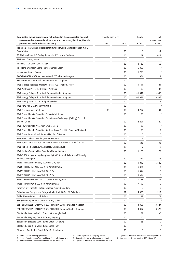| II. Affiliated companies which are not included in the consolidated financial                                             |        | Shareholding in % | Equity         | Net                   |
|---------------------------------------------------------------------------------------------------------------------------|--------|-------------------|----------------|-----------------------|
| statements due to secondary importance for the assets, liabilities, financial<br>position and profit or loss of the Group | Direct | Total             | € '000         | income/loss<br>€ '000 |
| Projecta 5 - Entwicklungsgesellschaft für kommunale Dienstleistungen mbH,<br>Saarbrücken                                  |        | 100               | 8              | $-4$                  |
| PT Rheincoal Supply & Trading Indonesia, PT, Jakarta/Indonesia                                                            |        | 100               | 267            | $-12$                 |
| RD Hanau GmbH, Hanau                                                                                                      |        | 100               | 0              | 0                     |
| REV LNG SSL BC LLC, Ulysses/USA                                                                                           |        | 85                | 4,132          | -68                   |
| Rheinland Westfalen Energiepartner GmbH, Essen                                                                            |        | 100               | 5,369          |                       |
| rhenagbau GmbH, Cologne                                                                                                   |        | 100               | 1,258          | $\overline{1}$        |
| ROTARY-MATRA Kútfúró és Karbantartó KFT, Visonta/Hungary                                                                  |        | 100               | 804            | 1                     |
| Rowantree Wind Farm Ltd., Swindon/United Kingdom                                                                          |        | 100               | $\Omega$       | $\mathbf 0$           |
| RWE & Turcas Dogalgaz Ithalat ve Ihracat A.S., Istanbul/Turkey                                                            |        | 100               | 1,141          | 84                    |
| RWE Australia Pty. Ltd., Brisbane/Australia                                                                               |        | 100               | 100            | 137                   |
| RWE Innogy Galloper 1 Limited, Swindon/United Kingdom                                                                     |        | 100               | $-1,041$       | $-885$                |
| RWE Innogy Galloper 2 Limited, Swindon/United Kingdom                                                                     |        | 100               | $-1,041$       | -885                  |
| RWE Innogy Serbia d.o.o., Belgrade/Serbia                                                                                 |        | 100               | 0              | $-1$                  |
| RWE NSW PTY LTD, Sydney/Australia                                                                                         |        | 100               |                |                       |
| RWE Pensionsfonds AG, Essen                                                                                               | 100    | 100               | 3,757          | 34                    |
| RWE Power Climate Protection China GmbH, Essen                                                                            |        | 100               | 25             | $\overline{1}$        |
| RWE Power Climate Protection Clean Energy Technology (Beijing) Co., Ltd.,<br>Beijing/China                                |        | 100               | 2,201          | 29                    |
| <b>RWE Power Climate Protection GmbH, Essen</b>                                                                           |        | 100               | 23             | $\overline{1}$        |
| RWE Power Climate Protection Southeast Asia Co., Ltd., Bangkok/Thailand                                                   |        | 100               | 55             | 9                     |
| RWE Power International Ukraine LLC, Kiev/Ukraine                                                                         |        | 100               | $\mathbf 0$    | $\mathbf 0$           |
| RWE Rhein Oel Ltd., London/United Kingdom                                                                                 |        | 100               | $-1$           | $\mathbf 0$           |
| RWE SUPPLY TRADING TURKEY ENERJI ANONIM SIRKETI, Istanbul/Turkey                                                          |        | 100               | 613            | $-35$                 |
| RWE Teplárna Náchod, s.r.o., Náchod/Czech Republic                                                                        |        | 100               | $\overline{7}$ | $\mathbf 0$           |
| RWE Trading Services Ltd., Swindon/United Kingdom                                                                         |        | 100               | 1,176          | 77                    |
| RWE-EnBW Magyarország Energiaszolgáltató Korlátolt Felelösségü Társaság,<br>Budapest/Hungary                              |        | 70                | 372            | 12                    |
| RWEST PI FRE Holding LLC, New York City/USA                                                                               |        | 100               | 11,046         | $-5,540$              |
| RWEST PI LNG HOLDING LLC, New York City/USA                                                                               |        | 100               | 6,364          | 0                     |
| RWEST PI LNG 1 LLC, New York City/USA                                                                                     |        | 100               | 1,514          | 0                     |
| RWEST PI LNG 2 LLC, New York City/USA                                                                                     |        | 100               | 5,334          | 0                     |
| RWEST PI WALDEN HOLDING LLC, New York City/USA                                                                            |        | 100               | 7,188          | -31                   |
| RWEST PI WALDEN 1 LLC, New York City/USA                                                                                  |        | 100               | 7,190          | 0                     |
| Scarcroft Investments Limited, Swindon/United Kingdom                                                                     |        | 100               | 0              | $\mathbf 0$           |
| Scharbeutzer Energie- und Netzgesellschaft mbH & Co. KG, Scharbeutz                                                       |        | 51                | 4,380          | 213                   |
| SchlauTherm GmbH, Saarbrücken                                                                                             |        | 75                | 239            | 72                    |
| SEG Solarenergie Guben GmbH & Co. KG, Guben                                                                               |        | 100               |                |                       |
| SSE RENEWABLES (GALLOPER) NO. 1 LIMITED, Swindon/United Kingdom                                                           |        | 100               | $-3,357$       | $-3,527$              |
| SSE RENEWABLES (GALLOPER) NO. 2 LIMITED, Swindon/United Kingdom                                                           |        | 100               | $-3,357$       | $-3,527$              |
| Stadtwerke Korschenbroich GmbH, Mönchengladbach                                                                           |        | 100               | 51             | -6                    |
| Stadtwerke Siegburg GmbH & Co. KG, Siegburg                                                                               |        | 100               | 100            | 0                     |
| Stadtwerke Siegburg Verwaltungs GmbH, Siegburg                                                                            |        | 100               | 25             | 0                     |
| Stadtwerke Verl Netz Verwaltungs GmbH, Verl                                                                               |        | 100               |                | 3                     |
| Stromnetz Gersthofen GmbH & Co. KG, Gersthofen                                                                            |        | 100               | 5              | $-5$                  |

3 Newly founded, financial statements not yet available. 6 Significant influence via indirect investments.

<sup>1</sup> Profit and loss-pooling agreement. 4 Control by virtue of company contract. 7 Significant influence by virtue of company contract.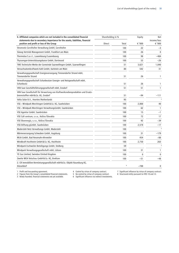| II. Affiliated companies which are not included in the consolidated financial                                             |               | Shareholding in % |        | <b>Net</b>            |
|---------------------------------------------------------------------------------------------------------------------------|---------------|-------------------|--------|-----------------------|
| statements due to secondary importance for the assets, liabilities, financial<br>position and profit or loss of the Group | <b>Direct</b> | Total             | € '000 | income/loss<br>€ '000 |
| Stromnetz Gersthofen Verwaltung GmbH, Gersthofen                                                                          |               | 100               | 22     | -3                    |
| Süwag Vertrieb Management GmbH, Frankfurt am Main                                                                         |               | 100               | 26     | $\mathbf{0}$          |
| Thermolux S.a.r.l., Luxembourg/Luxembourg                                                                                 |               | 100               | 98     | $-484$                |
| Thyssengas-Unterstützungskasse GmbH, Dortmund                                                                             |               | 100               | 53     | $-26$                 |
| TWS Technische Werke der Gemeinde Saarwellingen GmbH, Saarwellingen                                                       |               | 51                | 3,621  | 1,040                 |
| Versuchsatomkraftwerk Kahl GmbH, Karlstein am Main                                                                        |               | 80                | 542    | 31                    |
| Verwaltungsgesellschaft Energieversorgung Timmendorfer Strand mbH,<br><b>Timmendorfer Strand</b>                          |               | 51                | 26     | 1                     |
| Verwaltungsgesellschaft Scharbeutzer Energie- und Netzgesellschaft mbH,<br>Scharbeutz                                     |               | 51                | 26     | $\mathbf{1}$          |
| VKN Saar Geschäftsführungsgesellschaft mbH, Ensdorf                                                                       |               | 51                | 51     | $\mathbf{1}$          |
| VKN Saar Gesellschaft für Verwertung von Kraftwerksnebenprodukten und Ersatz-<br>brennstoffen mbH & Co. KG, Ensdorf       |               | 51                | $-94$  | $-111$                |
| Volta Solar B.V., Heerlen/Netherlands                                                                                     |               | 95                |        |                       |
| VSE - Windpark Merchingen GmbH & Co. KG, Saarbrücken                                                                      |               | 100               | 2,800  | 40                    |
| VSE - Windpark Merchingen VerwaltungsGmbH, Saarbrücken                                                                    |               | 100               | 62     | 1                     |
| VSE Agentur GmbH, Saarbrücken                                                                                             |               | 100               | 15     | $-1$                  |
| VSE Call centrum, s.r.o., Košice/Slovakia                                                                                 |               | 100               | 72     | 17                    |
| VSE Ekoenergia, s.r.o., Košice/Slovakia                                                                                   |               | 100               | 92     | $-39$                 |
| VSE-Stiftung gGmbH, Saarbrücken                                                                                           |               | 100               | 2,578  | $-17$                 |
| Wadersloh Netz Verwaltungs GmbH, Wadersloh                                                                                |               | 100               |        | 3                     |
| Wärmeversorgung Schwaben GmbH, Augsburg                                                                                   |               | 100               | 31     | $-179$                |
| WIJA GmbH, Bad Neuenahr-Ahrweiler                                                                                         |               | 100               | 454    | $-66$                 |
| Windkraft Hochheim GmbH & Co. KG, Hochheim                                                                                |               | 100               | 2,750  | 263                   |
| Windpark Eschweiler Beteiligungs GmbH, Stolberg                                                                           |               | 59                |        | $\overline{3}$        |
| Windpark Verwaltungsgesellschaft mbH, Lützen                                                                              |               | 100               | 31     | 1                     |
| YE Gas Limited, Swindon/United Kingdom                                                                                    |               | 100               | 0      | $\mathbf{0}$          |
| Zweite WEA Vetschau GmbH & Co. KG, Breklum                                                                                |               | 100               | -51    | $-48$                 |
| 2. CR Immobilien-Vermietungsgesellschaft mbH & Co. Objekt Naumburg KG,<br>Düsseldorf                                      |               | 8                 | $-788$ | 0                     |

3 Newly founded, financial statements not yet available. 6 Significant influence via indirect investments.

2 Figures from the Group's consolidated financial statements. 5 No control by virtue of company contract. 8 Structured entity pursuant to IFRS 10 and 12.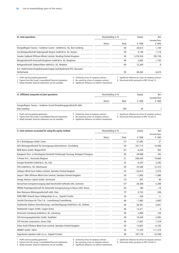| III. Joint operations                                                   |        | Shareholding in % |           | <b>Net</b>            |
|-------------------------------------------------------------------------|--------|-------------------|-----------|-----------------------|
|                                                                         | Direct | Total             | € $'000$  | income/loss<br>€ '000 |
| EnergieRegion Taunus - Goldener Grund - GmbH & Co. KG, Bad Camberg      |        | 49                | 29.873    | 1,739                 |
| Gas-Netzgesellschaft Kolpingstadt Kerpen GmbH & Co. KG, Kerpen          |        | 49                | 4.149     | 1,118                 |
| Greater Gabbard Offshore Winds Limited, Reading/United Kingdom          |        | 50                | 1.278.354 | 105,750               |
| Netzgesellschaft Kreisstadt Bergheim GmbH & Co. KG, Bergheim            |        | 49                | 3.682     | 1.193                 |
| Netzgesellschaft Südwestfalen mbH & Co. KG, Netphen                     |        | 49                | 12.264    | 0                     |
| N.V. Elektriciteits-Produktiemaatschappij Zuid-Nederland EPZ, Borssele/ |        |                   |           |                       |
| <b>Netherlands</b>                                                      |        | 30                | 48.262    | 6,674                 |

1 Profit and loss-pooling agreement. 4 Control by virtue of company contract. 7 Significant influence by virtue of company contract. 2 Figures from the Group's consolidated financial statements. 5 No control by virtue of c 2 Figures from the Group's consolidated financial statements. 5 No control by virtue of company contract.<br>3 Newly founded, financial statements not yet available. 6 Significant influence via indirect investments.

3 Newly founded, financial statements not yet available.

| IV. Affiliated companies of joint operations                       |                                         | Shareholding in % | Eauity                                              | Net<br>income/loss |
|--------------------------------------------------------------------|-----------------------------------------|-------------------|-----------------------------------------------------|--------------------|
|                                                                    | Direct                                  | Total             | € $'000$                                            | € $'000$           |
| EnergieRegion Taunus - Goldener Grund Verwaltungsgesellschaft mbH, |                                         |                   |                                                     |                    |
| <b>Bad Camberg</b>                                                 |                                         | 100               | 26                                                  |                    |
| 1 Profit and loss-pooling agreement                                | 4 Control by virtue of company contract |                   | Significant influence by virtue of company contract |                    |

2 Figures from the Group's consolidated financial statements.

3 Newly founded, financial statements not yet available. 6 Significant influence via indirect investments.

4 Control by virtue of company contract. 4 Significant influence by virtue of company cor<br>1 No control by virtue of company contract. 8 Structured entity pursuant to IFRS 10 and 12.

| V. Joint ventures accounted for using the equity method                           | Shareholding in % |                 | Equity    | <b>Net</b>            |
|-----------------------------------------------------------------------------------|-------------------|-----------------|-----------|-----------------------|
|                                                                                   | <b>Direct</b>     | Total           | € '000    | income/loss<br>€ '000 |
| AS 3 Beteiligungs GmbH, Essen                                                     |                   | 51 <sup>5</sup> | 37,092    | 37                    |
| AVU Aktiengesellschaft für Versorgungs-Unternehmen, Gevelsberg                    |                   | 50              | 101,713   | 14,400                |
| BEW Netze GmbH, Wipperfürth                                                       |                   | 61 <sup>5</sup> | 6.534     | 392                   |
| Budapesti Disz- es Közvilagitasi Korlatolt Felelössegü Tarsasag, Budapest/Hungary |                   | 50              | 29.988    | 765                   |
| C-Power N.V., Oostende/Belgium                                                    |                   | 27              | 200,443   | 19,860                |
| Energie Nordeifel GmbH & Co. KG, Kall                                             |                   | 33              | 6.232     | 3,285                 |
| FSO GmbH & Co. KG, Oberhausen                                                     |                   | 50              | 33,588    | 12,572                |
| Galloper Wind Farm Holdco Limited, Swindon/United Kingdom                         |                   | 25              | $-33,673$ | 3,370                 |
| Gwynt Y Môr Offshore Wind Farm Limited, Swindon/United Kingdom                    |                   | 50              | $-1,005$  | $-1,686$              |
| Innogy Venture Capital GmbH, Dortmund                                             |                   | $75^{5}$        | 397       | 80                    |
| Konsortium Energieversorgung Opel beschränkt haftende oHG, Karlstein              |                   | $67^{5}$        | 36,308    | 5,308                 |
| PRENU Projektgesellschaft für Rationelle Energienutzung in Neuss mbH, Neuss       |                   | 50              | 180       | $-18$                 |
| Rain Biomasse Wärmegesellschaft mbH, Rain                                         |                   | 75 <sup>5</sup> | 5,752     | 538                   |
| SHW/RWE Umwelt Aqua Vodogradnja d.o.o., Zagreb/Croatia                            |                   | 50              | 430       | 11                    |
| Société Electrique de l'Our S.A., Luxembourg/Luxembourg                           |                   | 40              | $-1,982$  | 2,697                 |
| Stadtwerke Dülmen Dienstleistungs- und Beteiligungs-GmbH & Co. KG, Dülmen         |                   | 50              | 26,401    | 3,641                 |
| Stadtwerke Lingen GmbH, Lingen (Ems)                                              |                   | 40              | 13,471    | $\mathbf{0}$          |
| Stromnetz Günzburg GmbH & Co. KG, Günzburg                                        |                   | 49              | 2.999     | 150                   |
| SVS-Versorgungsbetriebe GmbH, Stadtlohn                                           |                   | 30              | 19,430    | 2,992                 |
| TCP Petcoke Corporation, Dover/USA                                                |                   | 50              | 17.807    | 7,374                 |
| Triton Knoll Offshore Wind Farm Limited, Swindon/United Kingdom                   |                   | 50              | 13,067    | $-6,183$              |

URANIT GmbH, Jülich 50 71,343 111,310

Zagrebacke otpadne vode d.o.o., Zagreb/Croatia 48 187,134 23,348

3 Newly founded, financial statements not yet available. 6 Significant influence via indirect investments.

<sup>1</sup> Profit and loss-pooling agreement. 4 Control by virtue of company contract. 7 Significant influence by virtue of company contract.<br>2 Figures from the Group's consolidated financial statements. 5 No control by virtue of c

<sup>2</sup> Figures from the Group's consolidated financial statements. 5 No control by virtue of company contract. 8 Structured entity pursuant to IFRS 10 and 12.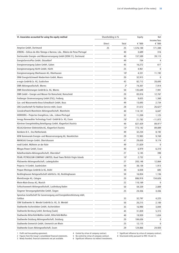| VI. Associates accounted for using the equity method                      | Shareholding in % |                 | Equity    | Net                   |
|---------------------------------------------------------------------------|-------------------|-----------------|-----------|-----------------------|
|                                                                           | Direct            | Total           | € '000    | income/loss<br>€ '000 |
| Amprion GmbH, Dortmund                                                    | 25                | 25              | 1,576,100 | 171,300               |
| ATBERG - Eólicas do Alto Tâmega e Barroso, Lda., Ribeira de Pena/Portugal |                   | 40              | 3,689     | 316                   |
| Dortmunder Energie- und Wasserversorgung GmbH (DEW 21), Dortmund          |                   | 40              | 157,589   | 39,115                |
| EnergieServicePlus GmbH, Düsseldorf                                       |                   | 49              | 704       | 4                     |
| Energieversorgung Guben GmbH, Guben                                       |                   | 45              | 16,272    | 617                   |
| Energieversorgung Hürth GmbH, Hürth                                       |                   | 25              | 4,961     | 0                     |
| Energieversorgung Oberhausen AG, Oberhausen                               |                   | 10 <sup>6</sup> | 4,331     | 11,192                |
| ENNI Energie & Umwelt Niederrhein GmbH, Moers                             |                   | 20              | 32,915    | $\mathbf{0}$          |
| e-regio GmbH & Co. KG, Euskirchen                                         |                   | 43              | 82,712    | 28,693                |
| EWR Aktiengesellschaft, Worms                                             |                   | 2 <sup>6</sup>  | 74,307    | 7,914                 |
| EWR Dienstleistungen GmbH & Co. KG, Worms                                 |                   | 50              | 135,649   | 7,941                 |
| EWR GmbH - Energie und Wasser für Remscheid, Remscheid                    |                   | 20              | 83,816    | 12,767                |
| Freiberger Stromversorgung GmbH (FSG), Freiberg                           |                   | 30              | 9,655     | 1,360                 |
| Gas- und Wasserwerke Bous-Schwalbach GmbH, Bous                           |                   | 49              | 13,693    | 2,734                 |
| GNS Gesellschaft für Nuklear-Service mbH, Essen                           |                   | 28              | 31,612    | $26,621^2$            |
| Grosskraftwerk Mannheim Aktiengesellschaft, Mannheim                      |                   | 40              | 114,141   | 6,647                 |
| HIDROERG - Projectos Energéticos, Lda., Lisbon/Portugal                   |                   | 32              | 11,209    | 1,125                 |
| Innogy Renewables Technology Fund I GmbH & Co. KG, Essen                  |                   | 785             | 21,782    | $-11,072$             |
| Kärntner Energieholding Beteiligungs GmbH, Klagenfurt/Austria             |                   | 49              | 827,429   | 89,971 <sup>2</sup>   |
| KELAG-Kärntner Elektrizitäts-AG, Klagenfurt/Austria                       |                   | 13 <sup>6</sup> | 773,142   | 89,889                |
| Kemkens B.V., Oss/Netherlands                                             |                   | 49              | 32,234    | 8,192                 |
| KEW Kommunale Energie- und Wasserversorgung AG, Neunkirchen               |                   | 29              | 72,983    | 9,769                 |
| MAINGAU Energie GmbH, Obertshausen                                        |                   | 47              | 29,650    | 9,174                 |
| medl GmbH, Mülheim an der Ruhr                                            |                   | 49              | 21,829    | 0                     |
| Mingas-Power GmbH, Essen                                                  |                   | 40              | 6,979     | 6,310                 |
| Nebelhornbahn-Aktiengesellschaft, Oberstdorf                              |                   | 27              | 5,145     | 398                   |
| PEARL PETROLEUM COMPANY LIMITED, Road Town/British Virgin Islands         |                   | 10 <sup>7</sup> | 2,732     | 0                     |
| Pfalzwerke Aktiengesellschaft, Ludwigshafen                               |                   | 27              | 203,148   | 12,864                |
| Projecta 14 GmbH, Saarbrücken                                             |                   | 50              | 38,138    | 1,913                 |
| Propan Rheingas GmbH & Co KG, Brühl                                       |                   | 30              | 6,838     | 685                   |
| Recklinghausen Netzgesellschaft mbH & Co. KG, Recklinghausen              |                   | 50              | 16,854    | 1,136                 |
| RheinEnergie AG, Cologne                                                  |                   | 20              | 886,918   | 154,626               |
| Rhein-Main-Donau AG, Munich                                               |                   | 22              | 110,169   | 0                     |
| Schluchseewerk Aktiengesellschaft, Laufenburg Baden                       |                   | 50              | 59,339    | 2,809                 |
| Siegener Versorgungsbetriebe GmbH, Siegen                                 |                   | 25              | 24,436    | 4,436                 |
| SpreeGas Gesellschaft für Gasversorgung und Energiedienstleistung mbH,    |                   |                 |           |                       |
| Cottbus                                                                   |                   | 33              | 32,797    | 4,225                 |
| SSW Stadtwerke St. Wendel GmbH & Co. KG, St. Wendel                       |                   | 50              | 20,215    | 2,100                 |
| Stadtwerke Aschersleben GmbH, Aschersleben                                |                   | 35              | 16,990    | 3,044                 |
| Stadtwerke Bernburg GmbH, Bernburg (Saale)                                |                   | 45              | 31,859    | 5,315                 |
| Stadtwerke Bitterfeld-Wolfen GmbH, Bitterfeld-Wolfen                      |                   | 40              | 19,939    | 1,654                 |
| Stadtwerke Duisburg Aktiengesellschaft, Duisburg                          |                   | 20              | 184,636   |                       |
| Stadtwerke Emmerich GmbH, Emmerich am Rhein                               |                   | 25              | 12,115    | 0                     |
| Stadtwerke Essen Aktiengesellschaft, Essen                                |                   | 29              | 124,866   | 24,920                |

2 Figures from the Group's consolidated financial statements. 5 No control by virtue of company contract. 8 Structured entity pursuant to IFRS 10 and 12.

Figures from the Group's consolidated financial statements.<br>
3 Newly founded, financial statements not yet available.<br>
5 Newly founded, financial statements not yet available.<br>
6 Significant influence via indirect investme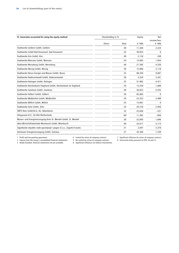| VI. Associates accounted for using the equity method<br>Shareholding in % |        |                 | Equity | Net                   |
|---------------------------------------------------------------------------|--------|-----------------|--------|-----------------------|
|                                                                           | Direct | Total           | € '000 | income/loss<br>€ '000 |
| Stadtwerke Geldern GmbH, Geldern                                          |        | 49              | 11,304 | 2,324                 |
| Stadtwerke GmbH Bad Kreuznach, Bad Kreuznach                              |        | 25              | 39,925 | $\Omega$              |
| Stadtwerke Kirn GmbH, Kirn                                                |        | 49              | 2,134  | 248                   |
| Stadtwerke Meerane GmbH, Meerane                                          |        | 24              | 13,903 | 1,934                 |
| Stadtwerke Merseburg GmbH, Merseburg                                      |        | 40              | 21,392 | 4,520                 |
| Stadtwerke Merzig GmbH, Merzig                                            |        | 50              | 15,906 | 3,118                 |
| Stadtwerke Neuss Energie und Wasser GmbH, Neuss                           |        | 25              | 88,344 | 9,687                 |
| Stadtwerke Radevormwald GmbH, Radevormwald                                |        | 50              | 5,324  | 2,201                 |
| Stadtwerke Ratingen GmbH, Ratingen                                        |        | 25              | 51,982 | 4,471                 |
| Stadtwerke Reichenbach/Vogtland GmbH, Reichenbach im Vogtland             |        | 24              | 13,339 | 1,689                 |
| Stadtwerke Saarlouis GmbH, Saarlouis                                      |        | 49              | 36,022 | 4,535                 |
| Stadtwerke Velbert GmbH, Velbert                                          |        | 50              | 82,005 | $\mathbf{0}$          |
| Stadtwerke Weißenfels GmbH, Weißenfels                                    |        | 24              | 23,333 | 3,489                 |
| Stadtwerke Willich GmbH, Willich                                          |        | 25              | 13,981 | $\mathbf{0}$          |
| Stadtwerke Zeitz GmbH, Zeitz                                              |        | 24              | 20.734 | 2,950                 |
| SWTE Netz GmbH & Co. KG, Ibbenbüren                                       |        | 33              | 23,836 | $-231$                |
| Vliegasunie B.V., De Bilt/Netherlands                                     |        | 60 <sup>5</sup> | 11,392 | $-856$                |
| Wasser- und Energieversorgung Kreis St. Wendel GmbH, St. Wendel           |        | 28              | 22,093 | 1,606                 |
| wbm Wirtschaftsbetriebe Meerbusch GmbH, Meerbusch                         |        | 40              | 24,417 | 5,713                 |
| Zagrebacke otpadne vode-upravljanje i pogon d.o.o., Zagreb/Croatia        |        | 31              | 2,047  | 3,378                 |
| Zwickauer Energieversorgung GmbH, Zwickau                                 |        | 27              | 42,360 | 7,339                 |

3 Newly founded, financial statements not yet available. 6 Significant influence via indirect investments.

2 Figures from the Group's consolidated financial statements. 5 No control by virtue of company contract. 8 Structured entity pursuant to IFRS 10 and 12.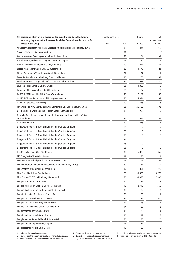| VII. Companies which are not accounted for using the equity method due to                               |        | Shareholding in % |              | Net                     |
|---------------------------------------------------------------------------------------------------------|--------|-------------------|--------------|-------------------------|
| secondary importance for the assets, liabilities, financial position and profit<br>or loss of the Group | Direct | Total             | € '000       | income/loss<br>€ '000   |
| Abwasser-Gesellschaft Knapsack, Gesellschaft mit beschränkter Haftung, Hürth                            |        | 33                | 446          | 216                     |
| Ascent Energy LLC, Wilmington/USA                                                                       |        | 46                |              | $\overline{\mathbf{3}}$ |
| Awotec Gebäude Servicegesellschaft mbH, Saarbrücken                                                     |        | 48                | 84           | $-1$                    |
| Bäderbetriebsgesellschaft St. Ingbert GmbH, St. Ingbert                                                 |        | 49                | 80           | 1                       |
| Bayerische Ray Energietechnik GmbH, Garching                                                            |        | 49                | 427          | 154                     |
| Biogas Wassenberg GmbH & Co. KG, Wassenberg                                                             |        | 32                | 1,179        | 123                     |
| Biogas Wassenberg Verwaltungs GmbH, Wassenberg                                                          |        | 32                | 37           | 1                       |
| Breer Gebäudedienste Heidelberg GmbH, Heidelberg                                                        |        | 45                | 280          | 89                      |
| Breitband-Infrastrukturgesellschaft Cochem-Zell mbH, Cochem                                             |        | 21                | $-638$       | $-220$                  |
| Brüggen.E-Netz GmbH & Co. KG, Brüggen                                                                   |        | 25                | 1,000        | 0                       |
| Brüggen.E-Netz Verwaltungs-GmbH, Brüggen                                                                |        | 25                | 27           | 2                       |
| CARBON CDM Korea Ltd. (i.L.), Seoul/South Korea                                                         |        | 49                | $-2,171$     | $-100$                  |
| CARBON Climate Protection GmbH, Langenlois/Austria                                                      |        | 50                | 2,056        | 1,395                   |
| CARBON Egypt Ltd., Cairo/Egypt                                                                          |        | 49                | $-355$       | $-1,716$                |
| CECEP Ningxia New Energy Resources Joint Stock Co., Ltd., Yinchuan/China                                |        | 25                | 20,152       | 392                     |
| DES Dezentrale Energien Schmalkalden GmbH, Schmalkalden                                                 |        | 33                | 252          | 15                      |
| Deutsche Gesellschaft für Wiederaufarbeitung von Kernbrennstoffen AG & Co.                              |        |                   |              |                         |
| oHG, Gorleben                                                                                           |        | 31                | 555          | 44                      |
| Dii GmbH, Munich                                                                                        |        | 20                | 875          | $-872$                  |
| Doggerbank Project 1 Bizco Limited, Reading/United Kingdom                                              |        | 25                | 0            | 0                       |
| Doggerbank Project 2 Bizco Limited, Reading/United Kingdom                                              |        | 25                | 0            | 0                       |
| Doggerbank Project 3 Bizco Limited, Reading/United Kingdom                                              |        | 25                | 0            | 0                       |
| Doggerbank Project 4 Bizco Limited, Reading/United Kingdom                                              |        | 25                | 0            | 0                       |
| Doggerbank Project 5 Bizco Limited, Reading/United Kingdom                                              |        | 25                | 0            | 0                       |
| Doggerbank Project 6 Bizco Limited, Reading/United Kingdom                                              |        | 25                | $\mathbf{0}$ | 0                       |
| Dorsten Netz GmbH & Co. KG, Dorsten                                                                     |        | 49                | 5,828        | 856                     |
| EfD Energie-für-Dich GmbH, Potsdam                                                                      |        | 49                | 28           | 3                       |
| ELE-GEW Photovoltaikgesellschaft mbH, Gelsenkirchen                                                     |        | 49                | 69           | 44                      |
| ELE-RAG Montan Immobilien Erneuerbare Energien GmbH, Bottrop                                            |        | 50                | 54           | 19                      |
| ELE-Scholven-Wind GmbH, Gelsenkirchen                                                                   |        | 30                | 801          | 276                     |
| Elsta B.V., Middelburg/Netherlands                                                                      |        | 25                | 91,306       | 3,775                   |
| Elsta B.V. & CO C.V., Middelburg/Netherlands                                                            |        | 25                | 91,938       | 37,837                  |
| Energie BOL GmbH, Ottersweier                                                                           |        | 50                | 32           | 3                       |
| Energie Mechernich GmbH & Co. KG, Mechernich                                                            |        | 49                | 3,743        | 350                     |
| Energie Mechernich Verwaltungs-GmbH, Mechernich                                                         |        | 49                | 29           | 2                       |
| Energie Nordeifel Beteiligungs-GmbH, Kall                                                               |        | 33                | 26           | 1                       |
| Energie Rur-Erft GmbH & Co. KG, Essen                                                                   |        | 21                | 25           | 1,020                   |
| Energie Rur-Erft Verwaltungs-GmbH, Essen                                                                |        | 21                | 28           | 1                       |
| Energie Schmallenberg GmbH, Schmallenberg                                                               |        | 44                | 28           | 2                       |
| Energiepartner Dörth GmbH, Dörth                                                                        |        | 49                | 29           | 4                       |
| Energiepartner Elsdorf GmbH, Elsdorf                                                                    |        | 40                | 49           | 12                      |
| Energiepartner Hermeskeil GmbH, Hermeskeil                                                              |        | 20                | 38           | 20                      |
| Energiepartner Kerpen GmbH, Kerpen                                                                      |        | 49                | 26           | 0                       |
| Energiepartner Projekt GmbH, Essen                                                                      |        | 49                | 25           | 0                       |

3 Newly founded, financial statements not yet available. 6 Significant influence via indirect investments.

1 Profit and loss-pooling agreement. 4 Control by virtue of company contract. 7 Significant influence by virtue of company contract.

2 Figures from the Group's consolidated financial statements. 5 No control by virtue of company contract. 8 Structured entity pursuant to IFRS 10 and 12.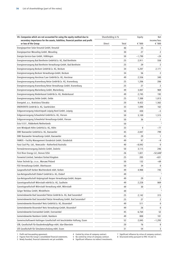| VII. Companies which are not accounted for using the equity method due to                               |        | Shareholding in % |          | Net                     |
|---------------------------------------------------------------------------------------------------------|--------|-------------------|----------|-------------------------|
| secondary importance for the assets, liabilities, financial position and profit<br>or loss of the Group | Direct | Total             | € '000   | income/loss<br>€ '000   |
| Energiepartner Solar Kreuztal GmbH, Kreuztal                                                            |        | 40                | 25       | $\mathbf{1}$            |
| Energiepartner Wesseling GmbH, Wesseling                                                                |        | 30                | 27       | 2                       |
| Energie-Service-Saar GmbH, Völklingen                                                                   |        | 50                | $-1,790$ | -24                     |
| Energieversorgung Bad Bentheim GmbH & Co. KG, Bad Bentheim                                              |        | 25                | 2,911    | 558                     |
| Energieversorgung Bad Bentheim Verwaltungs-GmbH, Bad Bentheim                                           |        | 25                | 29       | 2                       |
| Energieversorgung Beckum GmbH & Co. KG, Beckum                                                          |        | 34                | 5,207    | 2,171                   |
| Energieversorgung Beckum Verwaltungs-GmbH, Beckum                                                       |        | 34                | 56       | 2                       |
| Energieversorgung Horstmar/Laer GmbH & Co. KG, Horstmar                                                 |        | 49                | 2,556    | 340                     |
| Energieversorgung Kranenburg Netze GmbH & Co. KG, Kranenburg                                            |        | 25                | 1,206    | 206                     |
| Energieversorgung Kranenburg Netze Verwaltungs GmbH, Kranenburg                                         |        | 25                | 27       | 2                       |
| Energieversorgung Marienberg GmbH, Marienberg                                                           |        | 49                | 3,007    | 969                     |
| Energieversorgung Niederkassel GmbH & Co. KG, Niederkassel                                              |        | 49                | 2,745    | 192                     |
| Energieversorgung Oelde GmbH, Oelde                                                                     |        | 25                | 7,388    | 1,813                   |
| Energotel, a.s., Bratislava/Slovakia                                                                    |        | 20                | 9,422    | 1,562                   |
| ENERVENTIS GmbH & Co. KG, Saarbrücken                                                                   |        | 33                | 1,090    | 162                     |
| Erdgasversorgung Industriepark Leipzig Nord GmbH, Leipzig                                               |        | 50                | 430      | -5                      |
| Erdgasversorgung Schwalmtal GmbH & Co. KG, Viersen                                                      |        | 50                | 3,109    | 1,515                   |
| Erdgasversorgung Schwalmtal Verwaltungs-GmbH, Viersen                                                   |        | 50                | 36       | 1                       |
| Esta V.O.F., Ridderkerk/Netherlands                                                                     |        | 50                |          | $\overline{\mathbf{z}}$ |
| evm Windpark Höhn GmbH & Co. KG, Höhn                                                                   |        | 33                | 0        | -77                     |
| EWV Baesweiler GmbH & Co. KG, Baesweiler                                                                |        | 45                | 2,047    | 799                     |
| EWV Baesweiler Verwaltungs GmbH, Baesweiler                                                             |        | 45                | 29       | $\overline{1}$          |
| FAMOS - Facility Management Osnabrück GmbH, Osnabrück                                                   |        | 49                | 97       | $-9$                    |
| Fassi Coal Pty. Ltd., Newcastle - Rutherford/Australia                                                  |        | 40                | $-8,042$ | $\mathbf{0}$            |
| Fernwärmeversorgung Zwönitz GmbH, Zwönitz                                                               |        | 50                | 3,115    | 246                     |
| First River Energy LLC, Denver/USA                                                                      |        | 26                | 1,821    | $-52.6482$              |
| Forewind Limited, Swindon/United Kingdom                                                                |        | 25                | 205      | $-631$                  |
| Foton Technik Sp. z o.o., Warsaw/Poland                                                                 |        | 50                | 132      | -69                     |
| FSO Verwaltungs-GmbH, Oberhausen                                                                        |        | 50                | 34       | $\mathbf 0$             |
| Gasgesellschaft Kerken Wachtendonk mbH, Kerken                                                          |        | 49                | 4,988    | 745                     |
| Gas-Netzgesellschaft Elsdorf GmbH & Co. KG, Elsdorf                                                     |        | 49                |          | $\overline{\mathbf{3}}$ |
| Gas-Netzgesellschaft Kolpingstadt Kerpen Verwaltungs-GmbH, Kerpen                                       |        | 49                | 29       | 2                       |
| Gasnetzgesellschaft Wörrstadt mbH & Co. KG, Saulheim                                                    |        | 49                | 2,228    | 869                     |
| Gasnetzgesellschaft Wörrstadt Verwaltung mbH, Wörrstadt                                                 |        | 49                | 30       | 2                       |
| Geiger Netzbau GmbH, Mindelheim                                                                         |        | 49                |          | $\overline{\mathbf{3}}$ |
| Gemeindewerke Bad Sassendorf Netze GmbH & Co. KG, Bad Sassendorf                                        |        | 25                | 2,142    | 315                     |
| Gemeindewerke Bad Sassendorf Netze Verwaltung GmbH, Bad Sassendorf                                      |        | 25                | 27       | 2                       |
| Gemeindewerke Bissendorf Netz GmbH & Co. KG, Bissendorf                                                 |        | 49                | 511      | $\mathbf 0$             |
| Gemeindewerke Bissendorf Netz Verwaltungs-GmbH, Bissendorf                                              |        | 49                | 26       | $\mathbf 0$             |
| Gemeindewerke Everswinkel GmbH, Everswinkel                                                             |        | 45                | 6,764    | 52                      |
| Gemeindewerke Namborn GmbH, Namborn                                                                     |        | 49                | 800      | 101                     |
| Gemeinschaftswerk Hattingen Gesellschaft mit beschränkter Haftung, Essen                                |        | 52                | 2,045    | $-1,293$                |
| GfB, Gesellschaft für Baudenkmalpflege mbH, Idar-Oberstein                                              |        | 20                | 76       | 8                       |
| GfS Gesellschaft für Simulatorschulung mbH, Essen                                                       |        | 31                | 54       | 3                       |

3 Newly founded, financial statements not yet available. 6 Significant influence via indirect investments.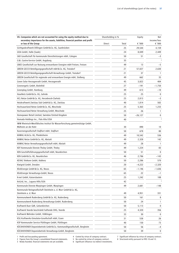| secondary importance for the assets, liabilities, financial position and profit<br>income/loss<br>or loss of the Group<br>€ '000<br>€ '000<br>Direct<br>Total<br>Gichtgaskraftwerk Dillingen GmbH & Co. KG, Saarbrücken<br>25<br>29,544<br>4,159<br>GISA GmbH, Halle (Saale)<br>24<br>8,049<br>2,449<br>GkD Gesellschaft für kommunale Dienstleistungen mbH, Cologne<br>50<br>51<br>-3<br>3<br>G&L Gastro-Service GmbH, Augsburg<br>35<br>GNEE Gesellschaft zur Nutzung erneuerbarer Energien mbH Freisen, Freisen<br>49<br>13<br>$-5$<br>GREEN GECCO Beteiligungsgesellschaft mbH & Co. KG, Troisdorf<br>57,027<br>21<br>2,630<br>GREEN GECCO Beteiligungsgesellschaft-Verwaltungs GmbH, Troisdorf<br>21<br>37<br>1<br>GREEN Gesellschaft für regionale und erneuerbare Energie mbH, Stolberg<br>49<br>662<br>35<br>Green Solar Herzogenrath GmbH, Herzogenrath<br>45<br>3,822<br>404<br>Greenergetic GmbH, Bielefeld<br>27<br>$-1,750$<br>-191<br>Greenplug GmbH, Hamburg<br>49<br>613<br>$-10$<br>HaseNetz GmbH & Co. KG, Gehrde<br>25<br>25<br>$\mathbf{0}$<br>HCL Netze GmbH & Co. KG, Herzebrock-Clarholz<br>25<br>2,813<br>$-3$<br>Heizkraftwerk Zwickau Süd GmbH & Co. KG, Zwickau<br>40<br>502<br>1,814<br>Hochsauerland Netze GmbH & Co. KG, Meschede<br>25<br>5,363<br>1,233<br>Hochsauerland Netze Verwaltung GmbH, Meschede<br>25<br>26<br>1<br>Homepower Retail Limited, Swindon/United Kingdom<br>50<br>$-26,127$<br>0<br>Humada Holdings Inc., Palo Alto/USA<br>$\overline{\mathbf{3}}$<br>40<br>IWW Rheinisch-Westfälisches Institut für Wasserforschung gemeinnützige GmbH,<br>Mülheim an der Ruhr<br>30<br>890<br>10<br>Kavernengesellschaft Staßfurt mbH, Staßfurt<br>50<br>678<br>80<br>KAWAG AG & Co. KG, Pleidelsheim<br>49<br>10,542<br>536<br>KAWAG Netze GmbH & Co. KG, Abstatt<br>49<br>2,328<br>142<br>KAWAG Netze Verwaltungsgesellschaft mbH, Abstatt<br>49<br>28<br>1<br>KDT Kommunale Dienste Tholey GmbH, Tholey<br>49<br>1,224<br>83 |
|------------------------------------------------------------------------------------------------------------------------------------------------------------------------------------------------------------------------------------------------------------------------------------------------------------------------------------------------------------------------------------------------------------------------------------------------------------------------------------------------------------------------------------------------------------------------------------------------------------------------------------------------------------------------------------------------------------------------------------------------------------------------------------------------------------------------------------------------------------------------------------------------------------------------------------------------------------------------------------------------------------------------------------------------------------------------------------------------------------------------------------------------------------------------------------------------------------------------------------------------------------------------------------------------------------------------------------------------------------------------------------------------------------------------------------------------------------------------------------------------------------------------------------------------------------------------------------------------------------------------------------------------------------------------------------------------------------------------------------------------------------------------------------------------------------------------------------------------------------------------------------------------------------------------------------------------------------------------|
|                                                                                                                                                                                                                                                                                                                                                                                                                                                                                                                                                                                                                                                                                                                                                                                                                                                                                                                                                                                                                                                                                                                                                                                                                                                                                                                                                                                                                                                                                                                                                                                                                                                                                                                                                                                                                                                                                                                                                                        |
|                                                                                                                                                                                                                                                                                                                                                                                                                                                                                                                                                                                                                                                                                                                                                                                                                                                                                                                                                                                                                                                                                                                                                                                                                                                                                                                                                                                                                                                                                                                                                                                                                                                                                                                                                                                                                                                                                                                                                                        |
|                                                                                                                                                                                                                                                                                                                                                                                                                                                                                                                                                                                                                                                                                                                                                                                                                                                                                                                                                                                                                                                                                                                                                                                                                                                                                                                                                                                                                                                                                                                                                                                                                                                                                                                                                                                                                                                                                                                                                                        |
|                                                                                                                                                                                                                                                                                                                                                                                                                                                                                                                                                                                                                                                                                                                                                                                                                                                                                                                                                                                                                                                                                                                                                                                                                                                                                                                                                                                                                                                                                                                                                                                                                                                                                                                                                                                                                                                                                                                                                                        |
|                                                                                                                                                                                                                                                                                                                                                                                                                                                                                                                                                                                                                                                                                                                                                                                                                                                                                                                                                                                                                                                                                                                                                                                                                                                                                                                                                                                                                                                                                                                                                                                                                                                                                                                                                                                                                                                                                                                                                                        |
|                                                                                                                                                                                                                                                                                                                                                                                                                                                                                                                                                                                                                                                                                                                                                                                                                                                                                                                                                                                                                                                                                                                                                                                                                                                                                                                                                                                                                                                                                                                                                                                                                                                                                                                                                                                                                                                                                                                                                                        |
|                                                                                                                                                                                                                                                                                                                                                                                                                                                                                                                                                                                                                                                                                                                                                                                                                                                                                                                                                                                                                                                                                                                                                                                                                                                                                                                                                                                                                                                                                                                                                                                                                                                                                                                                                                                                                                                                                                                                                                        |
|                                                                                                                                                                                                                                                                                                                                                                                                                                                                                                                                                                                                                                                                                                                                                                                                                                                                                                                                                                                                                                                                                                                                                                                                                                                                                                                                                                                                                                                                                                                                                                                                                                                                                                                                                                                                                                                                                                                                                                        |
|                                                                                                                                                                                                                                                                                                                                                                                                                                                                                                                                                                                                                                                                                                                                                                                                                                                                                                                                                                                                                                                                                                                                                                                                                                                                                                                                                                                                                                                                                                                                                                                                                                                                                                                                                                                                                                                                                                                                                                        |
|                                                                                                                                                                                                                                                                                                                                                                                                                                                                                                                                                                                                                                                                                                                                                                                                                                                                                                                                                                                                                                                                                                                                                                                                                                                                                                                                                                                                                                                                                                                                                                                                                                                                                                                                                                                                                                                                                                                                                                        |
|                                                                                                                                                                                                                                                                                                                                                                                                                                                                                                                                                                                                                                                                                                                                                                                                                                                                                                                                                                                                                                                                                                                                                                                                                                                                                                                                                                                                                                                                                                                                                                                                                                                                                                                                                                                                                                                                                                                                                                        |
|                                                                                                                                                                                                                                                                                                                                                                                                                                                                                                                                                                                                                                                                                                                                                                                                                                                                                                                                                                                                                                                                                                                                                                                                                                                                                                                                                                                                                                                                                                                                                                                                                                                                                                                                                                                                                                                                                                                                                                        |
|                                                                                                                                                                                                                                                                                                                                                                                                                                                                                                                                                                                                                                                                                                                                                                                                                                                                                                                                                                                                                                                                                                                                                                                                                                                                                                                                                                                                                                                                                                                                                                                                                                                                                                                                                                                                                                                                                                                                                                        |
|                                                                                                                                                                                                                                                                                                                                                                                                                                                                                                                                                                                                                                                                                                                                                                                                                                                                                                                                                                                                                                                                                                                                                                                                                                                                                                                                                                                                                                                                                                                                                                                                                                                                                                                                                                                                                                                                                                                                                                        |
|                                                                                                                                                                                                                                                                                                                                                                                                                                                                                                                                                                                                                                                                                                                                                                                                                                                                                                                                                                                                                                                                                                                                                                                                                                                                                                                                                                                                                                                                                                                                                                                                                                                                                                                                                                                                                                                                                                                                                                        |
|                                                                                                                                                                                                                                                                                                                                                                                                                                                                                                                                                                                                                                                                                                                                                                                                                                                                                                                                                                                                                                                                                                                                                                                                                                                                                                                                                                                                                                                                                                                                                                                                                                                                                                                                                                                                                                                                                                                                                                        |
|                                                                                                                                                                                                                                                                                                                                                                                                                                                                                                                                                                                                                                                                                                                                                                                                                                                                                                                                                                                                                                                                                                                                                                                                                                                                                                                                                                                                                                                                                                                                                                                                                                                                                                                                                                                                                                                                                                                                                                        |
|                                                                                                                                                                                                                                                                                                                                                                                                                                                                                                                                                                                                                                                                                                                                                                                                                                                                                                                                                                                                                                                                                                                                                                                                                                                                                                                                                                                                                                                                                                                                                                                                                                                                                                                                                                                                                                                                                                                                                                        |
|                                                                                                                                                                                                                                                                                                                                                                                                                                                                                                                                                                                                                                                                                                                                                                                                                                                                                                                                                                                                                                                                                                                                                                                                                                                                                                                                                                                                                                                                                                                                                                                                                                                                                                                                                                                                                                                                                                                                                                        |
|                                                                                                                                                                                                                                                                                                                                                                                                                                                                                                                                                                                                                                                                                                                                                                                                                                                                                                                                                                                                                                                                                                                                                                                                                                                                                                                                                                                                                                                                                                                                                                                                                                                                                                                                                                                                                                                                                                                                                                        |
|                                                                                                                                                                                                                                                                                                                                                                                                                                                                                                                                                                                                                                                                                                                                                                                                                                                                                                                                                                                                                                                                                                                                                                                                                                                                                                                                                                                                                                                                                                                                                                                                                                                                                                                                                                                                                                                                                                                                                                        |
|                                                                                                                                                                                                                                                                                                                                                                                                                                                                                                                                                                                                                                                                                                                                                                                                                                                                                                                                                                                                                                                                                                                                                                                                                                                                                                                                                                                                                                                                                                                                                                                                                                                                                                                                                                                                                                                                                                                                                                        |
|                                                                                                                                                                                                                                                                                                                                                                                                                                                                                                                                                                                                                                                                                                                                                                                                                                                                                                                                                                                                                                                                                                                                                                                                                                                                                                                                                                                                                                                                                                                                                                                                                                                                                                                                                                                                                                                                                                                                                                        |
|                                                                                                                                                                                                                                                                                                                                                                                                                                                                                                                                                                                                                                                                                                                                                                                                                                                                                                                                                                                                                                                                                                                                                                                                                                                                                                                                                                                                                                                                                                                                                                                                                                                                                                                                                                                                                                                                                                                                                                        |
|                                                                                                                                                                                                                                                                                                                                                                                                                                                                                                                                                                                                                                                                                                                                                                                                                                                                                                                                                                                                                                                                                                                                                                                                                                                                                                                                                                                                                                                                                                                                                                                                                                                                                                                                                                                                                                                                                                                                                                        |
|                                                                                                                                                                                                                                                                                                                                                                                                                                                                                                                                                                                                                                                                                                                                                                                                                                                                                                                                                                                                                                                                                                                                                                                                                                                                                                                                                                                                                                                                                                                                                                                                                                                                                                                                                                                                                                                                                                                                                                        |
| KEN Geschäftsführungsgesellschaft mbH, Neunkirchen<br>50<br>51<br>0                                                                                                                                                                                                                                                                                                                                                                                                                                                                                                                                                                                                                                                                                                                                                                                                                                                                                                                                                                                                                                                                                                                                                                                                                                                                                                                                                                                                                                                                                                                                                                                                                                                                                                                                                                                                                                                                                                    |
| KEN GmbH & Co. KG, Neunkirchen<br>46<br>2,786<br>$-143$                                                                                                                                                                                                                                                                                                                                                                                                                                                                                                                                                                                                                                                                                                                                                                                                                                                                                                                                                                                                                                                                                                                                                                                                                                                                                                                                                                                                                                                                                                                                                                                                                                                                                                                                                                                                                                                                                                                |
| KEVAG Telekom GmbH, Koblenz<br>50<br>2,286<br>570                                                                                                                                                                                                                                                                                                                                                                                                                                                                                                                                                                                                                                                                                                                                                                                                                                                                                                                                                                                                                                                                                                                                                                                                                                                                                                                                                                                                                                                                                                                                                                                                                                                                                                                                                                                                                                                                                                                      |
| Kiwigrid GmbH, Dresden<br>20<br>$-4,222$<br>$-2,320$                                                                                                                                                                                                                                                                                                                                                                                                                                                                                                                                                                                                                                                                                                                                                                                                                                                                                                                                                                                                                                                                                                                                                                                                                                                                                                                                                                                                                                                                                                                                                                                                                                                                                                                                                                                                                                                                                                                   |
| KlickEnergie GmbH & Co. KG, Neuss<br>65<br>$-1,636$<br>$-1,146$                                                                                                                                                                                                                                                                                                                                                                                                                                                                                                                                                                                                                                                                                                                                                                                                                                                                                                                                                                                                                                                                                                                                                                                                                                                                                                                                                                                                                                                                                                                                                                                                                                                                                                                                                                                                                                                                                                        |
| KlickEnergie Verwaltungs-GmbH, Neuss<br>65<br>22<br>$-1$                                                                                                                                                                                                                                                                                                                                                                                                                                                                                                                                                                                                                                                                                                                                                                                                                                                                                                                                                                                                                                                                                                                                                                                                                                                                                                                                                                                                                                                                                                                                                                                                                                                                                                                                                                                                                                                                                                               |
| K-net GmbH, Kaiserslautern<br>25<br>108<br>1,242                                                                                                                                                                                                                                                                                                                                                                                                                                                                                                                                                                                                                                                                                                                                                                                                                                                                                                                                                                                                                                                                                                                                                                                                                                                                                                                                                                                                                                                                                                                                                                                                                                                                                                                                                                                                                                                                                                                       |
| $\overline{\mathbf{3}}$<br>KnGrid, Inc., Laguna Hills/USA<br>42                                                                                                                                                                                                                                                                                                                                                                                                                                                                                                                                                                                                                                                                                                                                                                                                                                                                                                                                                                                                                                                                                                                                                                                                                                                                                                                                                                                                                                                                                                                                                                                                                                                                                                                                                                                                                                                                                                        |
| Kommunale Dienste Marpingen GmbH, Marpingen<br>49<br>2,681<br>$-148$                                                                                                                                                                                                                                                                                                                                                                                                                                                                                                                                                                                                                                                                                                                                                                                                                                                                                                                                                                                                                                                                                                                                                                                                                                                                                                                                                                                                                                                                                                                                                                                                                                                                                                                                                                                                                                                                                                   |
| Kommunale Netzgesellschaft Steinheim a. d. Murr GmbH & Co. KG,<br>Steinheim a. d. Murr<br>49<br>4,951<br>331                                                                                                                                                                                                                                                                                                                                                                                                                                                                                                                                                                                                                                                                                                                                                                                                                                                                                                                                                                                                                                                                                                                                                                                                                                                                                                                                                                                                                                                                                                                                                                                                                                                                                                                                                                                                                                                           |
| Kommunalwerk Rudersberg GmbH & Co. KG, Rudersberg<br>50<br>161<br>8                                                                                                                                                                                                                                                                                                                                                                                                                                                                                                                                                                                                                                                                                                                                                                                                                                                                                                                                                                                                                                                                                                                                                                                                                                                                                                                                                                                                                                                                                                                                                                                                                                                                                                                                                                                                                                                                                                    |
| Kommunalwerk Rudersberg Verwaltungs-GmbH, Rudersberg<br>50<br>24<br>1                                                                                                                                                                                                                                                                                                                                                                                                                                                                                                                                                                                                                                                                                                                                                                                                                                                                                                                                                                                                                                                                                                                                                                                                                                                                                                                                                                                                                                                                                                                                                                                                                                                                                                                                                                                                                                                                                                  |
| Kraftwerk Buer GbR, Gelsenkirchen<br>50<br>5,113<br>0                                                                                                                                                                                                                                                                                                                                                                                                                                                                                                                                                                                                                                                                                                                                                                                                                                                                                                                                                                                                                                                                                                                                                                                                                                                                                                                                                                                                                                                                                                                                                                                                                                                                                                                                                                                                                                                                                                                  |
| Kraftwerk Voerde beschränkt haftende OHG, Voerde<br>25<br>356<br>4,320                                                                                                                                                                                                                                                                                                                                                                                                                                                                                                                                                                                                                                                                                                                                                                                                                                                                                                                                                                                                                                                                                                                                                                                                                                                                                                                                                                                                                                                                                                                                                                                                                                                                                                                                                                                                                                                                                                 |
| Kraftwerk Wehrden GmbH, Völklingen<br>33<br>30<br>0                                                                                                                                                                                                                                                                                                                                                                                                                                                                                                                                                                                                                                                                                                                                                                                                                                                                                                                                                                                                                                                                                                                                                                                                                                                                                                                                                                                                                                                                                                                                                                                                                                                                                                                                                                                                                                                                                                                    |
| KSG Kraftwerks-Simulator-Gesellschaft mbH, Essen<br>31<br>538<br>26                                                                                                                                                                                                                                                                                                                                                                                                                                                                                                                                                                                                                                                                                                                                                                                                                                                                                                                                                                                                                                                                                                                                                                                                                                                                                                                                                                                                                                                                                                                                                                                                                                                                                                                                                                                                                                                                                                    |
| KSP Kommunaler Service Püttlingen GmbH, Püttlingen<br>40<br>150<br>73                                                                                                                                                                                                                                                                                                                                                                                                                                                                                                                                                                                                                                                                                                                                                                                                                                                                                                                                                                                                                                                                                                                                                                                                                                                                                                                                                                                                                                                                                                                                                                                                                                                                                                                                                                                                                                                                                                  |
| KÜCKHOVENER Deponiebetrieb GmbH & Co. Kommanditgesellschaft, Bergheim<br>50<br>56<br>$-4$                                                                                                                                                                                                                                                                                                                                                                                                                                                                                                                                                                                                                                                                                                                                                                                                                                                                                                                                                                                                                                                                                                                                                                                                                                                                                                                                                                                                                                                                                                                                                                                                                                                                                                                                                                                                                                                                              |
| KÜCKHOVENER Deponiebetrieb Verwaltungs-GmbH, Bergheim<br>39<br>50<br>0                                                                                                                                                                                                                                                                                                                                                                                                                                                                                                                                                                                                                                                                                                                                                                                                                                                                                                                                                                                                                                                                                                                                                                                                                                                                                                                                                                                                                                                                                                                                                                                                                                                                                                                                                                                                                                                                                                 |

3 Newly founded, financial statements not yet available. 6 Significant influence via indirect investments.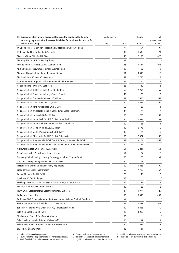| VII. Companies which are not accounted for using the equity method due to       |        | Shareholding in % |          | Net                     |
|---------------------------------------------------------------------------------|--------|-------------------|----------|-------------------------|
| secondary importance for the assets, liabilities, financial position and profit |        |                   |          | income/loss             |
| or loss of the Group                                                            | Direct | Total             | € '000   | € '000                  |
| KVK Kompetenzzentrum Verteilnetze und Konzessionen GmbH, Cologne                |        | 75                | 54       | 28                      |
| LDO Coal Pty. Ltd., Ruthersford/Australia<br>Mainzer Wärme PLUS GmbH, Mainz     |        | 40                | $-1,649$ | -74                     |
|                                                                                 |        | 45                | 2,190    | 420<br>$\overline{3}$   |
| Metering Süd GmbH & Co. KG, Augsburg                                            |        | 42                |          |                         |
| MNG Stromnetze GmbH & Co. KG, Lüdinghausen                                      |        | 25                | 19,534   | 1,935                   |
| MNG Stromnetze Verwaltungs GmbH, Lüdinghausen                                   |        | 25                | 27       | 2                       |
| Moravske Hidroelektrane d.o.o., Belgrade/Serbia                                 |        | 51                | 3,515    | -15                     |
| Murrhardt Netz AG & Co. KG, Murrhardt                                           |        | 49                | 2,790    | 3                       |
| Naturstrom Betriebsgesellschaft Oberhonnefeld mbH, Koblenz                      |        | 25                | 160      | $-1$                    |
| Netzanbindung Tewel OHG, Cuxhaven                                               |        | 25                | 710      | $-13$                   |
| Netzgesellschaft Bühlertal GmbH & Co. KG, Bühlertal                             |        | 50                | 2,296    | 159                     |
| Netzgesellschaft Elsdorf Verwaltungs-GmbH, Elsdorf                              |        | 49                | 25       | 2                       |
| Netzgesellschaft Grimma GmbH & Co. KG, Grimma                                   |        | 49                | 7,670    | 569                     |
| Netzgesellschaft Korb GmbH & Co. KG, Korb                                       |        | 50                | 1,417    | 99                      |
| Netzgesellschaft Korb Verwaltungs-GmbH, Korb                                    |        | 50                | 27       | $\mathbf{1}$            |
| Netzgesellschaft Kreisstadt Bergheim Verwaltungs-GmbH, Bergheim                 |        | 49                | 28       | 2                       |
| Netzgesellschaft Lauf GmbH & Co. KG, Lauf                                       |        | 50                | 758      | 53                      |
| Netzgesellschaft Leutenbach GmbH & Co. KG, Leutenbach                           |        | 50                | 1,531    | 108                     |
| Netzgesellschaft Leutenbach Verwaltungs-GmbH, Leutenbach                        |        | 50                | 26       | $\mathbf{1}$            |
| Netzgesellschaft Maifeld GmbH & Co. KG, Polch                                   |        | 49                | 6,176    | $\mathbf 0$             |
| Netzgesellschaft Maifeld Verwaltungs GmbH, Polch                                |        | 49                | 26       | $\mathbf{0}$            |
| Netzgesellschaft Ottersweier GmbH & Co. KG, Ottersweier                         |        | 50                | 2,027    | 145                     |
| Netzgesellschaft Rheda-Wiedenbrück GmbH & Co. KG, Rheda-Wiedenbrück             |        | 49                | 3,261    | 469                     |
| Netzgesellschaft Rheda-Wiedenbrück Verwaltungs-GmbH, Rheda-Wiedenbrück          |        | 49                | 27       | 0                       |
| NiersEnergieNetze GmbH & Co. KG, Kevelaer                                       |        | 51                | 6,211    | 551                     |
| NiersEnergieNetze Verwaltungs-GmbH, Kevelaer                                    |        | 51                | 27       | 2                       |
| Novenerg limited liability company for energy activities, Zagreb/Croatia        |        | 50                | 100      | $-1$                    |
| Offshore Trassenplanungs-GmbH OTP i.L., Hanover                                 |        | 50                | 168      | 0                       |
| Peißenberger Wärmegesellschaft mbH, Peißenberg                                  |        | 50                | 1,438    | -99                     |
| prego services GmbH, Saarbrücken                                                |        | 50                | $-7,722$ | 567                     |
| Propan Rheingas GmbH, Brühl                                                     |        | 28                | 49       | 2                       |
| Qualitas-AMS GmbH, Siegen                                                       |        | 38                |          | $\overline{\mathbf{3}}$ |
| Recklinghausen Netz-Verwaltungsgesellschaft mbH, Recklinghausen                 |        | 49                | 26       | 1                       |
| Renergie Stadt Wittlich GmbH, Wittlich                                          |        | 30                | 23       | 2                       |
| RIWA GmbH Gesellschaft für Geoinformationen, Kempten                            |        | 33                | 1,273    | 405                     |
| RurEnergie GmbH, Düren                                                          |        | 30                | 5,846    | -83                     |
| Rusheen – RWE Commercialisation Partners Limited, Swindon/United Kingdom        |        | 33                |          | $\overline{\mathbf{3}}$ |
| RWE Power International Middle East LLC, Dubai/UAE                              |        | 49                | $-1,838$ | -939                    |
| Sandersdorf-Brehna Netz GmbH & Co. KG, Sandersdorf-Brehna                       |        | 49                | 4,826    |                         |
|                                                                                 |        |                   |          | 170                     |
| Selm Netz GmbH & Co. KG, Selm                                                   |        | 25                | 3,225    | 0<br>3                  |
| SHS Ventures GmbH & Co. KGaA, Völklingen                                        |        | 50                |          |                         |
| SolarProjekt Mainaschaff GmbH, Mainaschaff                                      |        | 50                | 47       | $\mathbf{1}$            |
| SolarProjekt Rheingau-Taunus GmbH, Bad Schwalbach                               |        | 50                | 431      | -18                     |
| SPX, s.r.o., Žilina/Slovakia                                                    |        | 33                | 131      | 10                      |

3 Newly founded, financial statements not yet available. 6 Significant influence via indirect investments.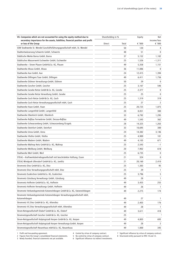| VII. Companies which are not accounted for using the equity method due to                               |        | Shareholding in % |        | Net                   |
|---------------------------------------------------------------------------------------------------------|--------|-------------------|--------|-----------------------|
| secondary importance for the assets, liabilities, financial position and profit<br>or loss of the Group | Direct | Total             | € '000 | income/loss<br>€ '000 |
| SSW Stadtwerke St. Wendel Geschäftsführungsgesellschaft mbH, St. Wendel                                 |        | 50                | 120    | 4                     |
| Stadtentwässerung Schwerte GmbH, Schwerte                                                               |        | 48                | 51     | $\mathbf{0}$          |
| Städtische Werke Borna GmbH, Borna                                                                      |        | 37                | 5,152  | 1,102                 |
| Städtisches Wasserwerk Eschweiler GmbH, Eschweiler                                                      |        | 25                | 1,526  | $-1,311$              |
| Stadtwerke - Strom Plauen GmbH & Co. KG, Plauen                                                         |        | 49                | 5,358  | 1,151                 |
| Stadtwerke Ahaus GmbH, Ahaus                                                                            |        | 36                | 11,086 | 0                     |
| Stadtwerke Aue GmbH, Aue                                                                                |        | 24                | 12,415 | 1,394                 |
| Stadtwerke Dillingen/Saar GmbH, Dillingen                                                               |        | 49                | 6,411  | 1,756                 |
| Stadtwerke Dülmen Verwaltungs-GmbH, Dülmen                                                              |        | 50                | 29     | 0                     |
| Stadtwerke Gescher GmbH, Gescher                                                                        |        | 25                | 3,167  | 546                   |
| Stadtwerke Geseke Netze GmbH & Co. KG, Geseke                                                           |        | 25                | 2,377  | 0                     |
| Stadtwerke Geseke Netze Verwaltung GmbH, Geseke                                                         |        | 25                | 25     | 0                     |
| Stadtwerke Goch Netze GmbH & Co. KG, Goch                                                               |        | 25                | 1,319  | 319                   |
| Stadtwerke Goch Netze Verwaltungsgesellschaft mbH, Goch                                                 |        | 25                | 27     | 2                     |
| Stadtwerke Haan GmbH, Haan                                                                              |        | 25                | 20,725 | 1,875                 |
| Stadtwerke Langenfeld GmbH, Langenfeld                                                                  |        | 20                | 8,051  | 300                   |
| Stadtwerke Oberkirch GmbH, Oberkirch                                                                    |        | 33                | 6,792  | 1,295                 |
| Stadtwerke Roßlau Fernwärme GmbH, Dessau-Roßlau                                                         |        | 49                | 1,543  | 362                   |
| Stadtwerke Schwarzenberg GmbH, Schwarzenberg/Erzgeb.                                                    |        | 28                | 14,325 | 1,263                 |
| Stadtwerke Steinfurt GmbH, Steinfurt                                                                    |        | 33                | 10,695 | 300                   |
| Stadtwerke Unna GmbH, Unna                                                                              |        | 24                | 14,382 | 3,146                 |
| Stadtwerke Vlotho GmbH, Vlotho                                                                          |        | 25                | 4,989  | 101                   |
| Stadtwerke Wadern GmbH, Wadern                                                                          |        | 49                | 4,103  | 671                   |
| Stadtwerke Waltrop Netz GmbH & Co. KG, Waltrop                                                          |        | 25                | 2,543  | $-1$                  |
| Stadtwerke Weilburg GmbH, Weilburg                                                                      |        | 20                | 7,902  | 618                   |
| Stadtwerke Werl GmbH, Werl                                                                              |        | 25                | 6,735  | 0                     |
| STEAG - Kraftwerksbetriebsgesellschaft mit beschränkter Haftung, Essen                                  |        | 21                | 324    | 0                     |
| STEAG Windpark Ullersdorf GmbH & Co. KG, Jamlitz                                                        |        | 21                | 20,160 | 2,410                 |
| Stromnetz Diez GmbH & Co. KG, Diez                                                                      |        | 25                | 1,383  | 95                    |
| Stromnetz Diez Verwaltungsgesellschaft mbH, Diez                                                        |        | 25                | 29     | 1                     |
| Stromnetz Euskirchen GmbH & Co. KG, Euskirchen                                                          |        | 25                | 3,796  | 5                     |
| Stromnetz Günzburg Verwaltungs GmbH, Günzburg                                                           |        | 49                | 28     | $\mathbf{1}$          |
| Stromnetz Hofheim GmbH & Co. KG, Hofheim                                                                |        | 49                | 3,455  | 255                   |
| Stromnetz Hofheim Verwaltungs GmbH, Hofheim                                                             |        | 49                | 26     | 1                     |
| Stromnetz Verbandsgemeinde Katzenelnbogen GmbH & Co. KG, Katzenelnbogen                                 |        | 49                | 2,275  | 174                   |
| Stromnetz Verbandsgemeinde Katzenelnbogen Verwaltungsgesellschaft mbH,<br>Katzenelnbogen                |        | 49                | 27     | 1                     |
| Stromnetz VG Diez GmbH & Co. KG, Altendiez                                                              |        | 49                | 2,403  | 176                   |
| Stromnetz VG Diez Verwaltungsgesellschaft mbH, Altendiez                                                |        | 49                | 28     | $\mathbf{1}$          |
| Strom-Netzgesellschaft Elsdorf GmbH & Co. KG, Elsdorf                                                   |        | 49                | 3,611  | 418                   |
| Stromnetzgesellschaft Gescher GmbH & Co. KG, Gescher                                                    |        | 25                |        | 3                     |
| Strom-Netzgesellschaft Kolpingstadt Kerpen GmbH & Co. KG, Kerpen                                        |        | 49                | 4,803  | 693                   |
| Strom-Netzgesellschaft Kolpingstadt Kerpen Verwaltungs-GmbH, Kerpen                                     |        | 49                | 28     | 2                     |
| Stromnetzgesellschaft Neuenhaus mbH & Co. KG, Neuenhaus                                                 |        | 49                | 1,000  | 345                   |

3 Newly founded, financial statements not yet available. 6 Significant influence via indirect investments.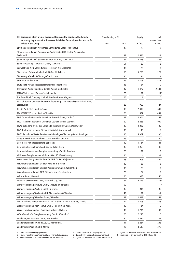| VII. Companies which are not accounted for using the equity method due to                               |        | Shareholding in % |        | Net                            |
|---------------------------------------------------------------------------------------------------------|--------|-------------------|--------|--------------------------------|
| secondary importance for the assets, liabilities, financial position and profit<br>or loss of the Group | Direct | Total             | € '000 | income/loss<br>$\epsilon$ '000 |
| Stromnetzgesellschaft Neuenhaus Verwaltungs-GmbH, Neuenhaus                                             |        | 49                | 25     | 0                              |
| Stromnetzgesellschaft Neunkirchen-Seelscheid mbH & Co. KG, Neunkirchen-                                 |        |                   |        |                                |
| Seelscheid                                                                                              |        | 49                | 2,625  | 313                            |
| Stromnetzgesellschaft Schwalmtal mbH & Co. KG, Schwalmtal                                               |        | 51                | 3,578  | 582                            |
| Stromverwaltung Schwalmtal GmbH, Schwalmtal                                                             |        | 51                | 28     | 2                              |
| Südwestfalen Netz-Verwaltungsgesellschaft mbH, Netphen                                                  |        | 49                | 25     | 0                              |
| SWL-energis Netzgesellschaft mbH & Co. KG, Lebach                                                       |        | 50                | 3,703  | 279                            |
| SWL-energis-Geschäftsführungs-GmbH, Lebach                                                              |        | 50                | 34     | -1                             |
| SWT trilan GmbH, Trier                                                                                  |        | 26                | 1,203  | 478                            |
| SWTE Netz Verwaltungsgesellschaft mbH, Ibbenbüren                                                       |        | 33                | 24     | 0                              |
| Technische Werke Naumburg GmbH, Naumburg (Saale)                                                        |        | 47                | 11,477 | 2,531                          |
| TEPLO Votice s.r.o., Votice/Czech Republic                                                              |        | 20                | 91     | $14^{2}$                       |
| The Bristol Bulk Company Limited, London/United Kingdom                                                 |        | 25                | 1      | 0                              |
| TNA Talsperren- und Grundwasser-Aufbereitungs- und Vertriebsgesellschaft mbH,                           |        |                   |        |                                |
| Saarbrücken                                                                                             |        | 23                | 969    | 127                            |
| Toledo PV A.E.I.E., Madrid/Spain                                                                        |        | 33                | 2,339  | 630                            |
| TRANSELEKTRO, s.r.o., Košice/Slovakia                                                                   |        | 26                | 627    | -51                            |
| TWE Technische Werke der Gemeinde Ensdorf GmbH, Ensdorf                                                 |        | 49                | 2,004  | 69                             |
| TWL Technische Werke der Gemeinde Losheim GmbH, Losheim                                                 |        | 50                | 6,283  | 1,009                          |
| TWM Technische Werke der Gemeinde Merchweiler GmbH, Merchweiler                                         |        | 49                | 2,027  | 135                            |
| TWN Trinkwasserverbund Niederrhein GmbH, Grevenbroich                                                   |        | 33                | 148    | -5                             |
| TWRS Technische Werke der Gemeinde Rehlingen-Siersburg GmbH, Rehlingen                                  |        | 35                | 4,802  | 136                            |
| Umspannwerk Putlitz GmbH & Co. KG, Frankfurt am Main                                                    |        | 25                | 0      | $-200$                         |
| Untere Iller Aktiengesellschaft, Landshut                                                               |        | 40                | 1,134  | 41                             |
| Untermain EnergieProjekt AG & Co. KG, Kelsterbach                                                       |        | 49                | 1,958  | 146                            |
| Untermain Erneuerbare Energien Verwaltungs-GmbH, Raunheim                                               |        | 25                | 31     | 2                              |
| VEM Neue Energie Muldental GmbH & Co. KG, Markkleeberg                                                  |        | 50                | 6      | $-4$                           |
| Verteilnetze Energie Weißenhorn GmbH & Co. KG, Weißenhorn                                               |        | 35                | 906    | 509                            |
| Verwaltungsgesellschaft Dorsten Netz mbH, Dorsten                                                       |        | 49                | 27     | 2                              |
| Verwaltungsgesellschaft Energie Weißenhorn GmbH, Weißenhorn                                             |        | 35                | 25     | 0                              |
| Verwaltungsgesellschaft GKW Dillingen mbH, Saarbrücken                                                  |        | 25                | 174    | 7                              |
| Voltaris GmbH, Maxdorf                                                                                  |        | 50                | 933    | 150                            |
| WALDEN GREEN ENERGY LLC, New York City/USA                                                              |        | 61                | 5,396  | $-818^{2}$                     |
| Wärmeversorgung Limburg GmbH, Limburg an der Lahn                                                       |        | 50                |        | $\overline{\mathbf{3}}$        |
| Wärmeversorgung Mücheln GmbH, Mücheln                                                                   |        | 49                | 916    | 96                             |
| Wärmeversorgung Wachau GmbH, Markkleeberg OT Wachau                                                     |        | 49                | 91     | $-1$                           |
| Wärmeversorgung Würselen GmbH, Würselen                                                                 |        | 49                | 1,449  | 61                             |
| Wasserverbund Niederrhein Gesellschaft mit beschränkter Haftung, Krefeld                                |        | 42                | 10,805 | 538                            |
| Wasserversorgung Main-Taunus GmbH, Frankfurt am Main                                                    |        | 49                | 134    | 6                              |
| Wasserzweckverband der Gemeinde Nalbach, Nalbach                                                        |        | 49                | 1,736  | 47                             |
| WEV Warendorfer Energieversorgung GmbH, Warendorf                                                       |        | 25                | 12,243 | 0                              |
| Windenergie Briesensee GmbH, Neu Zauche                                                                 |        | 50                | 1,434  | 1,181                          |
| Windenergie Frehne GmbH & Co. KG, Marienfließ                                                           |        | 41                | 6,264  | 202                            |
| Windenergie Merzig GmbH, Merzig                                                                         |        | 20                | 3,515  | 276                            |

3 1 Profit and loss-pooling agreement.<br>2 Figures from the Group's consolidated financial statements. 5 No control by virtue of company contract.<br>3 Newly founded, financial statements not yet available. 6 Significant influe

2 Figures from the Group's consolidated financial statements. 5 No control by virtue of company contract. 8 Structured entity pursuant to IFRS 10 and 12.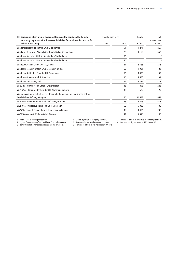| VII. Companies which are not accounted for using the equity method due to                                      | Shareholding in % |       | Equity | <b>Net</b>            |
|----------------------------------------------------------------------------------------------------------------|-------------------|-------|--------|-----------------------|
| secondary importance for the assets, liabilities, financial position and profit<br>or loss of the Group        | Direct            | Total | € '000 | income/loss<br>€ '000 |
| Windenergiepark Heidenrod GmbH, Heidenrod                                                                      |                   | 51    | 11,871 | 865                   |
| Windkraft Jerichow - Mangelsdorf I GmbH & Co. KG, Jerichow                                                     |                   | 25    | 4,163  | 652                   |
| Windpark Borssele 1& II B.V., Amsterdam/Netherlands                                                            |                   | 50    |        | 3                     |
| Windpark Borssele 1& II C.V., Amsterdam/Netherlands                                                            |                   | 50    |        | $\overline{3}$        |
| Windpark Jüchen GmbH & Co. KG, Essen                                                                           |                   | 21    | 2,385  | 276                   |
| Windpark Losheim-Britten GmbH, Losheim am See                                                                  |                   | 50    | 1,991  | 22                    |
| Windpark Nohfelden-Eisen GmbH, Nohfelden                                                                       |                   | 50    | 3,468  | $-57$                 |
| Windpark Oberthal GmbH, Oberthal                                                                               |                   | 35    | 4.673  | 281                   |
| Windpark Perl GmbH, Perl                                                                                       |                   | 42    | 8,229  | 478                   |
| WINDTEST Grevenbroich GmbH, Grevenbroich                                                                       |                   | 38    | 898    | 248                   |
| WLN Wasserlabor Niederrhein GmbH, Mönchengladbach                                                              |                   | 45    | 520    | 20                    |
| Wohnungsbaugesellschaft für das Rheinische Braunkohlenrevier Gesellschaft mit<br>beschränkter Haftung, Cologne |                   | 50    | 52,558 | 2,654                 |
| WVG-Warsteiner Verbundgesellschaft mbH, Warstein                                                               |                   | 25    | 8,295  | 1,673                 |
| WVL Wasserversorgung Losheim GmbH, Losheim                                                                     |                   | 50    | 5,083  | 405                   |
| WWS Wasserwerk Saarwellingen GmbH, Saarwellingen                                                               |                   | 49    | 3,486  | 236                   |
| WWW Wasserwerk Wadern GmbH, Wadern                                                                             |                   | 49    | 3,516  | 166                   |

2 Figures from the Group's consolidated financial statements. 5 No control by virtue of company contract. 8 Structured entity pursuant to IFRS 10 and 12.

3 Newly founded, financial statements not yet available. 6 Significant influence via indirect investments.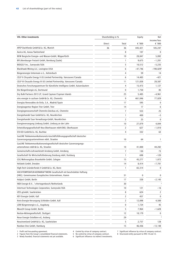| <b>VIII. Other investments</b>                                                                                          | Shareholding in % |                | Equity    | Net                   |
|-------------------------------------------------------------------------------------------------------------------------|-------------------|----------------|-----------|-----------------------|
|                                                                                                                         | Direct            | Total          | € '000    | income/loss<br>€ '000 |
| APEP Dachfonds GmbH & Co. KG, Munich                                                                                    | 36                | 36             | 445,421   | 105,247               |
| Aurica AG, Aarau/Switzerland                                                                                            |                   | 8              | 107       | $\mathbf{0}$          |
| BEW Bergische Energie- und Wasser-GmbH, Wipperfürth                                                                     |                   | 19             | 28,847    | 5,892                 |
| BFG-Bernburger Freizeit GmbH, Bernburg (Saale)                                                                          |                   | $\mathbf{1}$   | 9,675     | $-1,201$              |
| BIDGELY Inc., Sunnyvale/USA                                                                                             |                   | 5              | 10,512    | $-5,235$              |
| Blackhawk Mining LLC, Lexington/USA                                                                                     |                   | 6              | $-47,746$ | $-190,829^2$          |
| Bürgerenergie Untermain e.G., Kelsterbach                                                                               |                   | 4              | 59        | 14                    |
| CELP II Chrysalix Energy II US Limited Partnership, Vancouver/Canada                                                    |                   | 6              | 14,483    | -421                  |
| CELP III Chrysalix Energy III US Limited Partnership, Vancouver/Canada                                                  |                   | 11             | 121,838   | 28,587                |
| Deutsches Forschungszentrum für Künstliche Intelligenz GmbH, Kaiserslautern                                             |                   | 4              | 15,473    | 1,127                 |
| Die BürgerEnergie eG, Dortmund                                                                                          |                   | 0              | 1,750     | 85                    |
| Dry Bulk Partners 2013 LP, Grand Cayman/Cayman Islands                                                                  |                   | 25             | 5,485     | $-4,961$              |
| eins energie in sachsen GmbH & Co. KG, Chemnitz                                                                         |                   | 9              | 461.046   | 77,029                |
| Energías Renovables de Ávila, S.A., Madrid/Spain                                                                        |                   | 17             | 595       | 0                     |
| Energieagentur Region Trier GmbH, Trier                                                                                 |                   | 14             | 17        | 6                     |
| Energiegenossenschaft Chemnitz-Zwickau eG, Chemnitz                                                                     |                   | $\overline{7}$ | 553       | 25                    |
| Energiehandel Saar GmbH & Co. KG, Neunkirchen                                                                           |                   | 1              | 400       | -5                    |
| Energiehandel Saar Verwaltungs-GmbH, Neunkirchen                                                                        |                   | 2              | 25        | $\mathbf{0}$          |
| Energieversorgung Limburg GmbH, Limburg an der Lahn                                                                     |                   | 10             | 27,079    | 4,844                 |
| Entwicklungsgesellschaft Neu-Oberhausen mbH-ENO, Oberhausen                                                             |                   | 2              | 627       | $-1,010$              |
| ESV-ED GmbH & Co. KG, Buchloe                                                                                           |                   | 4              | 332       | 63                    |
| GasLINE Telekommunikationsnetz-Geschäftsführungsgesellschaft deutscher<br>Gasversorgungsunternehmen mbH, Straelen       |                   | 10             | 64        | 1                     |
| GasLINE Telekommunikationsnetzgesellschaft deutscher Gasversorgungs-<br>unternehmen mbH & Co. KG, Straelen              |                   | 10             | 41,000    | 44,282                |
| Gemeinschafts-Lehrwerkstatt Arnsberg GmbH, Arnsberg                                                                     |                   | 7              | 130       | 73                    |
| Gesellschaft für Wirtschaftsförderung Duisburg mbH, Duisburg                                                            |                   | 1              | 698       | $-120$                |
| GSG Wohnungsbau Braunkohle GmbH, Cologne                                                                                |                   | 15             | 45,277    | 1,072                 |
| Heliatek GmbH, Dresden                                                                                                  |                   | 14             | 8,414     | $-7,701$              |
| High-Tech Gründerfonds II GmbH & Co. KG, Bonn                                                                           |                   | 1              | 65,314    | 0                     |
| HOCHTEMPERATUR-KERNKRAFTWERK Gesellschaft mit beschränkter Haftung<br>(HKG). Gemeinsames Europäisches Unternehmen, Hamm |                   | 31             | 0         | 0                     |
| Hubject GmbH, Berlin                                                                                                    |                   | 17             | 338       | $-2,145$              |
| INDI Energie B.V., 's-Hertogenbosch/Netherlands                                                                         |                   | 30             |           | $\overline{3}$        |
| Intertrust Technologies Corporation, Sunnyvale/USA                                                                      |                   | 10             | 121       | -16                   |
| IZES gGmbH, Saarbrücken                                                                                                 |                   | 8              | 624       | 2                     |
| KEV Energie GmbH, Kall                                                                                                  |                   | 2              | 457       | 0                     |
| Kreis-Energie-Versorgung Schleiden GmbH, Kall                                                                           |                   | 2              | 12,098    | 4,500                 |
| LEW Bürgerenergie e.G., Augsburg                                                                                        |                   | 0              | 1,724     | 45                    |
| Move24 Group GmbH, Berlin                                                                                               |                   | 5              | 7,964     | $-1,628$              |
| Neckar-Aktiengesellschaft, Stuttgart                                                                                    |                   | 12             | 10,179    | 0                     |
| Neue Energie Ostelbien eG, Arzberg                                                                                      |                   | 29             |           |                       |
| Neustromland GmbH & Co. KG, Saarbrücken                                                                                 |                   | 5              | 2,757     | 128                   |
| Nordsee One GmbH, Hamburg                                                                                               |                   | 15             | 46,436    | $-13,148$             |

3 Newly founded, financial statements not yet available. 6 Significant influence via indirect investments.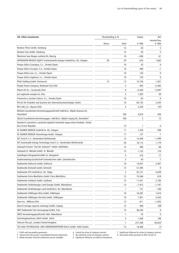| <b>VIII. Other investments</b>                                                        | Shareholding in % |       | Equity   | Net                   |
|---------------------------------------------------------------------------------------|-------------------|-------|----------|-----------------------|
|                                                                                       | Direct            | Total | € '000   | income/loss<br>€ '000 |
| Nordsee Three GmbH, Hamburg                                                           |                   | 15    | 20       | 5                     |
| Nordsee Two GmbH, Hamburg                                                             |                   | 15    | 20       | 5                     |
| Ökostrom Saar Biogas Losheim KG, Merzig                                               |                   | 10    | $-206$   | 61                    |
| OPPENHEIM PRIVATE EQUITY Institutionelle Anleger GmbH & Co. KG, Cologne               | 29                | 29    | 676      | 1,862                 |
| Parque Eólico Cassiopea, S.L., Oviedo/Spain                                           |                   | 10    | 53       | 0                     |
| Parque Eólico Escorpio, S.A., Oviedo/Spain                                            |                   | 10    | 499      | $-1$                  |
| Parque Eólico Leo, S.L., Oviedo/Spain                                                 |                   | 10    | 134      | 0                     |
| Parque Eólico Sagitario, S.L., Oviedo/Spain                                           |                   | 10    | 124      | 0                     |
| PEAG Holding GmbH, Dortmund                                                           | 12                | 12    | 15,736   | 1,427                 |
| People Power Company, Redwood City/USA                                                |                   | 5     | 934      | $-2,405$              |
| Planet OS Inc., Sunnyvale/USA                                                         |                   | 9     | $-2,264$ | $-2,0912$             |
| pro regionale energie eG, Diez                                                        |                   | 2     | 1,383    | 49                    |
| Promocion y Gestion Cáncer, S.L., Oviedo/Spain                                        |                   | 10    | 65       | 0                     |
| PSI AG für Produkte und Systeme der Informationstechnologie, Berlin                   |                   | 18    | 82,733   | 5,244                 |
| REV LNG LLC, Ulysses/USA                                                              |                   | 5     | 3,239    | 135 <sup>2</sup>      |
| ROSOLA Grundstücks-Vermietungsgesellschaft mbH & Co. Objekt Alzenau KG,<br>Düsseldorf |                   | 100   | 2,610    | 426                   |
| SALUS Grundstücks-Vermietungsges. mbH & Co. Objekt Leipzig KG, Düsseldorf             |                   | 100   | 5        | 15                    |
| Sdružení k vytvoření a využívání digitální technické mapy města Pardubic, Pardu-      |                   |       |          |                       |
| bice/Czech Republic                                                                   |                   | 12    | 1        | 0                     |
| SE SAUBER ENERGIE GmbH & Co. KG, Cologne                                              |                   | 17    | 1,326    | 209                   |
| SE SAUBER ENERGIE Verwaltungs-GmbH, Cologne                                           |                   | 17    | 127      | 7                     |
| SET Fund II C.V., Amsterdam/Netherlands                                               |                   | 13    | 13,448   | $-1,499$              |
| SET Sustainable Energy Technology Fund C.V., Amsterdam/Netherlands                    |                   | 50    | 18,115   | 1,179                 |
| Solarpark Freisen "Auf der Schwann" GmbH, Nohfelden                                   |                   | 15    | 380      | 68                    |
| Solarpark St. Wendel GmbH, St. Wendel                                                 |                   | 15    | 1,133    | 170                   |
| SolarRegion RengsdorferLAND eG, Rengsdorf                                             |                   | 2     | 318      | 17                    |
| Stadtmarketing-Gesellschaft Gelsenkirchen mbH, Gelsenkirchen                          |                   | 2     | 50       | 7                     |
| Stadtwerke Delitzsch GmbH, Delitzsch                                                  |                   | 18    | 14,937   | 2,467                 |
| Stadtwerke Detmold GmbH, Detmold                                                      |                   | 12    | 31,495   | 0                     |
| Stadtwerke ETO GmbH & Co. KG, Telgte                                                  |                   | 3     | 32,121   | 4,639                 |
| Stadtwerke Porta Westfalica GmbH, Porta Westfalica                                    |                   | 12    | 15,566   | 810                   |
| Stadtwerke Sulzbach GmbH, Sulzbach                                                    |                   | 15    | 11,431   | 2,106                 |
| Stadtwerke Tecklenburger Land Energie GmbH, Ibbenbüren                                |                   | 15    | $-1,913$ | -1,197                |
| Stadtwerke Tecklenburger Land GmbH & Co. KG, Ibbenbüren                               |                   | 1     | 131      | $-106$                |
| Stadtwerke Völklingen Netz GmbH, Völklingen                                           |                   | 18    | 16,387   | 1,674                 |
| Stadtwerke Völklingen Vertrieb GmbH, Völklingen                                       |                   | 18    | 7,301    | 3,452                 |
| Stem Inc., Milbrae/USA                                                                |                   | 12    | 611      | $-1,825$              |
| Store-X storage capacity exchange GmbH, Leipzig                                       |                   | 12    | 468      | $168^2$               |
| SWT Stadtwerke Trier Versorgungs-GmbH, Trier                                          |                   | 19    | 36,256   | 0                     |
| SWTE Verwaltungsgesellschaft mbH, Ibbenbüren                                          |                   | 1     | 24       | 0                     |
| Technologiezentrum Jülich GmbH, Jülich                                                |                   | 5     | 1,269    | 198                   |
| Telecom Plus plc, London/United Kingdom                                               |                   | 1     | 231,588  | 38,622 <sup>2</sup>   |
| TGZ Halle TECHNOLOGIE- UND GRÜNDERZENTRUM HALLE GmbH, Halle (Saale)                   |                   | 15    | 14,498   | 51                    |

2 Figures from the Group's consolidated financial statements. 5 No control by virtue of company contract. 8 Structured entity pursuant to IFRS 10 and 12.

3 Newly founded, financial statements not yet available. 6 Significant influence via indirect investments.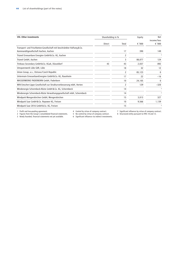| <b>VIII. Other investments</b>                                         |        | Shareholding in % |          | Net                     |
|------------------------------------------------------------------------|--------|-------------------|----------|-------------------------|
|                                                                        | Direct | Total             | € $'000$ | income/loss<br>€ '000   |
| Transport- und Frischbeton-Gesellschaft mit beschränkter Haftung & Co. |        |                   |          |                         |
| Kommanditgesellschaft Aachen, Aachen                                   |        | 17                | 390      | 149                     |
| Trianel Erneuerbare Energien GmbH & Co. KG, Aachen                     |        | 2                 |          | 3                       |
| Trianel GmbH, Aachen                                                   |        | 3                 | 88,077   | 124                     |
| Trinkaus Secondary GmbH & Co. KGaA, Düsseldorf                         | 43     | 43                | 2,037    | 892                     |
| Umspannwerk Lübz GbR, Lübz                                             |        | 18                | 32       | 12                      |
| Union Group, a.s., Ostrava/Czech Republic                              |        | 2                 | 85,123   | $\mathbf{0}$            |
| Untermain ErneuerbareEnergien GmbH & Co. KG, Raunheim                  |        | 17                | 22       | $-16$                   |
| WASSERWERKE PADERBORN GmbH, Paderborn                                  |        | 10                | 24,105   | $\mathbf{0}$            |
| WiN Emscher-Lippe Gesellschaft zur Strukturverbesserung mbH, Herten    |        | 2                 | 129      | $-320$                  |
| Windenergie Schermbeck-Rüste GmbH & Co. KG, Schermbeck                 |        | 14                |          | $\overline{\mathbf{3}}$ |
| Windenergie Schermbeck-Rüste Verwaltungsgesellschaft mbH, Schermbeck   |        | 14                |          | $\overline{\mathbf{3}}$ |
| Windpark Mengerskirchen GmbH, Mengerskirchen                           |        | 15                | 3,013    | 327                     |
| Windpark Saar GmbH & Co. Repower KG, Freisen                           |        | 10                | 9,566    | 1,139                   |
| Windpark Saar 2016 GmbH & Co. KG, Freisen                              |        | 15                |          | 3                       |

2 Figures from the Group's consolidated financial statements. 5 No control by virtue of company contract. 8 Structured entity pursuant to IFRS 10 and 12.

3 Newly founded, financial statements not yet available. 6 Significant influence via indirect investments.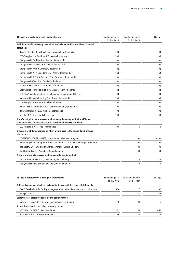| Changes in shareholding with change of control                                                   | Shareholding in %<br>31 Dec 2016 | Shareholding in %<br>31 Dec 2015 | Change |
|--------------------------------------------------------------------------------------------------|----------------------------------|----------------------------------|--------|
| Additions to affiliated companies which are included in the consolidated financial               |                                  |                                  |        |
| statements                                                                                       |                                  |                                  |        |
| Bakker CV Installatietechniek B.V., Zwaagdijk/Netherlands                                        | 100                              |                                  | 100    |
| EGD-Energiewacht Facilities B.V., Assen/Netherlands                                              | 100                              |                                  | 100    |
| Energiewacht Facilities B.V., Zwolle/Netherlands                                                 | 100                              |                                  | 100    |
| Energiewacht Steenwijk B.V., Zwolle/Netherlands                                                  | 100                              |                                  | 100    |
| Energiewacht VKI B.V., Dalfsen/Netherlands                                                       | 100                              |                                  | 100    |
| Energiewacht West Nederland B.V., Assen/Netherlands                                              | 100                              |                                  | 100    |
| Energiewacht-A.G.A.S.-Deventer B.V., Deventer/Netherlands                                        | 100                              |                                  | 100    |
| Energiewacht-Gazo B.V., Zwolle/Netherlands                                                       | 100                              |                                  | 100    |
| GasWacht Friesland B.V., Gorredijk/Netherlands                                                   | 100                              |                                  | 100    |
| GasWacht Friesland Facilities B.V., Leeuwarden/Netherlands                                       | 100                              |                                  | 100    |
| GBV Dreißigste Gesellschaft für Beteiligungsverwaltung mbH, Essen                                | 100                              |                                  | 100    |
| Mercurius Klimaatbeheersing B.V., Assen/Netherlands                                              | 100                              |                                  | 100    |
| N.V. Energiewacht-Groep, Zwolle/Netherlands                                                      | 100                              |                                  | 100    |
| RWE Eemshaven Holding II B.V., Geertruidenberg/Netherlands                                       | 100                              |                                  | 100    |
| RWE Generation NL B.V., Arnhem/Netherlands                                                       | 100                              |                                  | 100    |
| Sebukro B.V., Amersfoort/Netherlands                                                             | 100                              |                                  | 100    |
| Transfers of joint ventures accounted for using the equity method to affiliated                  |                                  |                                  |        |
| companies which are included in the consolidated financial statements                            |                                  |                                  |        |
| EGG Holding B.V., Meppel/Netherlands                                                             | 100                              | 50                               | 50     |
| Disposals of affiliated companies which are included in the consolidated financial<br>statements |                                  |                                  |        |
| LYNEMOUTH POWER LIMITED, Northumberland/United Kingdom                                           |                                  | 100                              | $-100$ |
| RWE Energy Beteiligungsverwaltung Luxemburg S.A.R.L., Luxembourg/Luxembourg                      |                                  | 100                              | $-100$ |
| Batsworthy Cross Wind Farm Limited, Swindon/United Kingdom                                       |                                  | 100                              | $-100$ |
| Oval (2205) Limited, Swindon/United Kingdom                                                      |                                  | 100                              | $-100$ |
| Disposals of associates accounted for using the equity method                                    |                                  |                                  |        |
| Enovos International S. A., Luxembourg/Luxembourg                                                |                                  | 18                               | $-18$  |
| Zephyr Investments Limited, Swindon/United Kingdom                                               |                                  | 33                               | $-33$  |

| Change in control without change in shareholding                                 | Shareholding in % | Shareholding in % | Change |
|----------------------------------------------------------------------------------|-------------------|-------------------|--------|
|                                                                                  | 31 Dec 2016       | 31 Dec 2015       |        |
| Affiliated companies which are included in the consolidated financial statements |                   |                   |        |
| FAMIS Gesellschaft für Facility Management und Industrieservice mbH, Saarbrücken | 100               | 63                | 37     |
| innogy SE, Essen                                                                 | 77                | 100               | $-23$  |
| Joint ventures accounted for using the equity method                             |                   |                   |        |
| Société Electrique de l'Our S.A., Luxembourg/Luxembourg                          | 40                | 40                | 0      |
| Associates accounted for using the equity method                                 |                   |                   |        |
| SWTE Netz GmbH & Co. KG, Ibbenbüren                                              | 33                | 98                | $-65$  |
| Vliegasunie B.V., De Bilt/Netherlands                                            | 60                | 43                | 17     |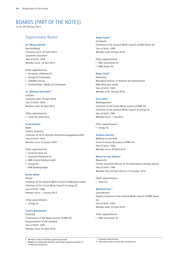# BOARDS (PART OF THE NOTES)

As of: 28 February 2017

### Supervisory Board **Dieter Faust<sup>1,2</sup>**

#### **Dr. Werner Brandt**

Bad Homburg Chairman since: 20 April 2016 Corporate consultant Year of birth: 1954 Member since: 18 April 2013

Other appointments:

- Deutsche Lufthansa AG
- innogy SE (Chairman)
- OSRAM Licht AG
- ProSiebenSat.1 Media SE (Chairman)

#### **Dr. Manfred Schneider2**

Cologne Chairman until: 20 April 2016 Year of birth: 1938 Member until: 20 April 2016

#### Other appointments:

• Linde AG (Chairman)

#### **Frank Bsirske**<sup>1</sup>

Berlin Deputy Chairman Chairman of ver.di Vereinte Dienstleistungsgewerkschaft Year of birth: 1952 Member since: 9 January 2001

#### Other appointments:

- Deutsche Bank AG
- Deutsche Postbank AG
- IBM Central Holding GmbH
- innogy SE
- KfW Bankengruppe

#### **Reiner Böhle1**

#### Witten

Chairman of the General Works Council of Westnetz GmbH, Chairman of the Group Works Council of innogy SE Year of birth: 1960 Member since: 1 January 2013

Other appointments:

• innogy SE

#### **Sandra Bossemeyer1**

Duisburg Chairwoman of the Works Council of RWE AG Representative of the disabled Year of birth: 1965 Member since: 20 April 2016

Eschweiler Chairman of the General Works Council of RWE Power AG Year of birth: 1958 Member until: 20 April 2016

Other appointments:

- RWE Generation SE
- RWE Power AG

#### **Roger Graef2**

Bollendorf Managing Director of Verband der kommunalen RWE-Aktionäre GmbH Year of birth: 1943 Member until: 20 April 2016

#### **Arno Hahn1**

Waldalgesheim Chairman of the Group Works Council of RWE AG Chairman of the General Works Council of innogy SE Year of birth: 1962 Member since: 1 July 2012

Other appointments:

• innogy SE

#### **Andreas Henrich<sup>1</sup>**

Mülheim an der Ruhr Head of Human Resources at RWE AG Year of birth: 1956 Member since: 20 April 2016

#### **Maria van der Hoeven2**

Maastricht Former Executive Director of the International Energy Agency Year of birth: 1949 Member from 20 April 2016 to 14 October 2016

Other appointments:

- Total S.A.

#### **Manfred Holz1,2**

Grevenbroich Deputy Chairman of the General Works Council of RWE Power AG Year of birth: 1954 Member until: 20 April 2016

#### Other appointments:

• RWE Generation SE

• Member of other mandatory supervisory boards. – Member of comparable domestic and foreign supervisory boards of commercial enterprises.

<sup>1</sup> Employee representative. 2 Information valid as of the date of retirement.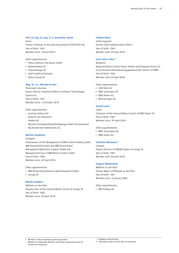#### **Prof. Dr.-Ing. Dr.-Ing. E. h. Hans-Peter Keitel**

Essen

Former Chairman of the Executive Board of HOCHTIEF AG Year of birth: 1947 Member since: 18 April 2013

Other appointments:

- Airbus Defence and Space GmbH
- National-Bank AG
- ThyssenKrupp AG
- Voith GmbH (Chairman)
- Airbus Group SE

#### **Mag. Dr. h.c. Monika Kircher**

Pörtschach (Austria) Senior Director Industrial Affairs at Infineon Technologies Austria AG Year of birth: 1957 Member since: 15 October 2016

#### Other appointments:

- Austrian Airlines AG
- Siemens AG Österreich
- Andritz AG
- Kärntner Energieholding Beteiligungs GmbH (Chairwoman)
- KELAG-Kärntner Elektrizitäts AG

#### **Martina Koederitz**

#### **Stuttgart**

Chairwoman of the Management of IBM Central Holding GmbH, IBM Deutschland GmbH and IBM Deutschland Management&Business Support GmbH and Managing Director of IBM Munich Center GmbH Year of birth: 1964 Member since: 20 April 2016

Other appointments:

- IBM Deutschland Research&Development GmbH
- innogy SE

#### **Monika Krebber1**

Mülheim an der Ruhr Deputy Chair of the General Works Council of innogy SE Year of birth: 1962 Member since: 20 April 2016

#### **Frithjof Kühn2**

Sankt Augustin Former Chief Administrative Officer Year of birth: 1943 Member until: 20 April 2016

#### Hans Peter Lafos<sup>1,2</sup>

Bergheim Regional District Sector Head, Utilities and Disposal (Sector 2), ver.di Vereinte Dienstleistungsgewerkschaft, District of NRW Year of birth: 1954 Member until: 20 April 2016

Other appointments:

- GEW Köln AG
- RWE Generation SE
- RWE Power AG
- RheinEnergie AG

#### **Harald Louis1**

Jülich Chairman of the General Works Council of RWE Power AG Year of birth: 1967 Member since: 20 April 2016

Other appointments:

- RWE Generation SE
- RWE Power AG

#### **Christine Merkamp1,2**

Cologne Project Director at NWoW Engine of innogy SE Year of birth: 1967 Member until: 20 April 2016

#### **Dagmar Mühlenfeld**

Mülheim an der Ruhr Former Mayor of Mülheim an der Ruhr Year of birth: 1951 Member since: 4 January 2005

Other appointments:

• RW Holding AG

2 Information valid as of the date of retirement.

<sup>1</sup> Employee representative.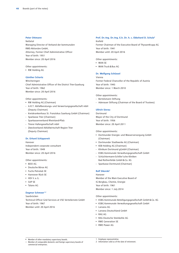#### **Peter Ottmann**

Nettetal Managing Director of Verband der kommunalen RWE-Aktionäre GmbH, Attorney, Former Chief Administrative Officer Year of birth: 1951 Member since: 20 April 2016

Other appointments:

• RW Holding AG

#### **Günther Schartz**

Wincheringen Chief Administrative Officer of the District Trier-Saarburg Year of birth: 1962 Member since: 20 April 2016

Other appointments:

- RW Holding AG (Chairman)
- A.R.T. Abfallberatungs- und Verwertungsgesellschaft mbH (Deputy Chairman)
- Kreiskrankenhaus St. Franziskus Saarburg GmbH (Chairman)
- Sparkasse Trier (Chairman)
- Sparkassenverband Rheinland-Pfalz
- Trierer Hafengesellschaft mbH
- Zweckverband Abfallwirtschaft Region Trier (Deputy Chairman)

#### **Dr. Erhard Schipporeit**

Hanover Independent corporate consultant Year of birth: 1949 Member since: 20 April 2016

Other appointments:

- BDO AG
- Deutsche Börse AG
- Fuchs Petrolub SE
- Hannover Rück SE
- HDI V.a.G.
- SAP SE
- Talanx AG

#### **Dagmar Schmeer1,2**

Saarbrücken Technical Officer Grid Services at VSE Verteilernetz GmbH Year of birth: 1967 Member until: 20 April 2016

#### **Prof. Dr.-Ing. Dr.-Ing. E.h. Dr. h. c. Ekkehard D. Schulz2** Krefeld

Former Chairman of the Executive Board of ThyssenKrupp AG Year of birth: 1941 Member until: 20 April 2016

Other appointments:

- MAN SE
- MAN Truck&Bus AG

#### **Dr. Wolfgang Schüssel**

Vienna Former Federal Chancellor of the Republic of Austria Year of birth: 1945 Member since: 1 March 2010

Other appointments:

- Bertelsmann Stiftung

- Adenauer Stiftung (Chairman of the Board of Trustees)

#### **Ullrich Sierau**

Dortmund Mayor of the City of Dortmund Year of birth: 1956 Member since: 20 April 2011

Other appointments:

- Dortmunder Energie- und Wasserversorgung GmbH (Chairman)
- Dortmunder Stadtwerke AG (Chairman)
- KEB Holding AG (Chairman)
- Klinikum Dortmund gGmbH (Chairman)
- KSBG Kommunale Verwaltungsgesellschaft GmbH
- Schüchtermann-Schiller'sche Kliniken Bad Rothenfelde GmbH&Co. KG
- Sparkasse Dortmund (Chairman)

#### **Ralf Sikorski**<sup>1</sup>

Hanover Member of the Main Executive Board of IG Bergbau, Chemie, Energie Year of birth: 1961 Member since: 1 July 2014

Other appointments:

- KSBG Kommunale Beteiligungsgesellschaft GmbH&Co. KG
- KSBG Kommunale Verwaltungsgesellschaft GmbH
- Lanxess AG
- Lanxess Deutschland GmbH
- RAG AG
- RAG Deutsche Steinkohle AG
- RWE Generation SE
- RWE Power AG

2 Information valid as of the date of retirement.

<sup>1</sup> Employee representative.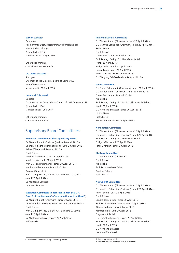#### **Marion Weckes**<sup>1</sup>

Dormagen Head of Unit, Dept. Mitbestimmungsförderung der Hans-Böckler-Stiftung Year of birth: 1975 Member since: 20 April 2016

Other appointments: • Stadtwerke Düsseldorf AG

#### **Dr. Dieter Zetsche2**

**Stuttgart** Chairman of the Executive Board of Daimler AG Year of birth: 1953 Member until: 20 April 2016

#### Leonhard Zubrowski<sup>1</sup>

**Linnetal** Chairman of the Group Works Council of RWE Generation SE Year of birth: 1961 Member since: 1 July 2014

Other appointments:

• RWE Generation SE

### Supervisory Board Committees

#### **Executive Committee of the Supervisory Board**

Dr. Werner Brandt (Chairman) – since 20 April 2016 – Dr. Manfred Schneider (Chairman) – until 20 April 2016 – Reiner Böhle – until 20 April 2016 – Frank Bsirske Sandra Bossemeyer – since 20 April 2016 – Manfred Holz – until 20 April 2016 – Prof. Dr. Hans-Peter Keitel – since 20 April 2016 – Monika Krebber – since 20 April 2016 – Dagmar Mühlenfeld Prof. Dr.-Ing. Dr.-Ing. E.h. Dr. h. c. Ekkehard D. Schulz – until 20 April 2016 – Dr. Wolfgang Schüssel Leonhard Zubrowski

#### **Mediation Committee in accordance with Sec. 27, Para. 3 of the German Co-Determination Act (MitbestG)**

Dr. Werner Brandt (Chairman) – since 20 April 2016 – Dr. Manfred Schneider (Chairman) – until 20 April 2016 – Frank Bsirske Prof. Dr.-Ing. Dr.-Ing. E.h. Dr. h. c. Ekkehard D. Schulz – until 20 April 2016 – Dr. Wolfgang Schüssel – since 20 April 2016 – Ralf Sikorski

#### **Personnel Affairs Committee**

Dr. Werner Brandt (Chairman) – since 20 April 2016 – Dr. Manfred Schneider (Chairman) – until 20 April 2016 – Reiner Böhle Frank Bsirske Dieter Faust – until 20 April 2016 – Prof. Dr.-Ing. Dr.-Ing. E.h. Hans-Peter Keitel – until 20 April 2016 – Frithjof Kühn – until 20 April 2016 – Harald Louis – since 20 April 2016 – Peter Ottmann – since 20 April 2016 – Dr. Wolfgang Schüssel – since 20 April 2016 –

#### **Audit Committee**

Dr. Erhard Schipporeit (Chairman) – since 20 April 2016 – Dr. Werner Brandt (Chairman) – until 20 April 2016 – Dieter Faust – until 20 April 2016 – Arno Hahn Prof. Dr.-Ing. Dr.-Ing. E.h. Dr. h. c. Ekkehard D. Schulz – until 20 April 2016 – Dr. Wolfgang Schüssel – since 20 April 2016 – Ullrich Sierau Ralf Sikorski Marion Weckes – since 20 April 2016 –

#### **Nomination Committee**

Dr. Werner Brandt (Chairman) – since 20 April 2016 – Dr. Manfred Schneider (Chairman) – until 20 April 2016 – Prof. Dr.-Ing. Dr.-Ing. E.h. Hans-Peter Keitel Frithjof Kühn – until 20 April 2016 – Peter Ottmann – since 20 April 2016 –

#### **Strategy Committee**

Dr. Werner Brandt (Chairman) Frank Bsirske Arno Hahn Prof. Dr. Hans-Peter Keitel Günther Schartz Ralf Sikorski

#### **NewCo IPO Committee**

Dr. Werner Brandt (Chairman) – since 20 April 2016 – Dr. Manfred Schneider (Chairman) – until 20 April 2016 – Reiner Böhle – until 20 April 2016 – Frank Bsirske Sandra Bossemeyer – since 20 April 2016 – Prof. Dr. Hans-Peter Keitel – since 20 April 2016 – Monika Krebber – since 20 April 2016 – Manfred Holz – until 20 April 2016 – Dagmar Mühlenfeld Dr. Erhardt Schipporeit – since 20 April 2016 – Prof. Dr.-Ing. Dr.-Ing. E.h. Dr. h. c. Ekkehard D. Schulz – until 20 April 2016 – Dr. Wolfgang Schüssel Leonhard Zubrowski

<sup>2</sup> Information valid as of the date of retirement.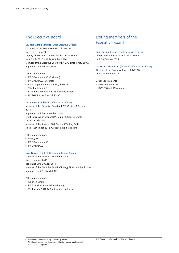#### **Dr. Rolf Martin Schmitz** (Chief Executive Officer)

Chairman of the Executive Board of RWE AG since 15 October 2016 Deputy Chairman of the Executive Board of RWE AG from 1 July 2012 until 14 October 2016 Member of the Executive Board of RWE AG since 1 May 2009, appointed until 30 June 2021

Other appointments:

- RWE Generation SE (Chairman)
- RWE Power AG (Chairman)
- RWE Supply&Trading GmbH (Chairman)
- TÜV Rheinland AG
- Kärntner Energieholding Beteiligungs GmbH
- KELAG-Kärntner Elektrizitäts-AG

#### **Dr. Markus Krebber** (Chief Financial Officer)

Member of the Executive Board of RWE AG since 1 October 2016, appointed until 30 September 2019 Chief Executive Officer of RWE Supply&Trading GmbH since 1 March 2015 Member of the Board of RWE Supply&Trading GmbH since 1 November 2012, without a stipulated term

Other appointments:

- innogy SE
- RWE Generation SE
- RWE Power AG

#### **Uwe Tigges** (Chief HR Officer and Labour Director)

Member of the Executive Board of RWE AG since 1 January 2013, appointed until 30 April 2017 Member of the Executive Board of innogy SE since 1 April 2016, appointed until 31 March 2021

Other appointments:

- Amprion GmbH
- RWE Pensionsfonds AG (Chairman)
- VfL Bochum 1848 Fußballgemeinschaft e. V.

## The Executive Board **Exiting members of the** Executive Board

Peter Terium (former Chief Executive Officer)<sup>1</sup> Chairman of the Executive Board of RWE AG until 14 October 2016

#### **Dr. Bernhard Günther** (former Chief Financial Officer)<sup>1</sup>

Member of the Executive Board of RWE AG until 14 October 2016

Other appointments:

- RWE Generation SE
- RWE IT GmbH (Chairman)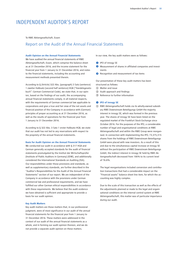# INDEPENDENT AUDITOR'S REPORT

To RWE Aktiengesellschaft, Essen

### Report on the Audit of the Annual Financial Statements

#### **Audit Opinion on the Annual Financial Statements**

We have audited the annual financial statements of RWE Aktiengesellschaft, Essen, which comprise the balance sheet as at 31 December 2016, and the income statement for the financial year from 1 January to 31 December 2016, and notes to the financial statements, including the accounting and measurement methods presented therein.

According to § (Article) 322 Abs. (paragraph) 3 Satz (sentence) 1 zweiter Halbsatz (second half sentence) HGB ("Handelsgesetzbuch": German Commercial Code), we state that, in our opinion, based on the findings of our audit, the accompanying annual financial statements comply, in all material respects, with the requirements of German commercial law applicable to corporations and give a true and fair view of the net assets and financial position of the Company in accordance with (German) principles of proper accounting as at 31 December 2016, as well as the results of operations for the financial year from 1 January to 31 December 2016.

According to § 322 Abs. 3 Satz 1 erster Halbsatz HGB, we state that our audit has not led to any reservations with respect to the propriety of the annual financial statements.

#### **Basis for Audit Opinion on the Annual Financial Statements**

We conducted our audit in accordance with § 317 HGB and German generally accepted standards for the audit of financial statements promulgated by the Institut der Wirtschaftsprüfer (Institute of Public Auditors in Germany) (IDW), and additionally considered the International Standards on Auditing (ISA). Our responsibilities under those provisions and standards, as well as supplementary standards, are further described in the "Auditor's Responsibilities for the Audit of the Annual Financial Statements" section of our report. We are independent of the Company in accordance with the provisions under German commercial law and professional requirements, and we have fulfilled our other German ethical responsibilities in accordance with these requirements. We believe that the audit evidence we have obtained is sufficient and appropriate to provide a basis for our audit opinion.

#### **Key Audit Matters**

Key audit matters are those matters that, in our professional judgment, were of most significance in our audit of the annual financial statements for the financial year from 1 January to 31 December 2016. These matters were addressed in the context of our audit of the annual financial statements as a whole, and in forming our audit opinion thereon, and we do not provide a separate audit opinion on these matters.

In our view, the key audit matters were as follows:

- **O** IPO of innogy SE
- 2 Measurement of shares in affiliated companies and investments
- **t** Recognition and measurement of tax items

Our presentation of these key audit matters has been structured as follows:

- 1 Matter and issue
- 2 Audit approach and findings
- 3 Reference to further information

#### e **IPO of innogy SE**

1 RWE Aktiengesellschaft holds via its wholly-owned subsidiary RWE Downstream Beteiligungs GmbH the majority interest in innogy SE, which was formed in the previous year. The shares of innogy SE have been listed on the regulated market of the Frankfurt Stock Exchange since October 2016. For the purposes of the IPO, a considerable number of legal and organisational conditions at RWE Aktiengesellschaft and within the RWE Group were reorganised. In connection with implementing the IPO, 73,375,315 shares from the holdings of RWE Downstream Beteiligungs GmbH were placed with new investors. As a result of this and due to the simultaneous capital increase at innogy SE without the participation of RWE Downstream Beteiligungs GmbH, the indirect interest in innogy SE held by RWE Aktiengesellschaft decreased from 100 % to its current level of 76.8 %.

The legal reorganisations included conversion and contribution transactions that had a considerable impact on the "Financial assets" balance sheet line item, for which the accounting was highly complex.

Due to the scale of this transaction as well as the effects of the adjustments planned or made to the legal and organisational conditions on the internal control system at RWE Aktiengesellschaft, this matter was of particular importance during our audit.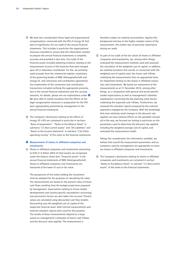- 2 We took into consideration those legal and organisational reorganisations connected with the IPO of innogy SE that were of significance for our audit of the annual financial statements. This includes in particular the organisational measures intended to ensure that the information needed to prepare the annual financial statements is complete, accurate and provided in due time. Our audit of the financial assets included obtaining evidence relating to the measurement of parts of the business that were merged, spun off or otherwise contributed. For this, we primarily used excerpts from the commercial register, resolutions of the governing bodies of RWE Aktiengesellschaft and innogy SE, and conversion and contribution agreements. Our examination of the conversion and contribution transactions included verifying the appropriate presentation in the annual financial statements and the carrying amounts; for details, please see our explanations under  $\bullet$ . We were able to satisfy ourselves that the effects of the legal reorganisation measures in preparation for the IPO were appropriately presented by management in the annual financial statements.
- 3 The Company's disclosures relating to the effects of innogy SE's IPO are contained in particular in sections "Basis of preparation", "Notes to the Balance Sheet" in sub-items "(1) Non-current assets" and "(9) Liabilities" and "Notes to the Income Statement" in sub-item "(16) Other operating income" of the notes to the financial statements.

#### $\odot$  Measurement of shares in affiliated companies and **investments**

1 Shares in affiliated companies and investments amounting to EUR 21.9 billion (48 % of total assets) are recognised under the balance sheet item "Financial assets" in the annual financial statements of RWE Aktiengesellschaft. Shares in affiliated companies and investments are measured at the lower of cost or fair value.

The perspective of the entity holding the investment must be adopted for the purposes of calculating fair value. The measurements are based on the present value of future cash flows resulting from the budget projections prepared by management. Expectations relating to future market developments and country-specific assumptions concerning macroeconomic factors are also taken into account. Present values are calculated using discounted cash flow models. Discounting uses the weighted cost of capital of the respective financial asset. Both internal measurements and external valuation reports were used for this purpose. The results of these measurements depend to a large extent on management's estimates of future cash inflows and the discount rates applied. The measurement is

therefore subject to material uncertainties. Against this background and due to the highly complex nature of the measurement, this matter was of particular importance during our audit.

2 As part of our audit of the fair values of shares in affiliated companies and investments, we, among other things, evaluated the measurement methods used and assessed the calculation of the weighted cost of capital. In addition, we satisfied ourselves that overall, in connection with the weighted cost of capital used, the future cash inflows underlying the measurements form an appropriate basis for impairment testing on the shares in affiliated companies and investments. We based our assessment of the measurements as at 31 December 2016, among other things, on a comparison with general and sector-specific market expectations as well as management's detailed explanations concerning the key planning value drivers underlying the expected cash inflows. Furthermore, we assessed the valuation reports prepared by the external appraisers engaged by the Company. With the knowledge that even relatively small changes in the discount rate applied can have material effects on the goodwill calculated in this way, we focused our testing in particular on the parameters used to determine the discount rate applied, including the weighted average cost of capital, and evaluated the measurement model.

Taking into consideration the information available, we believe that overall the measurement parameters and assumptions used by management are appropriate to measure shares in affiliated companies and investments.

3 The Company's disclosures relating to shares in affiliated companies and investments are contained in section "Notes to the Balance Sheet" in sub-item "(1) Non-current assets" of the notes to the financial statements.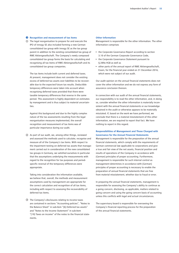#### $\bullet$  Recognition and measurement of tax items

1 The legal reorganisation to prepare for and execute the IPO of innogy SE also included forming a new German consolidated tax group with innogy SE as the tax group parent in addition to the existing consolidated tax group of RWE Aktiengesellschaft. The Company's newly composed consolidated tax group forms the basis for calculating and recognising all tax items of RWE Aktiengesellschaft and its consolidated tax group companies.

The tax items include both current and deferred taxes. At present, management does not consider the existing excess of deferred tax assets over liabilities to be recoverable due to the expected future tax results. Deductible temporary differences were taken into account when recognising deferred taxes provided that there were taxable temporary differences that reverse in the same period. This assessment is highly dependent on estimates by management and is thus subject to material uncertainties.

Against this background and due to the highly complex nature of the tax assessments resulting from the legal reorganisation measures implemented, the overall recognition and measurement of tax items was of particular importance during our audit.

2 As part of our audit, we, among other things, reviewed and assessed the methods used to calculate, recognise and measure all of the Company's tax items. With respect to the impairment testing on deferred tax assets that management carried out in consideration of the new consolidated tax groups in Germany, we satisfied ourselves in particular that the assumptions underlying the measurements with regard to the recognition for tax purposes and period-specific reversal of the temporary differences were appropriate.

Taking into consideration the information available, we believe that, overall, the methods and measurement assumptions used by management are appropriate for the correct calculation and recognition of all tax items, including with respect to assessing the recoverability of deferred tax items.

3 The Company's disclosures relating to income taxes are contained in sections "Accounting policies", "Notes to the Balance Sheet" in sub-item "(6) Deferred tax assets" and "Notes to the Income Statement" in sub-item "(19) Taxes on income" of the notes to the financial statements.

#### **Other Information**

Management is responsible for the other information. The other information comprises

- the Corporate Governance Report according to section 3.10 of the German Corporate Governance Code,
- the Corporate Governance Statement pursuant to § 289a HGB as well as
- other parts of the annual report of RWE Aktiengesellschaft, Essen, for the financial year ended on 31 December 2016, which were not subject of our audit.

Our audit opinion on the annual financial statements does not cover the other information and we do not express any form of assurance conclusion thereon.

In connection with our audit of the annual financial statements, our responsibility is to read the other information, and, in doing so, consider whether the other information is materially inconsistent with the annual financial statements or our knowledge obtained in the audit or otherwise appears to be materially misstated. If, based on the work we have performed, we conclude that there is a material misstatement of this other information, we are required to report that fact. We have nothing to report in this regard.

#### **Responsibilities of Management and Those Charged with Governance for the Annual Financial Statements**

Management is responsible for the preparation of the annual financial statements, which comply with the requirements of German commercial law applicable to corporations and give a true and fair view of the net assets, financial position and results of operations of the Company in accordance with (German) principles of proper accounting. Furthermore, management is responsible for such internal control as management determines in accordance with (German) principles of proper accounting is necessary to enable the preparation of annual financial statements that are free from material misstatement, whether due to fraud or error.

In preparing the annual financial statements, management is responsible for assessing the Company's ability to continue as a going concern, disclosing, as applicable, matters related to going concern and using the going concern basis of accounting unless this conflicts with legal and actual circumstances.

The supervisory board is responsible for overseeing the Company's financial reporting process for the preparation of the annual financial statements.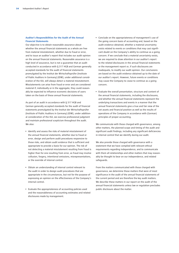#### **Auditor's Responsibilities for the Audit of the Annual Financial Statements**

Our objective is to obtain reasonable assurance about whether the annual financial statements as a whole are free from material misstatement, whether due to fraud or error, and to issue an auditor's report that includes our audit opinion on the annual financial statements. Reasonable assurance is a high level of assurance, but is not a guarantee that an audit conducted in accordance with § 317 HGB and German generally accepted standards for the audit of financial statements promulgated by the Institut der Wirtschaftsprüfer (Institute of Public Auditors in Germany) (IDW), under additional consideration of the ISA, will always detect a material misstatement. Misstatements can arise from fraud or error and are considered material if, individually or in the aggregate, they could reasonably be expected to influence economic decisions of users taken on the basis of these annual financial statements.

As part of an audit in accordance with § 317 HGB and German generally accepted standards for the audit of financial statements promulgated by the Institut der Wirtschaftsprüfer (Institute of Public Auditors in Germany) (IDW), under additional consideration of the ISA, we exercise professional judgment and maintain professional scepticism throughout the audit. We also:

- Identify and assess the risks of material misstatement of the annual financial statements, whether due to fraud or error, design and perform audit procedures responsive to those risks, and obtain audit evidence that is sufficient and appropriate to provide a basis for our opinion. The risk of not detecting a material misstatement resulting from fraud is higher than for one resulting from error, as fraud may involve collusion, forgery, intentional omissions, misrepresentations, or the override of internal control.
- Obtain an understanding of internal control relevant to the audit in order to design audit procedures that are appropriate in the circumstances, but not for the purpose of expressing an opinion on the effectiveness of the Company's internal control.
- Evaluate the appropriateness of accounting policies used and the reasonableness of accounting estimates and related disclosures made by management.
- Conclude on the appropriateness of management's use of the going concern basis of accounting and, based on the audit evidence obtained, whether a material uncertainty exists related to events or conditions that may cast significant doubt on the Company's ability to continue as a going concern. If we conclude that a material uncertainty exists, we are required to draw attention in our auditor's report to the related disclosures in the annual financial statements or the management report or, if such disclosures are inadequate, to modify our audit opinion. Our conclusions are based on the audit evidence obtained up to the date of our auditor's report. However, future events or conditions may cause the Company to cease to continue as a going concern.
- Evaluate the overall presentation, structure and content of the annual financial statements, including the disclosures, and whether the annual financial statements represent the underlying transactions and events in a manner that the annual financial statements give a true and fair view of the net assets and financial position as well as the results of operations of the Company in accordance with (German) principles of proper accounting.

We communicate with those charged with governance, among other matters, the planned scope and timing of the audit and significant audit findings, including any significant deficiencies in internal control that we identify during our audit.

We also provide those charged with governance with a statement that we have complied with relevant ethical requirements regarding independence, and to communicate with them all relationships and other matters that may reasonably be thought to bear on our independence, and related safeguards.

From the matters communicated with those charged with governance, we determine those matters that were of most significance in the audit of the annual financial statements of the current period and are therefore the key audit matters. We describe these matters in our report on the audit of the annual financial statements unless law or regulation precludes public disclosure about the matter.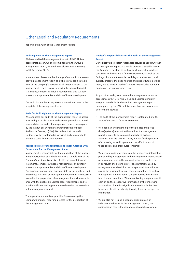### Other Legal and Regulatory Requirements

Report on the Audit of the Management Report

#### **Audit Opinion on the Management Report**

We have audited the management report of RWE Aktiengesellschaft, Essen, which is combined with the Group's management report, for the financial year from 1 January to 31 December 2016.

In our opinion, based on the findings of our audit, the accompanying management report as a whole provides a suitable view of the Company's position. In all material respects, the management report is consistent with the annual financial statements, complies with legal requirements and suitably presents the opportunities and risks of future development.

Our audit has not led to any reservations with respect to the propriety of the management report.

#### **Basis for Audit Opinion on the Management Report**

We conducted our audit of the management report in accordance with § 317 Abs. 2 HGB and German generally accepted standards for the audit of management reports promulgated by the Institut der Wirtschaftsprüfer (Institute of Public Auditors in Germany) (IDW). We believe that the audit evidence we have obtained is sufficient and appropriate to provide a basis for our audit opinion.

#### **Responsibilities of Management and Those Charged with Governance for the Management Report**

Management is responsible for the preparation of the management report, which as a whole provides a suitable view of the Company's position, is consistent with the annual financial statements, complies with legal requirements, and suitably presents the opportunities and risks of future development. Furthermore, management is responsible for such policies and procedures (systems) as management determines are necessary to enable the preparation of a management report in accordance with the applicable German legal requirements and to provide sufficient and appropriate evidence for the assertions in the management report.

The supervisory board is responsible for overseeing the Company's financial reporting process for the preparation of the management report.

#### **Auditor's Responsibilities for the Audit of the Management Report**

Our objective is to obtain reasonable assurance about whether the management report as a whole provides a suitable view of the Company's position as well as, in all material respects, is consistent with the annual financial statements as well as the findings of our audit, complies with legal requirements, and suitably presents the opportunities and risks of future development, and to issue an auditor's report that includes our audit opinion on the management report.

As part of an audit, we examine the management report in accordance with § 317 Abs. 2 HGB and German generally accepted standards for the audit of management reports promulgated by the IDW. In this connection, we draw attention to the following:

- The audit of the management report is integrated into the audit of the annual financial statements.
- We obtain an understanding of the policies and procedures(systems) relevant to the audit of the management report in order to design audit procedures that are appropriate in the circumstances, but not for the purpose of expressing an audit opinion on the effectiveness of these policies and procedures (systems).
- We perform audit procedures on the prospective information presented by management in the management report. Based on appropriate and sufficient audit evidence, we hereby, in particular, evaluate the material assumptions used by management as a basis for the prospective information and assess the reasonableness of these assumptions as well as the appropriate derivation of the prospective information from these assumptions. We are not issuing a separate audit opinion on the prospective information or the underlying assumptions. There is a significant, unavoidable risk that future events will deviate significantly from the prospective information.
- We are also not issuing a separate audit opinion on individual disclosures in the management report; our audit opinion covers the management report as a whole.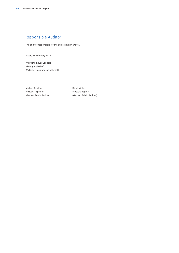# Responsible Auditor

The auditor responsible for the audit is Ralph Welter.

Essen, 28 February 2017

PricewaterhouseCoopers Aktiengesellschaft Wirtschaftsprüfungsgesellschaft

Michael Reuther **Ralph Welter** Ralph Welter Wirtschaftsprüfer Wirtschaftsprüfer

(German Public Auditor) (German Public Auditor)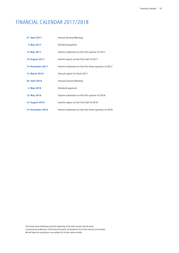# FINANCIAL CALENDAR 2017/2018

| <b>27 April 2017</b>    | <b>Annual General Meeting</b>                         |
|-------------------------|-------------------------------------------------------|
| 3 May 2017              | Dividend payment                                      |
| 15 May 2017             | Interim statement on the first quarter of 2017        |
| <b>14 August 2017</b>   | Interim report on the first half of 2017              |
| 14 November 2017        | Interim statement on the first three quarters of 2017 |
| 13 March 2018           | Annual report for fiscal 2017                         |
| <b>26 April 2018</b>    | <b>Annual General Meeting</b>                         |
| 2 May 2018              | Dividend payment                                      |
| 15 May 2018             | Interim statement on the first quarter of 2018        |
| <b>14 August 2018</b>   | Interim report on the first half of 2018              |
| <b>14 November 2018</b> | Interim statement on the first three quarters of 2018 |

The Annual General Meeting (until the beginning of the Q&A session) and all events concerning the publication of the financial reports are broadcast live on the internet and recorded. We will keep the recordings on our website for at least twelve months.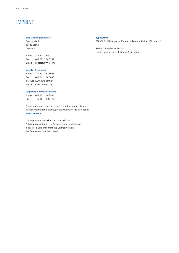# IMPRINT

#### **RWE Aktiengesellschaft**

Opernplatz 1 45128 Essen Germany

Phone +49 201 12-00 Fax +49 201 12-15199 E-mail contact@rwe.com

#### **Investor Relations:**

Phone +49 201 12-15025 Fax +49 201 12-15033 Internet www.rwe.com/ir E-mail invest@rwe.com

#### **Corporate Communications:**

Phone +49 201 12-23986 Fax +49 201 12-22115

For annual reports, interim reports, interim statements and further information on RWE, please visit us on the internet at **www.rwe.com**.

This report was published on 14 March 2017. This is a translation of the German financial statements. In case of divergence from the German version, the German version shall prevail.

#### **Typesetting:**

CHIARI GmbH – Agentur für Markenkommunikation, Düsseldorf

RWE is a member of DIRK – the German Investor Relations Association.